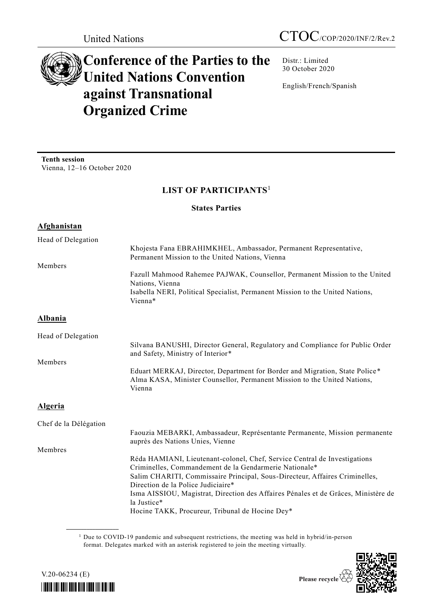

Distr.: Limited 30 October 2020

English/French/Spanish

**Tenth session** Vienna, 12–16 October 2020

# **LIST OF PARTICIPANTS**<sup>1</sup>

# **States Parties**

| Afghanistan           |                                                                                                                                                                   |
|-----------------------|-------------------------------------------------------------------------------------------------------------------------------------------------------------------|
| Head of Delegation    |                                                                                                                                                                   |
|                       | Khojesta Fana EBRAHIMKHEL, Ambassador, Permanent Representative,                                                                                                  |
|                       | Permanent Mission to the United Nations, Vienna                                                                                                                   |
| Members               | Fazull Mahmood Rahemee PAJWAK, Counsellor, Permanent Mission to the United                                                                                        |
|                       | Nations, Vienna                                                                                                                                                   |
|                       | Isabella NERI, Political Specialist, Permanent Mission to the United Nations,                                                                                     |
|                       | Vienna*                                                                                                                                                           |
| <b>Albania</b>        |                                                                                                                                                                   |
| Head of Delegation    |                                                                                                                                                                   |
|                       | Silvana BANUSHI, Director General, Regulatory and Compliance for Public Order<br>and Safety, Ministry of Interior*                                                |
| Members               |                                                                                                                                                                   |
|                       | Eduart MERKAJ, Director, Department for Border and Migration, State Police*<br>Alma KASA, Minister Counsellor, Permanent Mission to the United Nations,<br>Vienna |
| <b>Algeria</b>        |                                                                                                                                                                   |
| Chef de la Délégation |                                                                                                                                                                   |
|                       | Faouzia MEBARKI, Ambassadeur, Représentante Permanente, Mission permanente<br>auprès des Nations Unies, Vienne                                                    |
| Membres               |                                                                                                                                                                   |
|                       | Réda HAMIANI, Lieutenant-colonel, Chef, Service Central de Investigations                                                                                         |
|                       | Criminelles, Commandement de la Gendarmerie Nationale*                                                                                                            |
|                       | Salim CHARITI, Commissaire Principal, Sous-Directeur, Affaires Criminelles,<br>Direction de la Police Judiciaire*                                                 |
|                       | Isma AISSIOU, Magistrat, Direction des Affaires Pénales et de Grâces, Ministère de                                                                                |
|                       | la Justice*                                                                                                                                                       |
|                       | Hocine TAKK, Procureur, Tribunal de Hocine Dey*                                                                                                                   |

 $1$  Due to COVID-19 pandemic and subsequent restrictions, the meeting was held in hybrid/in-person format. Delegates marked with an asterisk registered to join the meeting virtually.



**\_\_\_\_\_\_\_\_\_\_\_\_\_\_\_\_\_\_**

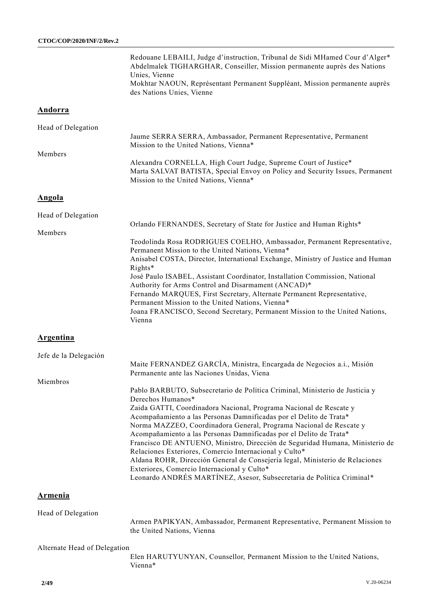Redouane LEBAILI, Judge d'instruction, Tribunal de Sidi MHamed Cour d'Alger\* Abdelmalek TIGHARGHAR, Conseiller, Mission permanente auprès des Nations Unies, Vienne Mokhtar NAOUN, Représentant Permanent Suppléant, Mission permanente auprès des Nations Unies, Vienne

## **Andorra**

| Head of Delegation |                                                                              |
|--------------------|------------------------------------------------------------------------------|
|                    | Jaume SERRA SERRA, Ambassador, Permanent Representative, Permanent           |
|                    | Mission to the United Nations, Vienna*                                       |
| <b>Members</b>     |                                                                              |
|                    | Alexandra CORNELLA, High Court Judge, Supreme Court of Justice*              |
|                    | Marta SALVAT BATISTA, Special Envoy on Policy and Security Issues, Permanent |
|                    | Mission to the United Nations, Vienna*                                       |
|                    |                                                                              |

# **Angola**

| Head of Delegation    |                                                                                                                                                                                                                |
|-----------------------|----------------------------------------------------------------------------------------------------------------------------------------------------------------------------------------------------------------|
|                       | Orlando FERNANDES, Secretary of State for Justice and Human Rights*                                                                                                                                            |
| Members               |                                                                                                                                                                                                                |
|                       | Teodolinda Rosa RODRIGUES COELHO, Ambassador, Permanent Representative,<br>Permanent Mission to the United Nations, Vienna*<br>Anisabel COSTA, Director, International Exchange, Ministry of Justice and Human |
|                       | $Right's*$                                                                                                                                                                                                     |
|                       | José Paulo ISABEL, Assistant Coordinator, Installation Commission, National<br>Authority for Arms Control and Disarmament (ANCAD)*                                                                             |
|                       | Fernando MARQUES, First Secretary, Alternate Permanent Representative,<br>Permanent Mission to the United Nations, Vienna*                                                                                     |
|                       | Joana FRANCISCO, Second Secretary, Permanent Mission to the United Nations,<br>Vienna                                                                                                                          |
| Argentina             |                                                                                                                                                                                                                |
| Jefe de la Delegación |                                                                                                                                                                                                                |

|          | Maite FERNANDEZ GARCÍA, Ministra, Encargada de Negocios a.i., Misión         |
|----------|------------------------------------------------------------------------------|
|          | Permanente ante las Naciones Unidas, Viena                                   |
| Miembros |                                                                              |
|          | Pablo BARBUTO, Subsecretario de Política Criminal, Ministerio de Justicia y  |
|          | Derechos Humanos*                                                            |
|          | Zaida GATTI, Coordinadora Nacional, Programa Nacional de Rescate y           |
|          | Acompañamiento a las Personas Damnificadas por el Delito de Trata*           |
|          | Norma MAZZEO, Coordinadora General, Programa Nacional de Rescate y           |
|          | Acompañamiento a las Personas Damnificadas por el Delito de Trata*           |
|          | Francisco DE ANTUENO, Ministro, Dirección de Seguridad Humana, Ministerio de |
|          | Relaciones Exteriores, Comercio Internacional y Culto*                       |
|          | Aldana ROHR, Dirección General de Consejería legal, Ministerio de Relaciones |
|          | Exteriores, Comercio Internacional y Culto*                                  |
|          | Leonardo ANDRÉS MARTÍNEZ, Asesor, Subsecretaria de Política Criminal*        |

# **Armenia**

Head of Delegation

Armen PAPIKYAN, Ambassador, Permanent Representative, Permanent Mission to the United Nations, Vienna

#### Alternate Head of Delegation

Elen HARUTYUNYAN, Counsellor, Permanent Mission to the United Nations, Vienna\*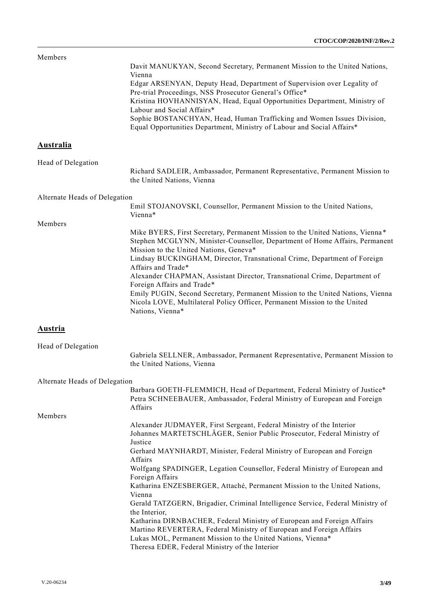| Members                       |                                                                                                                                                                                                        |
|-------------------------------|--------------------------------------------------------------------------------------------------------------------------------------------------------------------------------------------------------|
|                               | Davit MANUKYAN, Second Secretary, Permanent Mission to the United Nations,                                                                                                                             |
|                               | Vienna<br>Edgar ARSENYAN, Deputy Head, Department of Supervision over Legality of                                                                                                                      |
|                               | Pre-trial Proceedings, NSS Prosecutor General's Office*<br>Kristina HOVHANNISYAN, Head, Equal Opportunities Department, Ministry of                                                                    |
|                               | Labour and Social Affairs*                                                                                                                                                                             |
|                               | Sophie BOSTANCHYAN, Head, Human Trafficking and Women Issues Division,<br>Equal Opportunities Department, Ministry of Labour and Social Affairs*                                                       |
| <b>Australia</b>              |                                                                                                                                                                                                        |
| Head of Delegation            |                                                                                                                                                                                                        |
|                               | Richard SADLEIR, Ambassador, Permanent Representative, Permanent Mission to<br>the United Nations, Vienna                                                                                              |
| Alternate Heads of Delegation |                                                                                                                                                                                                        |
|                               | Emil STOJANOVSKI, Counsellor, Permanent Mission to the United Nations,<br>Vienna*                                                                                                                      |
| Members                       |                                                                                                                                                                                                        |
|                               | Mike BYERS, First Secretary, Permanent Mission to the United Nations, Vienna*<br>Stephen MCGLYNN, Minister-Counsellor, Department of Home Affairs, Permanent<br>Mission to the United Nations, Geneva* |
|                               | Lindsay BUCKINGHAM, Director, Transnational Crime, Department of Foreign<br>Affairs and Trade*                                                                                                         |
|                               | Alexander CHAPMAN, Assistant Director, Transnational Crime, Department of<br>Foreign Affairs and Trade*                                                                                                |
|                               | Emily PUGIN, Second Secretary, Permanent Mission to the United Nations, Vienna<br>Nicola LOVE, Multilateral Policy Officer, Permanent Mission to the United<br>Nations, Vienna*                        |
| Austria                       |                                                                                                                                                                                                        |
| Head of Delegation            |                                                                                                                                                                                                        |
|                               | Gabriela SELLNER, Ambassador, Permanent Representative, Permanent Mission to<br>the United Nations, Vienna                                                                                             |
| Alternate Heads of Delegation |                                                                                                                                                                                                        |
|                               | Barbara GOETH-FLEMMICH, Head of Department, Federal Ministry of Justice*<br>Petra SCHNEEBAUER, Ambassador, Federal Ministry of European and Foreign                                                    |
| Members                       | Affairs                                                                                                                                                                                                |
|                               | Alexander JUDMAYER, First Sergeant, Federal Ministry of the Interior<br>Johannes MARTETSCHLÄGER, Senior Public Prosecutor, Federal Ministry of                                                         |
|                               | Justice<br>Gerhard MAYNHARDT, Minister, Federal Ministry of European and Foreign<br>Affairs                                                                                                            |
|                               | Wolfgang SPADINGER, Legation Counsellor, Federal Ministry of European and<br>Foreign Affairs                                                                                                           |
|                               | Katharina ENZESBERGER, Attaché, Permanent Mission to the United Nations,<br>Vienna                                                                                                                     |
|                               | Gerald TATZGERN, Brigadier, Criminal Intelligence Service, Federal Ministry of<br>the Interior,                                                                                                        |
|                               | Katharina DIRNBACHER, Federal Ministry of European and Foreign Affairs<br>Martino REVERTERA, Federal Ministry of European and Foreign Affairs                                                          |
|                               | Lukas MOL, Permanent Mission to the United Nations, Vienna*<br>Theresa EDER, Federal Ministry of the Interior                                                                                          |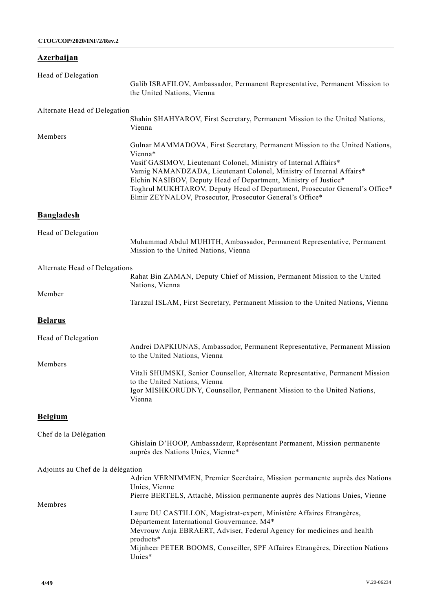# **Azerbaijan**

| Galib ISRAFILOV, Ambassador, Permanent Representative, Permanent Mission to<br>the United Nations, Vienna                                                                                                                                                                                           |
|-----------------------------------------------------------------------------------------------------------------------------------------------------------------------------------------------------------------------------------------------------------------------------------------------------|
| Alternate Head of Delegation                                                                                                                                                                                                                                                                        |
| Shahin SHAHYAROV, First Secretary, Permanent Mission to the United Nations,<br>Vienna                                                                                                                                                                                                               |
| Gulnar MAMMADOVA, First Secretary, Permanent Mission to the United Nations,<br>Vienna*<br>Vasif GASIMOV, Lieutenant Colonel, Ministry of Internal Affairs*                                                                                                                                          |
| Vamig NAMANDZADA, Lieutenant Colonel, Ministry of Internal Affairs*<br>Elchin NASIBOV, Deputy Head of Department, Ministry of Justice*<br>Toghrul MUKHTAROV, Deputy Head of Department, Prosecutor General's Office*<br>Elmir ZEYNALOV, Prosecutor, Prosecutor General's Office*                    |
|                                                                                                                                                                                                                                                                                                     |
|                                                                                                                                                                                                                                                                                                     |
| Muhammad Abdul MUHITH, Ambassador, Permanent Representative, Permanent<br>Mission to the United Nations, Vienna                                                                                                                                                                                     |
| Alternate Head of Delegations                                                                                                                                                                                                                                                                       |
| Rahat Bin ZAMAN, Deputy Chief of Mission, Permanent Mission to the United<br>Nations, Vienna                                                                                                                                                                                                        |
| Tarazul ISLAM, First Secretary, Permanent Mission to the United Nations, Vienna                                                                                                                                                                                                                     |
|                                                                                                                                                                                                                                                                                                     |
|                                                                                                                                                                                                                                                                                                     |
| Andrei DAPKIUNAS, Ambassador, Permanent Representative, Permanent Mission<br>to the United Nations, Vienna                                                                                                                                                                                          |
| Vitali SHUMSKI, Senior Counsellor, Alternate Representative, Permanent Mission<br>to the United Nations, Vienna<br>Igor MISHKORUDNY, Counsellor, Permanent Mission to the United Nations,<br>Vienna                                                                                                 |
|                                                                                                                                                                                                                                                                                                     |
| Ghislain D'HOOP, Ambassadeur, Représentant Permanent, Mission permanente<br>auprès des Nations Unies, Vienne*                                                                                                                                                                                       |
| Adjoints au Chef de la délégation                                                                                                                                                                                                                                                                   |
| Adrien VERNIMMEN, Premier Secrétaire, Mission permanente auprès des Nations<br>Unies, Vienne<br>Pierre BERTELS, Attaché, Mission permanente auprès des Nations Unies, Vienne                                                                                                                        |
| Laure DU CASTILLON, Magistrat-expert, Ministère Affaires Etrangères,<br>Département International Gouvernance, M4*<br>Mevrouw Anja EBRAERT, Adviser, Federal Agency for medicines and health<br>products*<br>Mijnheer PETER BOOMS, Conseiller, SPF Affaires Etrangères, Direction Nations<br>Unies* |
|                                                                                                                                                                                                                                                                                                     |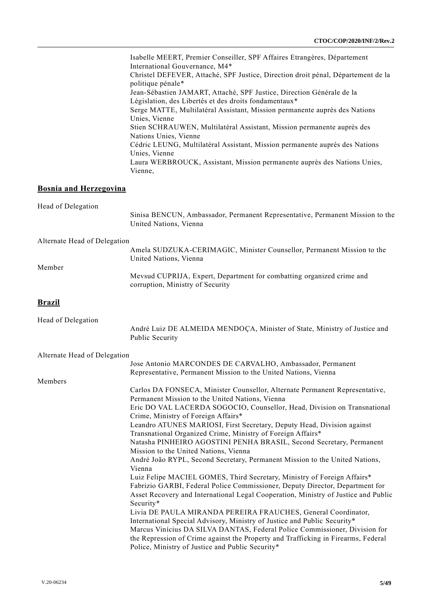Isabelle MEERT, Premier Conseiller, SPF Affaires Etrangères, Département International Gouvernance, M4\* Christel DEFEVER, Attaché, SPF Justice, Direction droit pénal, Département de la politique pénale\* Jean-Sébastien JAMART, Attaché, SPF Justice, Direction Générale de la Législation, des Libertés et des droits fondamentaux\* Serge MATTE, Multilatéral Assistant, Mission permanente auprès des Nations Unies, Vienne Stien SCHRAUWEN, Multilatéral Assistant, Mission permanente auprès des Nations Unies, Vienne Cédric LEUNG, Multilatéral Assistant, Mission permanente auprès des Nations Unies, Vienne Laura WERBROUCK, Assistant, Mission permanente auprès des Nations Unies, Vienne,

## **Bosnia and Herzegovina**

| Head of Delegation |       |
|--------------------|-------|
|                    | Sinis |

sa BENCUN, Ambassador, Permanent Representative, Permanent Mission to the United Nations, Vienna

#### Alternate Head of Delegation

Amela SUDZUKA-CERIMAGIC, Minister Counsellor, Permanent Mission to the United Nations, Vienna

Member

Mevsud CUPRIJA, Expert, Department for combatting organized crime and corruption, Ministry of Security

#### **Brazil**

| Head of Delegation           | André Luiz DE ALMEIDA MENDOÇA, Minister of State, Ministry of Justice and<br><b>Public Security</b>                                                                                                                                                                                                                         |
|------------------------------|-----------------------------------------------------------------------------------------------------------------------------------------------------------------------------------------------------------------------------------------------------------------------------------------------------------------------------|
| Alternate Head of Delegation |                                                                                                                                                                                                                                                                                                                             |
|                              | Jose Antonio MARCONDES DE CARVALHO, Ambassador, Permanent<br>Representative, Permanent Mission to the United Nations, Vienna                                                                                                                                                                                                |
| Members                      |                                                                                                                                                                                                                                                                                                                             |
|                              | Carlos DA FONSECA, Minister Counsellor, Alternate Permanent Representative,<br>Permanent Mission to the United Nations, Vienna                                                                                                                                                                                              |
|                              | Eric DO VAL LACERDA SOGOCIO, Counsellor, Head, Division on Transnational<br>Crime, Ministry of Foreign Affairs*                                                                                                                                                                                                             |
|                              | Leandro ATUNES MARIOSI, First Secretary, Deputy Head, Division against<br>Transnational Organized Crime, Ministry of Foreign Affairs*                                                                                                                                                                                       |
|                              | Natasha PINHEIRO AGOSTINI PENHA BRASIL, Second Secretary, Permanent<br>Mission to the United Nations, Vienna                                                                                                                                                                                                                |
|                              | André João RYPL, Second Secretary, Permanent Mission to the United Nations,<br>Vienna                                                                                                                                                                                                                                       |
|                              | Luiz Felipe MACIEL GOMES, Third Secretary, Ministry of Foreign Affairs*<br>Fabrizio GARBI, Federal Police Commissioner, Deputy Director, Department for<br>Asset Recovery and International Legal Cooperation, Ministry of Justice and Public<br>Security*<br>Livia DE PAULA MIRANDA PEREIRA FRAUCHES, General Coordinator, |
|                              | International Special Advisory, Ministry of Justice and Public Security*<br>Marcus Vinícius DA SILVA DANTAS, Federal Police Commissioner, Division for<br>the Repression of Crime against the Property and Trafficking in Firearms, Federal<br>Police, Ministry of Justice and Public Security*                             |
|                              |                                                                                                                                                                                                                                                                                                                             |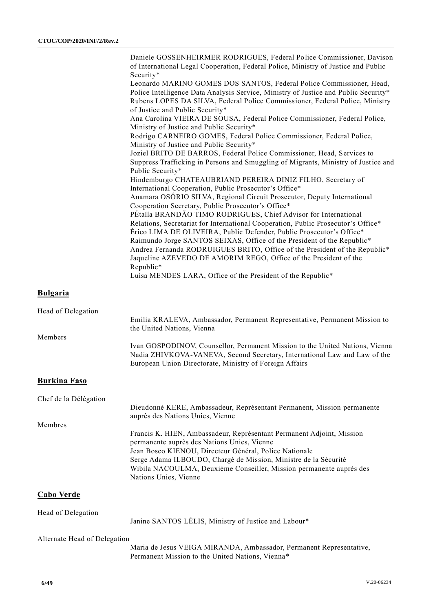|                    | Daniele GOSSENHEIRMER RODRIGUES, Federal Police Commissioner, Davison<br>of International Legal Cooperation, Federal Police, Ministry of Justice and Public<br>Security*                                                                                                                                                                                                                                                                                                                                                             |
|--------------------|--------------------------------------------------------------------------------------------------------------------------------------------------------------------------------------------------------------------------------------------------------------------------------------------------------------------------------------------------------------------------------------------------------------------------------------------------------------------------------------------------------------------------------------|
|                    | Leonardo MARINO GOMES DOS SANTOS, Federal Police Commissioner, Head,<br>Police Intelligence Data Analysis Service, Ministry of Justice and Public Security*<br>Rubens LOPES DA SILVA, Federal Police Commissioner, Federal Police, Ministry<br>of Justice and Public Security*                                                                                                                                                                                                                                                       |
|                    | Ana Carolina VIEIRA DE SOUSA, Federal Police Commissioner, Federal Police,<br>Ministry of Justice and Public Security*                                                                                                                                                                                                                                                                                                                                                                                                               |
|                    | Rodrigo CARNEIRO GOMES, Federal Police Commissioner, Federal Police,<br>Ministry of Justice and Public Security*                                                                                                                                                                                                                                                                                                                                                                                                                     |
|                    | Joziel BRITO DE BARROS, Federal Police Commissioner, Head, Services to<br>Suppress Trafficking in Persons and Smuggling of Migrants, Ministry of Justice and<br>Public Security*                                                                                                                                                                                                                                                                                                                                                     |
|                    | Hindemburgo CHATEAUBRIAND PEREIRA DINIZ FILHO, Secretary of<br>International Cooperation, Public Prosecutor's Office*                                                                                                                                                                                                                                                                                                                                                                                                                |
|                    | Anamara OSÓRIO SILVA, Regional Circuit Prosecutor, Deputy International<br>Cooperation Secretary, Public Prosecutor's Office*                                                                                                                                                                                                                                                                                                                                                                                                        |
|                    | PÉtalla BRANDÃO TIMO RODRIGUES, Chief Advisor for International<br>Relations, Secretariat for International Cooperation, Public Prosecutor's Office*<br>Érico LIMA DE OLIVEIRA, Public Defender, Public Prosecutor's Office*<br>Raimundo Jorge SANTOS SEIXAS, Office of the President of the Republic*<br>Andrea Fernanda RODRUIGUES BRITO, Office of the President of the Republic*<br>Jaqueline AZEVEDO DE AMORIM REGO, Office of the President of the<br>Republic*<br>Luísa MENDES LARA, Office of the President of the Republic* |
| <b>Bulgaria</b>    |                                                                                                                                                                                                                                                                                                                                                                                                                                                                                                                                      |
| Head of Delegation | Emilia KRALEVA, Ambassador, Permanent Representative, Permanent Mission to<br>the United Nations, Vienna                                                                                                                                                                                                                                                                                                                                                                                                                             |
| Members            | Ivan GOSPODINOV, Counsellor, Permanent Mission to the United Nations, Vienna<br>Nadia ZHIVKOVA-VANEVA, Second Secretary, International Law and Law of the<br>European Union Directorate, Ministry of Foreign Affairs                                                                                                                                                                                                                                                                                                                 |
|                    |                                                                                                                                                                                                                                                                                                                                                                                                                                                                                                                                      |

# **Burkina Faso**

| Chef de la Délégation |                                                                                                             |
|-----------------------|-------------------------------------------------------------------------------------------------------------|
|                       | Dieudonné KERE, Ambassadeur, Représentant Permanent, Mission permanente<br>auprès des Nations Unies, Vienne |
| Membres               |                                                                                                             |
|                       | Francis K. HIEN, Ambassadeur, Représentant Permanent Adjoint, Mission                                       |
|                       | permanente auprès des Nations Unies, Vienne                                                                 |
|                       | Jean Bosco KIENOU, Directeur Général, Police Nationale                                                      |
|                       | Serge Adama ILBOUDO, Chargé de Mission, Ministre de la Sécurité                                             |
|                       | Wibila NACOULMA, Deuxième Conseiller, Mission permanente auprès des                                         |
|                       | Nations Unies, Vienne                                                                                       |

# **Cabo Verde**

Head of Delegation

Janine SANTOS LÉLIS, Ministry of Justice and Labour\*

## Alternate Head of Delegation

Maria de Jesus VEIGA MIRANDA, Ambassador, Permanent Representative, Permanent Mission to the United Nations, Vienna\*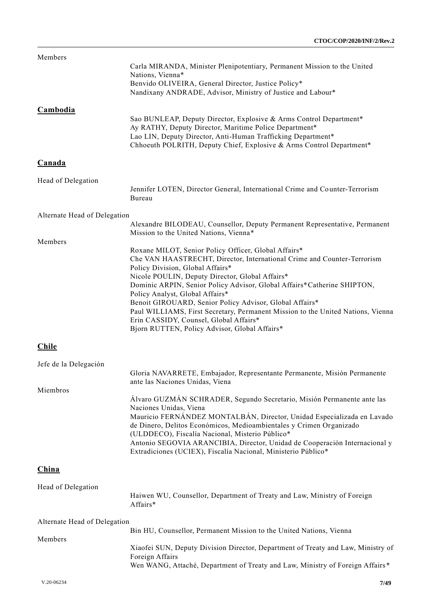| Members                      |                                                                                                                                                                                                                                                                                                                                                                                                                                                                                                                                                                               |
|------------------------------|-------------------------------------------------------------------------------------------------------------------------------------------------------------------------------------------------------------------------------------------------------------------------------------------------------------------------------------------------------------------------------------------------------------------------------------------------------------------------------------------------------------------------------------------------------------------------------|
|                              | Carla MIRANDA, Minister Plenipotentiary, Permanent Mission to the United<br>Nations, Vienna*                                                                                                                                                                                                                                                                                                                                                                                                                                                                                  |
|                              | Benvido OLIVEIRA, General Director, Justice Policy*<br>Nandixany ANDRADE, Advisor, Ministry of Justice and Labour*                                                                                                                                                                                                                                                                                                                                                                                                                                                            |
| <b>Cambodia</b>              | Sao BUNLEAP, Deputy Director, Explosive & Arms Control Department*<br>Ay RATHY, Deputy Director, Maritime Police Department*<br>Lao LIN, Deputy Director, Anti-Human Trafficking Department*<br>Chhoeuth POLRITH, Deputy Chief, Explosive & Arms Control Department*                                                                                                                                                                                                                                                                                                          |
| <b>Canada</b>                |                                                                                                                                                                                                                                                                                                                                                                                                                                                                                                                                                                               |
| Head of Delegation           |                                                                                                                                                                                                                                                                                                                                                                                                                                                                                                                                                                               |
|                              | Jennifer LOTEN, Director General, International Crime and Counter-Terrorism<br>Bureau                                                                                                                                                                                                                                                                                                                                                                                                                                                                                         |
| Alternate Head of Delegation |                                                                                                                                                                                                                                                                                                                                                                                                                                                                                                                                                                               |
|                              | Alexandre BILODEAU, Counsellor, Deputy Permanent Representative, Permanent<br>Mission to the United Nations, Vienna*                                                                                                                                                                                                                                                                                                                                                                                                                                                          |
| Members                      | Roxane MILOT, Senior Policy Officer, Global Affairs*<br>Che VAN HAASTRECHT, Director, International Crime and Counter-Terrorism<br>Policy Division, Global Affairs*<br>Nicole POULIN, Deputy Director, Global Affairs*<br>Dominic ARPIN, Senior Policy Advisor, Global Affairs*Catherine SHIPTON,<br>Policy Analyst, Global Affairs*<br>Benoit GIROUARD, Senior Policy Advisor, Global Affairs*<br>Paul WILLIAMS, First Secretary, Permanent Mission to the United Nations, Vienna<br>Erin CASSIDY, Counsel, Global Affairs*<br>Bjorn RUTTEN, Policy Advisor, Global Affairs* |
| <b>Chile</b>                 |                                                                                                                                                                                                                                                                                                                                                                                                                                                                                                                                                                               |
| Jefe de la Delegación        |                                                                                                                                                                                                                                                                                                                                                                                                                                                                                                                                                                               |
|                              | Gloria NAVARRETE, Embajador, Representante Permanente, Misión Permanente<br>ante las Naciones Unidas, Viena                                                                                                                                                                                                                                                                                                                                                                                                                                                                   |
| Miembros                     |                                                                                                                                                                                                                                                                                                                                                                                                                                                                                                                                                                               |
|                              | Álvaro GUZMÁN SCHRADER, Segundo Secretario, Misión Permanente ante las<br>Naciones Unidas, Viena<br>Mauricio FERNÁNDEZ MONTALBÁN, Director, Unidad Especializada en Lavado<br>de Dinero, Delitos Económicos, Medioambientales y Crimen Organizado<br>(ULDDECO), Fiscalía Nacional, Misterio Público*<br>Antonio SEGOVIA ARANCIBIA, Director, Unidad de Cooperación Internacional y<br>Extradiciones (UCIEX), Fiscalía Nacional, Ministerio Público*                                                                                                                           |
| <b>China</b>                 |                                                                                                                                                                                                                                                                                                                                                                                                                                                                                                                                                                               |
| Head of Delegation           | Haiwen WU, Counsellor, Department of Treaty and Law, Ministry of Foreign<br>Affairs*                                                                                                                                                                                                                                                                                                                                                                                                                                                                                          |
| Alternate Head of Delegation |                                                                                                                                                                                                                                                                                                                                                                                                                                                                                                                                                                               |
| Members                      | Bin HU, Counsellor, Permanent Mission to the United Nations, Vienna                                                                                                                                                                                                                                                                                                                                                                                                                                                                                                           |
|                              | Xiaofei SUN, Deputy Division Director, Department of Treaty and Law, Ministry of<br>Foreign Affairs<br>Wen WANG, Attaché, Department of Treaty and Law, Ministry of Foreign Affairs*                                                                                                                                                                                                                                                                                                                                                                                          |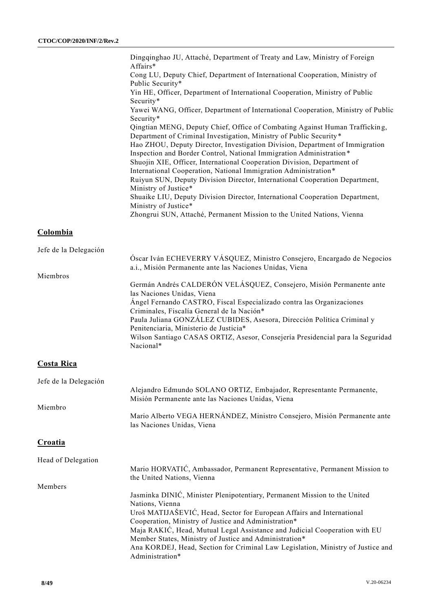| Dingqinghao JU, Attaché, Department of Treaty and Law, Ministry of Foreign<br>Affairs* |
|----------------------------------------------------------------------------------------|
| Cong LU, Deputy Chief, Department of International Cooperation, Ministry of            |
| Public Security*                                                                       |
| Yin HE, Officer, Department of International Cooperation, Ministry of Public           |
| Security*                                                                              |
| Yawei WANG, Officer, Department of International Cooperation, Ministry of Public       |
| Security*                                                                              |
| Qingtian MENG, Deputy Chief, Office of Combating Against Human Trafficking,            |
| Department of Criminal Investigation, Ministry of Public Security*                     |
| Hao ZHOU, Deputy Director, Investigation Division, Department of Immigration           |
| Inspection and Border Control, National Immigration Administration*                    |
| Shuojin XIE, Officer, International Cooperation Division, Department of                |
| International Cooperation, National Immigration Administration*                        |
| Ruiyun SUN, Deputy Division Director, International Cooperation Department,            |
| Ministry of Justice*                                                                   |
| Shuaike LIU, Deputy Division Director, International Cooperation Department,           |
| Ministry of Justice*                                                                   |
| Zhongrui SUN, Attaché, Permanent Mission to the United Nations, Vienna                 |
|                                                                                        |

# **Colombia**

| Jefe de la Delegación |                                                                                |
|-----------------------|--------------------------------------------------------------------------------|
|                       | Óscar Iván ECHEVERRY VÁSQUEZ, Ministro Consejero, Encargado de Negocios        |
|                       | a.i., Misión Permanente ante las Naciones Unidas, Viena                        |
| Miembros              |                                                                                |
|                       | Germán Andrés CALDERÓN VELÁSQUEZ, Consejero, Misión Permanente ante            |
|                       | las Naciones Unidas, Viena                                                     |
|                       | Ángel Fernando CASTRO, Fiscal Especializado contra las Organizaciones          |
|                       | Criminales, Fiscalía General de la Nación*                                     |
|                       | Paula Juliana GONZÁLEZ CUBIDES, Asesora, Dirección Política Criminal y         |
|                       | Penitenciaria, Ministerio de Justicia*                                         |
|                       | Wilson Santiago CASAS ORTIZ, Asesor, Consejería Presidencial para la Seguridad |
|                       | Nacional*                                                                      |
|                       |                                                                                |

# **Costa Rica**

| Jefe de la Delegación |                                                                                                                                                                                                                                            |
|-----------------------|--------------------------------------------------------------------------------------------------------------------------------------------------------------------------------------------------------------------------------------------|
|                       | Alejandro Edmundo SOLANO ORTIZ, Embajador, Representante Permanente,<br>Misión Permanente ante las Naciones Unidas, Viena                                                                                                                  |
| Miembro               |                                                                                                                                                                                                                                            |
|                       | Mario Alberto VEGA HERNÁNDEZ, Ministro Consejero, Misión Permanente ante<br>las Naciones Unidas, Viena                                                                                                                                     |
| Croatia               |                                                                                                                                                                                                                                            |
| Head of Delegation    |                                                                                                                                                                                                                                            |
|                       | Mario HORVATIĆ, Ambassador, Permanent Representative, Permanent Mission to<br>the United Nations, Vienna                                                                                                                                   |
| Members               |                                                                                                                                                                                                                                            |
|                       | Jasminka DINIĆ, Minister Plenipotentiary, Permanent Mission to the United<br>Nations, Vienna                                                                                                                                               |
|                       | Uroš MATIJAŠEVIĆ, Head, Sector for European Affairs and International                                                                                                                                                                      |
|                       | Cooperation, Ministry of Justice and Administration*                                                                                                                                                                                       |
|                       | Maja RAKIĆ, Head, Mutual Legal Assistance and Judicial Cooperation with EU<br>Member States, Ministry of Justice and Administration*<br>Ana KORDEJ, Head, Section for Criminal Law Legislation, Ministry of Justice and<br>Administration* |
|                       |                                                                                                                                                                                                                                            |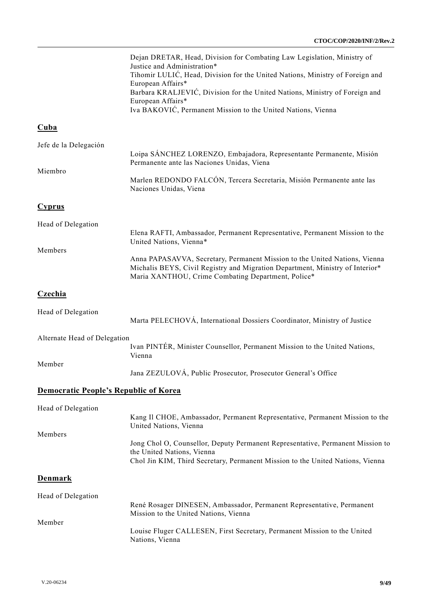|                                              | Dejan DRETAR, Head, Division for Combating Law Legislation, Ministry of<br>Justice and Administration*<br>Tihomir LULIĆ, Head, Division for the United Nations, Ministry of Foreign and<br>European Affairs*<br>Barbara KRALJEVIĆ, Division for the United Nations, Ministry of Foreign and<br>European Affairs*<br>Iva BAKOVIĆ, Permanent Mission to the United Nations, Vienna |
|----------------------------------------------|----------------------------------------------------------------------------------------------------------------------------------------------------------------------------------------------------------------------------------------------------------------------------------------------------------------------------------------------------------------------------------|
| Cuba                                         |                                                                                                                                                                                                                                                                                                                                                                                  |
| Jefe de la Delegación                        | Loipa SÁNCHEZ LORENZO, Embajadora, Representante Permanente, Misión                                                                                                                                                                                                                                                                                                              |
| Miembro                                      | Permanente ante las Naciones Unidas, Viena<br>Marlen REDONDO FALCÓN, Tercera Secretaria, Misión Permanente ante las<br>Naciones Unidas, Viena                                                                                                                                                                                                                                    |
| <b>Cyprus</b>                                |                                                                                                                                                                                                                                                                                                                                                                                  |
| Head of Delegation                           | Elena RAFTI, Ambassador, Permanent Representative, Permanent Mission to the<br>United Nations, Vienna*                                                                                                                                                                                                                                                                           |
| Members                                      | Anna PAPASAVVA, Secretary, Permanent Mission to the United Nations, Vienna<br>Michalis BEYS, Civil Registry and Migration Department, Ministry of Interior*<br>Maria XANTHOU, Crime Combating Department, Police*                                                                                                                                                                |
| <b>Czechia</b>                               |                                                                                                                                                                                                                                                                                                                                                                                  |
| Head of Delegation                           | Marta PELECHOVÁ, International Dossiers Coordinator, Ministry of Justice                                                                                                                                                                                                                                                                                                         |
| Alternate Head of Delegation                 | Ivan PINTÉR, Minister Counsellor, Permanent Mission to the United Nations,                                                                                                                                                                                                                                                                                                       |
| Member                                       | Vienna<br>Jana ZEZULOVÁ, Public Prosecutor, Prosecutor General's Office                                                                                                                                                                                                                                                                                                          |
| <b>Democratic People's Republic of Korea</b> |                                                                                                                                                                                                                                                                                                                                                                                  |
| Head of Delegation                           | Kang Il CHOE, Ambassador, Permanent Representative, Permanent Mission to the                                                                                                                                                                                                                                                                                                     |
| Members                                      | United Nations, Vienna<br>Jong Chol O, Counsellor, Deputy Permanent Representative, Permanent Mission to<br>the United Nations, Vienna<br>Chol Jin KIM, Third Secretary, Permanent Mission to the United Nations, Vienna                                                                                                                                                         |
| <b>Denmark</b>                               |                                                                                                                                                                                                                                                                                                                                                                                  |
| Head of Delegation                           | René Rosager DINESEN, Ambassador, Permanent Representative, Permanent<br>Mission to the United Nations, Vienna                                                                                                                                                                                                                                                                   |
| Member                                       | Louise Fluger CALLESEN, First Secretary, Permanent Mission to the United<br>Nations, Vienna                                                                                                                                                                                                                                                                                      |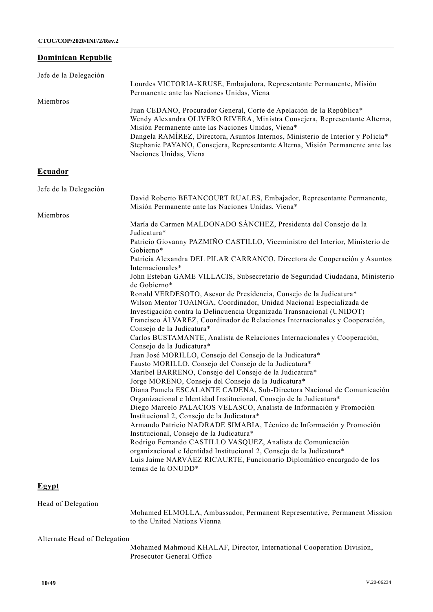# **Dominican Republic**

| Jefe de la Delegación |                                                                                                                                                                                                                                                                                                                                                                                                         |
|-----------------------|---------------------------------------------------------------------------------------------------------------------------------------------------------------------------------------------------------------------------------------------------------------------------------------------------------------------------------------------------------------------------------------------------------|
|                       | Lourdes VICTORIA-KRUSE, Embajadora, Representante Permanente, Misión<br>Permanente ante las Naciones Unidas, Viena                                                                                                                                                                                                                                                                                      |
| Miembros              | Juan CEDANO, Procurador General, Corte de Apelación de la República*<br>Wendy Alexandra OLIVERO RIVERA, Ministra Consejera, Representante Alterna,<br>Misión Permanente ante las Naciones Unidas, Viena*<br>Dangela RAMÍREZ, Directora, Asuntos Internos, Ministerio de Interior y Policía*<br>Stephanie PAYANO, Consejera, Representante Alterna, Misión Permanente ante las<br>Naciones Unidas, Viena |
| Ecuador               |                                                                                                                                                                                                                                                                                                                                                                                                         |
| Jefe de la Delegación |                                                                                                                                                                                                                                                                                                                                                                                                         |
|                       | David Roberto BETANCOURT RUALES, Embajador, Representante Permanente,<br>Misión Permanente ante las Naciones Unidas, Viena*                                                                                                                                                                                                                                                                             |
| Miembros              |                                                                                                                                                                                                                                                                                                                                                                                                         |
|                       | María de Carmen MALDONADO SÁNCHEZ, Presidenta del Consejo de la<br>Judicatura*                                                                                                                                                                                                                                                                                                                          |
|                       | Patricio Giovanny PAZMIÑO CASTILLO, Viceministro del Interior, Ministerio de<br>Gobierno*                                                                                                                                                                                                                                                                                                               |
|                       | Patricia Alexandra DEL PILAR CARRANCO, Directora de Cooperación y Asuntos<br>Internacionales*                                                                                                                                                                                                                                                                                                           |
|                       | John Esteban GAME VILLACIS, Subsecretario de Seguridad Ciudadana, Ministerio<br>de Gobierno*                                                                                                                                                                                                                                                                                                            |
|                       | Ronald VERDESOTO, Asesor de Presidencia, Consejo de la Judicatura*                                                                                                                                                                                                                                                                                                                                      |
|                       | Wilson Mentor TOAINGA, Coordinador, Unidad Nacional Especializada de                                                                                                                                                                                                                                                                                                                                    |
|                       | Investigación contra la Delincuencia Organizada Transnacional (UNIDOT)                                                                                                                                                                                                                                                                                                                                  |
|                       | Francisco ÁLVAREZ, Coordinador de Relaciones Internacionales y Cooperación,                                                                                                                                                                                                                                                                                                                             |
|                       | Consejo de la Judicatura*<br>Carlos BUSTAMANTE, Analista de Relaciones Internacionales y Cooperación,                                                                                                                                                                                                                                                                                                   |
|                       | Consejo de la Judicatura*                                                                                                                                                                                                                                                                                                                                                                               |
|                       | Juan José MORILLO, Consejo del Consejo de la Judicatura*                                                                                                                                                                                                                                                                                                                                                |
|                       | Fausto MORILLO, Consejo del Consejo de la Judicatura*                                                                                                                                                                                                                                                                                                                                                   |
|                       | Maribel BARRENO, Consejo del Consejo de la Judicatura*                                                                                                                                                                                                                                                                                                                                                  |
|                       | Jorge MORENO, Consejo del Consejo de la Judicatura*                                                                                                                                                                                                                                                                                                                                                     |
|                       | Diana Pamela ESCALANTE CADENA, Sub-Directora Nacional de Comunicación                                                                                                                                                                                                                                                                                                                                   |
|                       | Organizacional e Identidad Institucional, Consejo de la Judicatura*                                                                                                                                                                                                                                                                                                                                     |
|                       | Diego Marcelo PALACIOS VELASCO, Analista de Información y Promoción                                                                                                                                                                                                                                                                                                                                     |
|                       | Institucional 2, Consejo de la Judicatura*                                                                                                                                                                                                                                                                                                                                                              |
|                       | Armando Patricio NADRADE SIMABIA, Técnico de Información y Promoción<br>Institucional, Consejo de la Judicatura*                                                                                                                                                                                                                                                                                        |
|                       | Rodrigo Fernando CASTILLO VASQUEZ, Analista de Comunicación                                                                                                                                                                                                                                                                                                                                             |
|                       | organizacional e Identidad Institucional 2, Consejo de la Judicatura*                                                                                                                                                                                                                                                                                                                                   |
|                       | Luis Jaime NARVÁEZ RICAURTE, Funcionario Diplomático encargado de los<br>temas de la ONUDD*                                                                                                                                                                                                                                                                                                             |
| Egypt                 |                                                                                                                                                                                                                                                                                                                                                                                                         |

Head of Delegation

Mohamed ELMOLLA, Ambassador, Permanent Representative, Permanent Mission to the United Nations Vienna

Alternate Head of Delegation

Mohamed Mahmoud KHALAF, Director, International Cooperation Division, Prosecutor General Office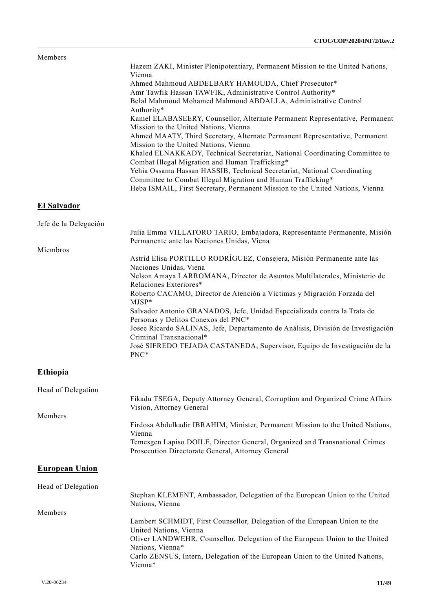# Members

| Hazem ZAKI, Minister Plenipotentiary, Permanent Mission to the United Nations, |
|--------------------------------------------------------------------------------|
| Vienna                                                                         |
| Ahmed Mahmoud ABDELBARY HAMOUDA, Chief Prosecutor*                             |
| Amr Tawfik Hassan TAWFIK, Administrative Control Authority*                    |
| Belal Mahmoud Mohamed Mahmoud ABDALLA, Administrative Control                  |
| Authority*                                                                     |
| Kamel ELABASEERY, Counsellor, Alternate Permanent Representative, Permanent    |
| Mission to the United Nations, Vienna                                          |
| Ahmed MAATY, Third Secretary, Alternate Permanent Representative, Permanent    |
| Mission to the United Nations, Vienna                                          |
| Khaled ELNAKKADY, Technical Secretariat, National Coordinating Committee to    |
| Combat Illegal Migration and Human Trafficking*                                |
| Yehia Ossama Hassan HASSIB, Technical Secretariat, National Coordinating       |
| Committee to Combat Illegal Migration and Human Trafficking*                   |
| Heba ISMAIL, First Secretary, Permanent Mission to the United Nations, Vienna  |

# **El Salvador**

| Jefe de la Delegación |                                                                                                                 |
|-----------------------|-----------------------------------------------------------------------------------------------------------------|
|                       | Julia Emma VILLATORO TARIO, Embajadora, Representante Permanente, Misión                                        |
|                       | Permanente ante las Naciones Unidas, Viena                                                                      |
| Miembros              |                                                                                                                 |
|                       | Astrid Elisa PORTILLO RODRÍGUEZ, Consejera, Misión Permanente ante las                                          |
|                       | Naciones Unidas, Viena                                                                                          |
|                       | Nelson Amaya LARROMANA, Director de Asuntos Multilaterales, Ministerio de                                       |
|                       | Relaciones Exteriores*                                                                                          |
|                       | Roberto CACAMO, Director de Atención a Víctimas y Migración Forzada del                                         |
|                       | $MJSP*$                                                                                                         |
|                       | Salvador Antonio GRANADOS, Jefe, Unidad Especializada contra la Trata de<br>Personas y Delitos Conexos del PNC* |
|                       |                                                                                                                 |
|                       | Josee Ricardo SALINAS, Jefe, Departamento de Análisis, División de Investigación                                |
|                       | Criminal Transnacional*                                                                                         |
|                       | José SIFREDO TEJADA CASTANEDA, Supervisor, Equipo de Investigación de la<br>PNC <sup>*</sup>                    |
|                       |                                                                                                                 |

# **Ethiopia**

| Head of Delegation    |                                                                                                                                  |
|-----------------------|----------------------------------------------------------------------------------------------------------------------------------|
|                       | Fikadu TSEGA, Deputy Attorney General, Corruption and Organized Crime Affairs<br>Vision, Attorney General                        |
| Members               |                                                                                                                                  |
|                       | Firdosa Abdulkadir IBRAHIM, Minister, Permanent Mission to the United Nations,<br>Vienna                                         |
|                       | Temesgen Lapiso DOILE, Director General, Organized and Transnational Crimes<br>Prosecution Directorate General, Attorney General |
| <b>European Union</b> |                                                                                                                                  |
| Head of Delegation    |                                                                                                                                  |
|                       | Stephan KLEMENT, Ambassador, Delegation of the European Union to the United<br>Nations, Vienna                                   |
| Members               |                                                                                                                                  |
|                       | Lambert SCHMIDT, First Counsellor, Delegation of the European Union to the<br>United Nations, Vienna                             |
|                       | Oliver LANDWEHR, Counsellor, Delegation of the European Union to the United<br>Nations, Vienna*                                  |
|                       | Carlo ZENSUS, Intern, Delegation of the European Union to the United Nations,<br>Vienna*                                         |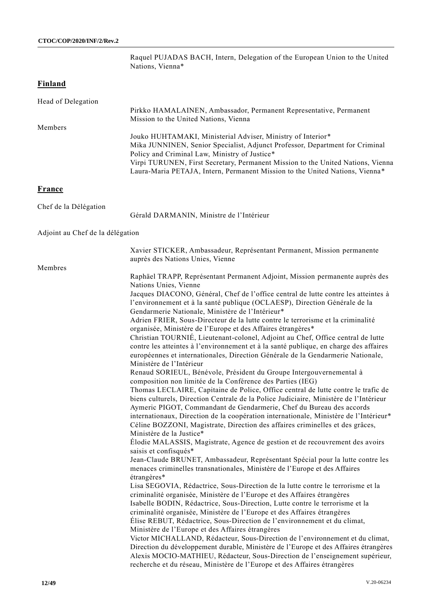Raquel PUJADAS BACH, Intern, Delegation of the European Union to the United Nations, Vienna\*

# **Finland**

| Head of Delegation               |                                                                                                                                                                                                                                                                                                                                                                                                                                                                                                                                                                                                                                                                                                                                                                                                                                                                                                                                                                                                                                                                                                                                                                                                                                                                                                                                                                                                                                                                                                                                                                                                                                                                                                                                                                                                                                                                                                                                                                                                                                                                                                                                                                                                                                                                                                                                                                                        |
|----------------------------------|----------------------------------------------------------------------------------------------------------------------------------------------------------------------------------------------------------------------------------------------------------------------------------------------------------------------------------------------------------------------------------------------------------------------------------------------------------------------------------------------------------------------------------------------------------------------------------------------------------------------------------------------------------------------------------------------------------------------------------------------------------------------------------------------------------------------------------------------------------------------------------------------------------------------------------------------------------------------------------------------------------------------------------------------------------------------------------------------------------------------------------------------------------------------------------------------------------------------------------------------------------------------------------------------------------------------------------------------------------------------------------------------------------------------------------------------------------------------------------------------------------------------------------------------------------------------------------------------------------------------------------------------------------------------------------------------------------------------------------------------------------------------------------------------------------------------------------------------------------------------------------------------------------------------------------------------------------------------------------------------------------------------------------------------------------------------------------------------------------------------------------------------------------------------------------------------------------------------------------------------------------------------------------------------------------------------------------------------------------------------------------------|
| Members                          | Pirkko HAMALAINEN, Ambassador, Permanent Representative, Permanent<br>Mission to the United Nations, Vienna                                                                                                                                                                                                                                                                                                                                                                                                                                                                                                                                                                                                                                                                                                                                                                                                                                                                                                                                                                                                                                                                                                                                                                                                                                                                                                                                                                                                                                                                                                                                                                                                                                                                                                                                                                                                                                                                                                                                                                                                                                                                                                                                                                                                                                                                            |
|                                  | Jouko HUHTAMAKI, Ministerial Adviser, Ministry of Interior*<br>Mika JUNNINEN, Senior Specialist, Adjunct Professor, Department for Criminal<br>Policy and Criminal Law, Ministry of Justice*<br>Virpi TURUNEN, First Secretary, Permanent Mission to the United Nations, Vienna<br>Laura-Maria PETAJA, Intern, Permanent Mission to the United Nations, Vienna*                                                                                                                                                                                                                                                                                                                                                                                                                                                                                                                                                                                                                                                                                                                                                                                                                                                                                                                                                                                                                                                                                                                                                                                                                                                                                                                                                                                                                                                                                                                                                                                                                                                                                                                                                                                                                                                                                                                                                                                                                        |
| <u>France</u>                    |                                                                                                                                                                                                                                                                                                                                                                                                                                                                                                                                                                                                                                                                                                                                                                                                                                                                                                                                                                                                                                                                                                                                                                                                                                                                                                                                                                                                                                                                                                                                                                                                                                                                                                                                                                                                                                                                                                                                                                                                                                                                                                                                                                                                                                                                                                                                                                                        |
| Chef de la Délégation            |                                                                                                                                                                                                                                                                                                                                                                                                                                                                                                                                                                                                                                                                                                                                                                                                                                                                                                                                                                                                                                                                                                                                                                                                                                                                                                                                                                                                                                                                                                                                                                                                                                                                                                                                                                                                                                                                                                                                                                                                                                                                                                                                                                                                                                                                                                                                                                                        |
|                                  | Gérald DARMANIN, Ministre de l'Intérieur                                                                                                                                                                                                                                                                                                                                                                                                                                                                                                                                                                                                                                                                                                                                                                                                                                                                                                                                                                                                                                                                                                                                                                                                                                                                                                                                                                                                                                                                                                                                                                                                                                                                                                                                                                                                                                                                                                                                                                                                                                                                                                                                                                                                                                                                                                                                               |
| Adjoint au Chef de la délégation |                                                                                                                                                                                                                                                                                                                                                                                                                                                                                                                                                                                                                                                                                                                                                                                                                                                                                                                                                                                                                                                                                                                                                                                                                                                                                                                                                                                                                                                                                                                                                                                                                                                                                                                                                                                                                                                                                                                                                                                                                                                                                                                                                                                                                                                                                                                                                                                        |
|                                  | Xavier STICKER, Ambassadeur, Représentant Permanent, Mission permanente<br>auprès des Nations Unies, Vienne                                                                                                                                                                                                                                                                                                                                                                                                                                                                                                                                                                                                                                                                                                                                                                                                                                                                                                                                                                                                                                                                                                                                                                                                                                                                                                                                                                                                                                                                                                                                                                                                                                                                                                                                                                                                                                                                                                                                                                                                                                                                                                                                                                                                                                                                            |
| Membres                          | Raphäel TRAPP, Représentant Permanent Adjoint, Mission permanente auprès des<br>Nations Unies, Vienne<br>Jacques DIACONO, Général, Chef de l'office central de lutte contre les atteintes à<br>l'environnement et à la santé publique (OCLAESP), Direction Générale de la<br>Gendarmerie Nationale, Ministère de l'Intérieur*<br>Adrien FRIER, Sous-Directeur de la lutte contre le terrorisme et la criminalité<br>organisée, Ministère de l'Europe et des Affaires étrangères*<br>Christian TOURNIÉ, Lieutenant-colonel, Adjoint au Chef, Office central de lutte<br>contre les atteintes à l'environnement et à la santé publique, en charge des affaires<br>européennes et internationales, Direction Générale de la Gendarmerie Nationale,<br>Ministère de l'Intérieur<br>Renaud SORIEUL, Bénévole, Président du Groupe Intergouvernemental à<br>composition non limitée de la Conférence des Parties (IEG)<br>Thomas LECLAIRE, Capitaine de Police, Office central de lutte contre le trafic de<br>biens culturels, Direction Centrale de la Police Judiciaire, Ministère de l'Intérieur<br>Aymeric PIGOT, Commandant de Gendarmerie, Chef du Bureau des accords<br>internationaux, Direction de la coopération internationale, Ministère de l'Intérieur*<br>Céline BOZZONI, Magistrate, Direction des affaires criminelles et des grâces,<br>Ministère de la Justice*<br>Élodie MALASSIS, Magistrate, Agence de gestion et de recouvrement des avoirs<br>saisis et confisqués*<br>Jean-Claude BRUNET, Ambassadeur, Représentant Spécial pour la lutte contre les<br>menaces criminelles transnationales, Ministère de l'Europe et des Affaires<br>étrangères*<br>Lisa SEGOVIA, Rédactrice, Sous-Direction de la lutte contre le terrorisme et la<br>criminalité organisée, Ministère de l'Europe et des Affaires étrangères<br>Isabelle BODIN, Rédactrice, Sous-Direction, Lutte contre le terrorisme et la<br>criminalité organisée, Ministère de l'Europe et des Affaires étrangères<br>Élise REBUT, Rédactrice, Sous-Direction de l'environnement et du climat,<br>Ministère de l'Europe et des Affaires étrangères<br>Victor MICHALLAND, Rédacteur, Sous-Direction de l'environnement et du climat,<br>Direction du développement durable, Ministère de l'Europe et des Affaires étrangères<br>Alexis MOCIO-MATHIEU, Rédacteur, Sous-Direction de l'enseignement supérieur, |

recherche et du réseau, Ministère de l'Europe et des Affaires étrangères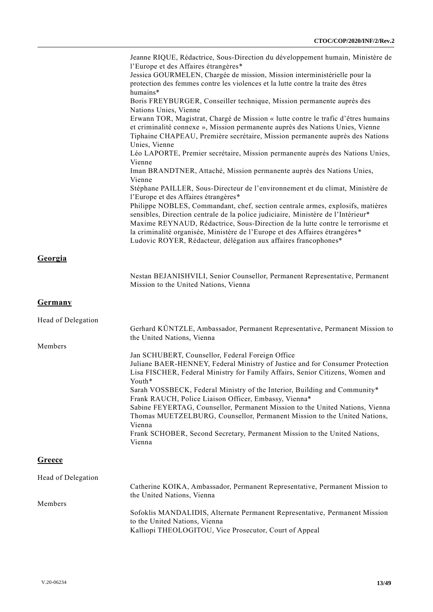| Jeanne RIQUE, Rédactrice, Sous-Direction du développement humain, Ministère de<br>l'Europe et des Affaires étrangères*<br>Jessica GOURMELEN, Chargée de mission, Mission interministérielle pour la<br>protection des femmes contre les violences et la lutte contre la traite des êtres                                                                                                               |
|--------------------------------------------------------------------------------------------------------------------------------------------------------------------------------------------------------------------------------------------------------------------------------------------------------------------------------------------------------------------------------------------------------|
| humains*<br>Boris FREYBURGER, Conseiller technique, Mission permanente auprès des<br>Nations Unies, Vienne                                                                                                                                                                                                                                                                                             |
| Erwann TOR, Magistrat, Chargé de Mission « lutte contre le trafic d'êtres humains<br>et criminalité connexe », Mission permanente auprès des Nations Unies, Vienne<br>Tiphaine CHAPEAU, Première secrétaire, Mission permanente auprès des Nations<br>Unies, Vienne                                                                                                                                    |
| Léo LAPORTE, Premier secrétaire, Mission permanente auprès des Nations Unies,<br>Vienne                                                                                                                                                                                                                                                                                                                |
| Iman BRANDTNER, Attaché, Mission permanente auprès des Nations Unies,<br>Vienne                                                                                                                                                                                                                                                                                                                        |
| Stéphane PAILLER, Sous-Directeur de l'environnement et du climat, Ministère de<br>l'Europe et des Affaires étrangères*                                                                                                                                                                                                                                                                                 |
| Philippe NOBLES, Commandant, chef, section centrale armes, explosifs, matières<br>sensibles, Direction centrale de la police judiciaire, Ministère de l'Intérieur*<br>Maxime REYNAUD, Rédactrice, Sous-Direction de la lutte contre le terrorisme et<br>la criminalité organisée, Ministère de l'Europe et des Affaires étrangères*<br>Ludovic ROYER, Rédacteur, délégation aux affaires francophones* |
|                                                                                                                                                                                                                                                                                                                                                                                                        |
| Nestan BEJANISHVILI, Senior Counsellor, Permanent Representative, Permanent<br>Mission to the United Nations, Vienna                                                                                                                                                                                                                                                                                   |
|                                                                                                                                                                                                                                                                                                                                                                                                        |
| Gerhard KÜNTZLE, Ambassador, Permanent Representative, Permanent Mission to<br>the United Nations, Vienna                                                                                                                                                                                                                                                                                              |
| Jan SCHUBERT, Counsellor, Federal Foreign Office                                                                                                                                                                                                                                                                                                                                                       |
| Juliane BAER-HENNEY, Federal Ministry of Justice and for Consumer Protection<br>Lisa FISCHER, Federal Ministry for Family Affairs, Senior Citizens, Women and                                                                                                                                                                                                                                          |
| Youth*<br>Sarah VOSSBECK, Federal Ministry of the Interior, Building and Community*<br>Frank RAUCH, Police Liaison Officer, Embassy, Vienna*                                                                                                                                                                                                                                                           |
| Sabine FEYERTAG, Counsellor, Permanent Mission to the United Nations, Vienna<br>Thomas MUETZELBURG, Counsellor, Permanent Mission to the United Nations,<br>Vienna                                                                                                                                                                                                                                     |
| Frank SCHOBER, Second Secretary, Permanent Mission to the United Nations,<br>Vienna                                                                                                                                                                                                                                                                                                                    |
|                                                                                                                                                                                                                                                                                                                                                                                                        |
|                                                                                                                                                                                                                                                                                                                                                                                                        |
| Catherine KOIKA, Ambassador, Permanent Representative, Permanent Mission to<br>the United Nations, Vienna                                                                                                                                                                                                                                                                                              |
| Sofoklis MANDALIDIS, Alternate Permanent Representative, Permanent Mission<br>to the United Nations, Vienna<br>Kalliopi THEOLOGITOU, Vice Prosecutor, Court of Appeal                                                                                                                                                                                                                                  |
|                                                                                                                                                                                                                                                                                                                                                                                                        |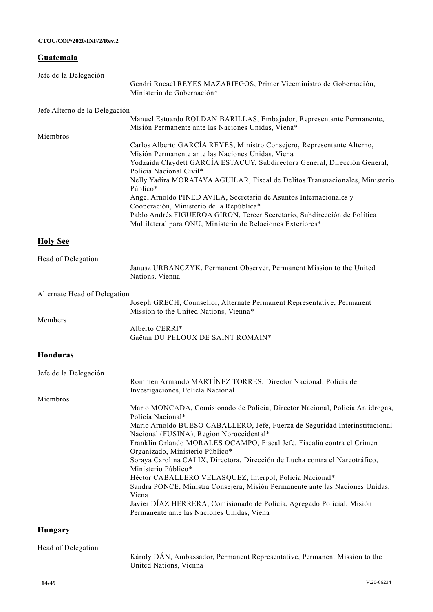# **Guatemala** Jefe de la Delegación Gendri Rocael REYES MAZARIEGOS, Primer Viceministro de Gobernación, Ministerio de Gobernación\* Jefe Alterno de la Delegación Manuel Estuardo ROLDAN BARILLAS, Embajador, Representante Permanente, Misión Permanente ante las Naciones Unidas, Viena\* Miembros Carlos Alberto GARCÍA REYES, Ministro Consejero, Representante Alterno, Misión Permanente ante las Naciones Unidas, Viena Yodzaida Claydett GARCÍA ESTACUY, Subdirectora General, Dirección General, Policía Nacional Civil\* Nelly Yadira MORATAYA AGUILAR, Fiscal de Delitos Transnacionales, Ministerio Público\* Ángel Arnoldo PINED AVILA, Secretario de Asuntos Internacionales y Cooperación, Ministerio de la República\* Pablo Andrés FIGUEROA GIRON, Tercer Secretario, Subdirección de Política Multilateral para ONU, Ministerio de Relaciones Exteriores\* **Holy See** Head of Delegation

| Head of Delegation           | Janusz URBANCZYK, Permanent Observer, Permanent Mission to the United<br>Nations, Vienna                                |
|------------------------------|-------------------------------------------------------------------------------------------------------------------------|
| Alternate Head of Delegation |                                                                                                                         |
|                              | Joseph GRECH, Counsellor, Alternate Permanent Representative, Permanent<br>Mission to the United Nations, Vienna*       |
| Members                      |                                                                                                                         |
|                              | Alberto CERRI*<br>Gaëtan DU PELOUX DE SAINT ROMAIN*                                                                     |
| <u>Honduras</u>              |                                                                                                                         |
| Jefe de la Delegación        |                                                                                                                         |
|                              | Rommen Armando MARTÍNEZ TORRES, Director Nacional, Policía de                                                           |
|                              | Investigaciones, Policía Nacional                                                                                       |
| Miembros                     |                                                                                                                         |
|                              | Mario MONCADA, Comisionado de Policía, Director Nacional, Policía Antidrogas,<br>Policía Nacional*                      |
|                              | Mario Arnoldo BUESO CABALLERO, Jefe, Fuerza de Seguridad Interinstitucional<br>Nacional (FUSINA), Región Noroccidental* |
|                              | Franklin Orlando MORALES OCAMPO, Fiscal Jefe, Fiscalía contra el Crimen<br>Organizado, Ministerio Público*              |
|                              | Soraya Carolina CALIX, Directora, Dirección de Lucha contra el Narcotráfico,                                            |
|                              | Ministerio Público*                                                                                                     |
|                              | Héctor CABALLERO VELASQUEZ, Interpol, Policía Nacional*                                                                 |
|                              | Sandra PONCE, Ministra Consejera, Misión Permanente ante las Naciones Unidas,<br>Viena                                  |
|                              | Javier DÍAZ HERRERA, Comisionado de Policía, Agregado Policial, Misión                                                  |
|                              | Permanente ante las Naciones Unidas, Viena                                                                              |

# **Hungary**

Károly DÁN, Ambassador, Permanent Representative, Permanent Mission to the United Nations, Vienna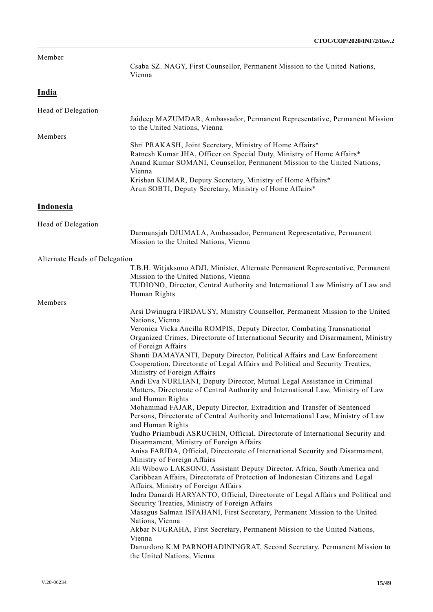| Member                        |                                                                                                                                                                                                                                                                                                                                                                                                                                                                                                                                                                                                                                                                                                                                                                                                                                                                                                                                                                                                                                                                                                                                                                                                                                                                                                                                                                                                                                                                                                                                                                                                                                                                                                                                                |
|-------------------------------|------------------------------------------------------------------------------------------------------------------------------------------------------------------------------------------------------------------------------------------------------------------------------------------------------------------------------------------------------------------------------------------------------------------------------------------------------------------------------------------------------------------------------------------------------------------------------------------------------------------------------------------------------------------------------------------------------------------------------------------------------------------------------------------------------------------------------------------------------------------------------------------------------------------------------------------------------------------------------------------------------------------------------------------------------------------------------------------------------------------------------------------------------------------------------------------------------------------------------------------------------------------------------------------------------------------------------------------------------------------------------------------------------------------------------------------------------------------------------------------------------------------------------------------------------------------------------------------------------------------------------------------------------------------------------------------------------------------------------------------------|
|                               | Csaba SZ. NAGY, First Counsellor, Permanent Mission to the United Nations,<br>Vienna                                                                                                                                                                                                                                                                                                                                                                                                                                                                                                                                                                                                                                                                                                                                                                                                                                                                                                                                                                                                                                                                                                                                                                                                                                                                                                                                                                                                                                                                                                                                                                                                                                                           |
| <b>India</b>                  |                                                                                                                                                                                                                                                                                                                                                                                                                                                                                                                                                                                                                                                                                                                                                                                                                                                                                                                                                                                                                                                                                                                                                                                                                                                                                                                                                                                                                                                                                                                                                                                                                                                                                                                                                |
| Head of Delegation            |                                                                                                                                                                                                                                                                                                                                                                                                                                                                                                                                                                                                                                                                                                                                                                                                                                                                                                                                                                                                                                                                                                                                                                                                                                                                                                                                                                                                                                                                                                                                                                                                                                                                                                                                                |
|                               | Jaideep MAZUMDAR, Ambassador, Permanent Representative, Permanent Mission<br>to the United Nations, Vienna                                                                                                                                                                                                                                                                                                                                                                                                                                                                                                                                                                                                                                                                                                                                                                                                                                                                                                                                                                                                                                                                                                                                                                                                                                                                                                                                                                                                                                                                                                                                                                                                                                     |
| Members                       | Shri PRAKASH, Joint Secretary, Ministry of Home Affairs*<br>Ratnesh Kumar JHA, Officer on Special Duty, Ministry of Home Affairs*<br>Anand Kumar SOMANI, Counsellor, Permanent Mission to the United Nations,<br>Vienna<br>Krishan KUMAR, Deputy Secretary, Ministry of Home Affairs*<br>Arun SOBTI, Deputy Secretary, Ministry of Home Affairs*                                                                                                                                                                                                                                                                                                                                                                                                                                                                                                                                                                                                                                                                                                                                                                                                                                                                                                                                                                                                                                                                                                                                                                                                                                                                                                                                                                                               |
| <b>Indonesia</b>              |                                                                                                                                                                                                                                                                                                                                                                                                                                                                                                                                                                                                                                                                                                                                                                                                                                                                                                                                                                                                                                                                                                                                                                                                                                                                                                                                                                                                                                                                                                                                                                                                                                                                                                                                                |
| Head of Delegation            | Darmansjah DJUMALA, Ambassador, Permanent Representative, Permanent<br>Mission to the United Nations, Vienna                                                                                                                                                                                                                                                                                                                                                                                                                                                                                                                                                                                                                                                                                                                                                                                                                                                                                                                                                                                                                                                                                                                                                                                                                                                                                                                                                                                                                                                                                                                                                                                                                                   |
| Alternate Heads of Delegation |                                                                                                                                                                                                                                                                                                                                                                                                                                                                                                                                                                                                                                                                                                                                                                                                                                                                                                                                                                                                                                                                                                                                                                                                                                                                                                                                                                                                                                                                                                                                                                                                                                                                                                                                                |
|                               | T.B.H. Witjaksono ADJI, Minister, Alternate Permanent Representative, Permanent<br>Mission to the United Nations, Vienna<br>TUDIONO, Director, Central Authority and International Law Ministry of Law and<br>Human Rights                                                                                                                                                                                                                                                                                                                                                                                                                                                                                                                                                                                                                                                                                                                                                                                                                                                                                                                                                                                                                                                                                                                                                                                                                                                                                                                                                                                                                                                                                                                     |
|                               |                                                                                                                                                                                                                                                                                                                                                                                                                                                                                                                                                                                                                                                                                                                                                                                                                                                                                                                                                                                                                                                                                                                                                                                                                                                                                                                                                                                                                                                                                                                                                                                                                                                                                                                                                |
| Members                       | Arsi Dwinugra FIRDAUSY, Ministry Counsellor, Permanent Mission to the United<br>Nations, Vienna<br>Veronica Vicka Ancilla ROMPIS, Deputy Director, Combating Transnational<br>Organized Crimes, Directorate of International Security and Disarmament, Ministry<br>of Foreign Affairs<br>Shanti DAMAYANTI, Deputy Director, Political Affairs and Law Enforcement<br>Cooperation, Directorate of Legal Affairs and Political and Security Treaties,<br>Ministry of Foreign Affairs<br>Andi Eva NURLIANI, Deputy Director, Mutual Legal Assistance in Criminal<br>Matters, Directorate of Central Authority and International Law, Ministry of Law<br>and Human Rights<br>Mohammad FAJAR, Deputy Director, Extradition and Transfer of Sentenced<br>Persons, Directorate of Central Authority and International Law, Ministry of Law<br>and Human Rights<br>Yudho Priambudi ASRUCHIN, Official, Directorate of International Security and<br>Disarmament, Ministry of Foreign Affairs<br>Anisa FARIDA, Official, Directorate of International Security and Disarmament,<br>Ministry of Foreign Affairs<br>Ali Wibowo LAKSONO, Assistant Deputy Director, Africa, South America and<br>Caribbean Affairs, Directorate of Protection of Indonesian Citizens and Legal<br>Affairs, Ministry of Foreign Affairs<br>Indra Danardi HARYANTO, Official, Directorate of Legal Affairs and Political and<br>Security Treaties, Ministry of Foreign Affairs<br>Masagus Salman ISFAHANI, First Secretary, Permanent Mission to the United<br>Nations, Vienna<br>Akbar NUGRAHA, First Secretary, Permanent Mission to the United Nations,<br>Vienna<br>Danurdoro K.M PARNOHADININGRAT, Second Secretary, Permanent Mission to<br>the United Nations, Vienna |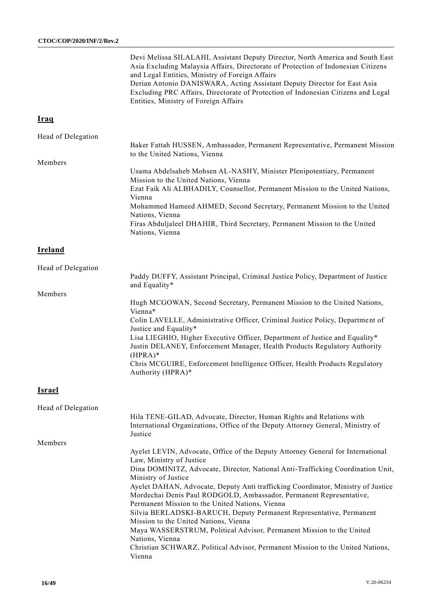|                    | Derian Antonio DANISWARA, Acting Assistant Deputy Director for East Asia<br>Excluding PRC Affairs, Directorate of Protection of Indonesian Citizens and Legal<br>Entities, Ministry of Foreign Affairs |
|--------------------|--------------------------------------------------------------------------------------------------------------------------------------------------------------------------------------------------------|
| <b>Iraq</b>        |                                                                                                                                                                                                        |
| Head of Delegation |                                                                                                                                                                                                        |
|                    | Baker Fattah HUSSEN, Ambassador, Permanent Representative, Permanent Mission<br>to the United Nations, Vienna                                                                                          |
| Members            |                                                                                                                                                                                                        |
|                    | Usama Abdelsaheb Mohsen AL-NASHY, Minister Plenipotentiary, Permanent<br>Mission to the United Nations, Vienna                                                                                         |
|                    | Ezat Faik Ali ALBHADILY, Counsellor, Permanent Mission to the United Nations,<br>Vienna                                                                                                                |
|                    | Mohammed Hameed AHMED, Second Secretary, Permanent Mission to the United<br>Nations, Vienna                                                                                                            |
|                    | Firas Abduljaleel DHAHIR, Third Secretary, Permanent Mission to the United<br>Nations, Vienna                                                                                                          |
| <b>Ireland</b>     |                                                                                                                                                                                                        |
| Head of Delegation |                                                                                                                                                                                                        |
|                    | Paddy DUFFY, Assistant Principal, Criminal Justice Policy, Department of Justice<br>and Equality*                                                                                                      |
| Members            |                                                                                                                                                                                                        |
|                    | Hugh MCGOWAN, Second Secretary, Permanent Mission to the United Nations,<br>Vienna*                                                                                                                    |
|                    | Colin LAVELLE, Administrative Officer, Criminal Justice Policy, Department of<br>Justice and Equality*                                                                                                 |

and Legal Entities, Ministry of Foreign Affairs

Lisa LIEGHIO, Higher Executive Officer, Department of Justice and Equality\* Justin DELANEY, Enforcement Manager, Health Products Regulatory Authority (HPRA)\* Chris MCGUIRE, Enforcement Intelligence Officer, Health Products Regul atory Authority (HPRA)\*

Devi Melissa SILALAHI, Assistant Deputy Director, North America and South East Asia Excluding Malaysia Affairs, Directorate of Protection of Indonesian Citizens

# **Israel**

| Head of Delegation |                                                                                  |
|--------------------|----------------------------------------------------------------------------------|
|                    | Hila TENE-GILAD, Advocate, Director, Human Rights and Relations with             |
|                    | International Organizations, Office of the Deputy Attorney General, Ministry of  |
|                    | Justice                                                                          |
| Members            |                                                                                  |
|                    | Ayelet LEVIN, Advocate, Office of the Deputy Attorney General for International  |
|                    | Law, Ministry of Justice                                                         |
|                    | Dina DOMINITZ, Advocate, Director, National Anti-Trafficking Coordination Unit,  |
|                    | Ministry of Justice                                                              |
|                    | Ayelet DAHAN, Advocate, Deputy Anti trafficking Coordinator, Ministry of Justice |
|                    | Mordechai Denis Paul RODGOLD, Ambassador, Permanent Representative,              |
|                    | Permanent Mission to the United Nations, Vienna                                  |
|                    | Silvia BERLADSKI-BARUCH, Deputy Permanent Representative, Permanent              |
|                    | Mission to the United Nations, Vienna                                            |
|                    | Maya WASSERSTRUM, Political Advisor, Permanent Mission to the United             |
|                    | Nations, Vienna                                                                  |
|                    | Christian SCHWARZ, Political Advisor, Permanent Mission to the United Nations,   |
|                    | Vienna                                                                           |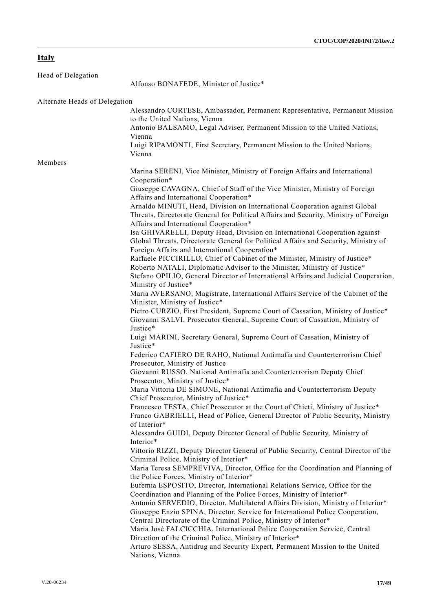# **Italy**

| Head of Delegation            |                                                                                                                                                                                                                                        |
|-------------------------------|----------------------------------------------------------------------------------------------------------------------------------------------------------------------------------------------------------------------------------------|
|                               | Alfonso BONAFEDE, Minister of Justice*                                                                                                                                                                                                 |
| Alternate Heads of Delegation |                                                                                                                                                                                                                                        |
|                               | Alessandro CORTESE, Ambassador, Permanent Representative, Permanent Mission<br>to the United Nations, Vienna                                                                                                                           |
|                               | Antonio BALSAMO, Legal Adviser, Permanent Mission to the United Nations,<br>Vienna                                                                                                                                                     |
|                               | Luigi RIPAMONTI, First Secretary, Permanent Mission to the United Nations,                                                                                                                                                             |
| Members                       | Vienna                                                                                                                                                                                                                                 |
|                               | Marina SERENI, Vice Minister, Ministry of Foreign Affairs and International                                                                                                                                                            |
|                               | Cooperation*<br>Giuseppe CAVAGNA, Chief of Staff of the Vice Minister, Ministry of Foreign                                                                                                                                             |
|                               | Affairs and International Cooperation*<br>Arnaldo MINUTI, Head, Division on International Cooperation against Global                                                                                                                   |
|                               | Threats, Directorate General for Political Affairs and Security, Ministry of Foreign<br>Affairs and International Cooperation*                                                                                                         |
|                               | Isa GHIVARELLI, Deputy Head, Division on International Cooperation against                                                                                                                                                             |
|                               | Global Threats, Directorate General for Political Affairs and Security, Ministry of<br>Foreign Affairs and International Cooperation*                                                                                                  |
|                               | Raffaele PICCIRILLO, Chief of Cabinet of the Minister, Ministry of Justice*                                                                                                                                                            |
|                               | Roberto NATALI, Diplomatic Advisor to the Minister, Ministry of Justice*<br>Stefano OPILIO, General Director of International Affairs and Judicial Cooperation,                                                                        |
|                               | Ministry of Justice*<br>Maria AVERSANO, Magistrate, International Affairs Service of the Cabinet of the                                                                                                                                |
|                               | Minister, Ministry of Justice*                                                                                                                                                                                                         |
|                               | Pietro CURZIO, First President, Supreme Court of Cassation, Ministry of Justice*<br>Giovanni SALVI, Prosecutor General, Supreme Court of Cassation, Ministry of                                                                        |
|                               | Justice*<br>Luigi MARINI, Secretary General, Supreme Court of Cassation, Ministry of<br>Justice*                                                                                                                                       |
|                               | Federico CAFIERO DE RAHO, National Antimafia and Counterterrorism Chief                                                                                                                                                                |
|                               | Prosecutor, Ministry of Justice<br>Giovanni RUSSO, National Antimafia and Counterterrorism Deputy Chief                                                                                                                                |
|                               | Prosecutor, Ministry of Justice*<br>Maria Vittoria DE SIMONE, National Antimafia and Counterterrorism Deputy                                                                                                                           |
|                               | Chief Prosecutor, Ministry of Justice*<br>Francesco TESTA, Chief Prosecutor at the Court of Chieti, Ministry of Justice*                                                                                                               |
|                               | Franco GABRIELLI, Head of Police, General Director of Public Security, Ministry<br>of Interior*                                                                                                                                        |
|                               | Alessandra GUIDI, Deputy Director General of Public Security, Ministry of                                                                                                                                                              |
|                               | Interior*<br>Vittorio RIZZI, Deputy Director General of Public Security, Central Director of the                                                                                                                                       |
|                               | Criminal Police, Ministry of Interior*<br>Maria Teresa SEMPREVIVA, Director, Office for the Coordination and Planning of                                                                                                               |
|                               | the Police Forces, Ministry of Interior*                                                                                                                                                                                               |
|                               | Eufemia ESPOSITO, Director, International Relations Service, Office for the<br>Coordination and Planning of the Police Forces, Ministry of Interior*                                                                                   |
|                               | Antonio SERVEDIO, Director, Multilateral Affairs Division, Ministry of Interior*<br>Giuseppe Enzio SPINA, Director, Service for International Police Cooperation,<br>Central Directorate of the Criminal Police, Ministry of Interior* |
|                               | Maria Josè FALCICCHIA, International Police Cooperation Service, Central                                                                                                                                                               |
|                               | Direction of the Criminal Police, Ministry of Interior*<br>Arturo SESSA, Antidrug and Security Expert, Permanent Mission to the United<br>Nations, Vienna                                                                              |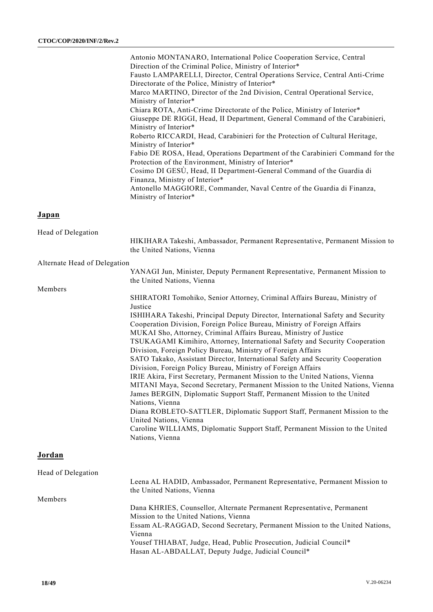| Antonio MONTANARO, International Police Cooperation Service, Central          |
|-------------------------------------------------------------------------------|
| Direction of the Criminal Police, Ministry of Interior*                       |
| Fausto LAMPARELLI, Director, Central Operations Service, Central Anti-Crime   |
| Directorate of the Police, Ministry of Interior*                              |
| Marco MARTINO, Director of the 2nd Division, Central Operational Service,     |
| Ministry of Interior*                                                         |
| Chiara ROTA, Anti-Crime Directorate of the Police, Ministry of Interior*      |
| Giuseppe DE RIGGI, Head, II Department, General Command of the Carabinieri,   |
| Ministry of Interior*                                                         |
| Roberto RICCARDI, Head, Carabinieri for the Protection of Cultural Heritage,  |
| Ministry of Interior*                                                         |
| Fabio DE ROSA, Head, Operations Department of the Carabinieri Command for the |
| Protection of the Environment, Ministry of Interior*                          |
| Cosimo DI GESÙ, Head, II Department-General Command of the Guardia di         |
| Finanza, Ministry of Interior*                                                |
| Antonello MAGGIORE, Commander, Naval Centre of the Guardia di Finanza,        |
| Ministry of Interior*                                                         |

# **Japan**

| Head of Delegation           |                                                                                                                                                                                                                                                                                                                                                                                                                                                                                                                                                                                                                                                                                                                                                                                                                                                                                                                                                                                                                                                                                                    |
|------------------------------|----------------------------------------------------------------------------------------------------------------------------------------------------------------------------------------------------------------------------------------------------------------------------------------------------------------------------------------------------------------------------------------------------------------------------------------------------------------------------------------------------------------------------------------------------------------------------------------------------------------------------------------------------------------------------------------------------------------------------------------------------------------------------------------------------------------------------------------------------------------------------------------------------------------------------------------------------------------------------------------------------------------------------------------------------------------------------------------------------|
|                              | HIKIHARA Takeshi, Ambassador, Permanent Representative, Permanent Mission to<br>the United Nations, Vienna                                                                                                                                                                                                                                                                                                                                                                                                                                                                                                                                                                                                                                                                                                                                                                                                                                                                                                                                                                                         |
| Alternate Head of Delegation |                                                                                                                                                                                                                                                                                                                                                                                                                                                                                                                                                                                                                                                                                                                                                                                                                                                                                                                                                                                                                                                                                                    |
|                              | YANAGI Jun, Minister, Deputy Permanent Representative, Permanent Mission to<br>the United Nations, Vienna                                                                                                                                                                                                                                                                                                                                                                                                                                                                                                                                                                                                                                                                                                                                                                                                                                                                                                                                                                                          |
| Members                      |                                                                                                                                                                                                                                                                                                                                                                                                                                                                                                                                                                                                                                                                                                                                                                                                                                                                                                                                                                                                                                                                                                    |
|                              | SHIRATORI Tomohiko, Senior Attorney, Criminal Affairs Bureau, Ministry of<br>Justice<br>ISHIHARA Takeshi, Principal Deputy Director, International Safety and Security<br>Cooperation Division, Foreign Police Bureau, Ministry of Foreign Affairs<br>MUKAI Sho, Attorney, Criminal Affairs Bureau, Ministry of Justice<br>TSUKAGAMI Kimihiro, Attorney, International Safety and Security Cooperation<br>Division, Foreign Policy Bureau, Ministry of Foreign Affairs<br>SATO Takako, Assistant Director, International Safety and Security Cooperation<br>Division, Foreign Policy Bureau, Ministry of Foreign Affairs<br>IRIE Akira, First Secretary, Permanent Mission to the United Nations, Vienna<br>MITANI Maya, Second Secretary, Permanent Mission to the United Nations, Vienna<br>James BERGIN, Diplomatic Support Staff, Permanent Mission to the United<br>Nations, Vienna<br>Diana ROBLETO-SATTLER, Diplomatic Support Staff, Permanent Mission to the<br>United Nations, Vienna<br>Caroline WILLIAMS, Diplomatic Support Staff, Permanent Mission to the United<br>Nations, Vienna |
| <b>Jordan</b>                |                                                                                                                                                                                                                                                                                                                                                                                                                                                                                                                                                                                                                                                                                                                                                                                                                                                                                                                                                                                                                                                                                                    |
| Head of Delegation           | Leena AL HADID, Ambassador, Permanent Representative, Permanent Mission to                                                                                                                                                                                                                                                                                                                                                                                                                                                                                                                                                                                                                                                                                                                                                                                                                                                                                                                                                                                                                         |
|                              | the United Nations, Vienna                                                                                                                                                                                                                                                                                                                                                                                                                                                                                                                                                                                                                                                                                                                                                                                                                                                                                                                                                                                                                                                                         |
| Members                      |                                                                                                                                                                                                                                                                                                                                                                                                                                                                                                                                                                                                                                                                                                                                                                                                                                                                                                                                                                                                                                                                                                    |
|                              | Dana KHRIES, Counsellor, Alternate Permanent Representative, Permanent<br>Mission to the United Nations, Vienna<br>Essam AL-RAGGAD, Second Secretary, Permanent Mission to the United Nations,<br>Vienna<br>Yousef THIABAT, Judge, Head, Public Prosecution, Judicial Council*<br>Hasan AL-ABDALLAT, Deputy Judge, Judicial Council*                                                                                                                                                                                                                                                                                                                                                                                                                                                                                                                                                                                                                                                                                                                                                               |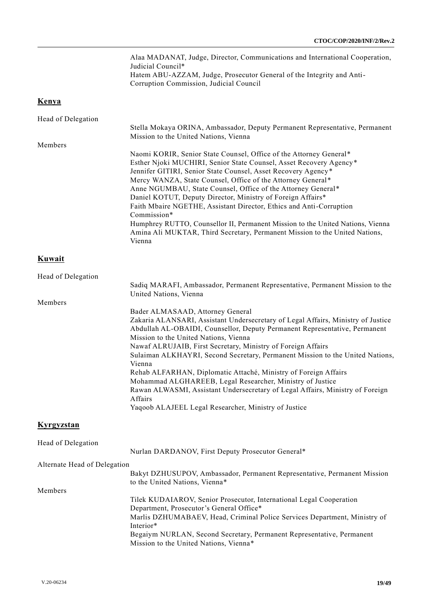Alaa MADANAT, Judge, Director, Communications and International Cooperation, Judicial Council\* Hatem ABU-AZZAM, Judge, Prosecutor General of the Integrity and Anti-Corruption Commission, Judicial Council

# **Kenya**

| Head of Delegation |                                                                                                                                                                                                                                                                                                                                                                                                                                                                                                                                                                                                                                                                          |
|--------------------|--------------------------------------------------------------------------------------------------------------------------------------------------------------------------------------------------------------------------------------------------------------------------------------------------------------------------------------------------------------------------------------------------------------------------------------------------------------------------------------------------------------------------------------------------------------------------------------------------------------------------------------------------------------------------|
|                    | Stella Mokaya ORINA, Ambassador, Deputy Permanent Representative, Permanent<br>Mission to the United Nations, Vienna                                                                                                                                                                                                                                                                                                                                                                                                                                                                                                                                                     |
| Members            |                                                                                                                                                                                                                                                                                                                                                                                                                                                                                                                                                                                                                                                                          |
|                    | Naomi KORIR, Senior State Counsel, Office of the Attorney General*<br>Esther Njoki MUCHIRI, Senior State Counsel, Asset Recovery Agency*<br>Jennifer GITIRI, Senior State Counsel, Asset Recovery Agency*<br>Mercy WANZA, State Counsel, Office of the Attorney General*<br>Anne NGUMBAU, State Counsel, Office of the Attorney General*<br>Daniel KOTUT, Deputy Director, Ministry of Foreign Affairs*<br>Faith Mbaire NGETHE, Assistant Director, Ethics and Anti-Corruption<br>Commission*<br>Humphrey RUTTO, Counsellor II, Permanent Mission to the United Nations, Vienna<br>Amina Ali MUKTAR, Third Secretary, Permanent Mission to the United Nations,<br>Vienna |
| Kuwait             |                                                                                                                                                                                                                                                                                                                                                                                                                                                                                                                                                                                                                                                                          |
| Head of Delegation |                                                                                                                                                                                                                                                                                                                                                                                                                                                                                                                                                                                                                                                                          |
|                    | Sadiq MARAFI, Ambassador, Permanent Representative, Permanent Mission to the<br>United Nations, Vienna                                                                                                                                                                                                                                                                                                                                                                                                                                                                                                                                                                   |
| Members            |                                                                                                                                                                                                                                                                                                                                                                                                                                                                                                                                                                                                                                                                          |
|                    | Bader ALMASAAD, Attorney General                                                                                                                                                                                                                                                                                                                                                                                                                                                                                                                                                                                                                                         |
|                    | Zakaria ALANSARI, Assistant Undersecretary of Legal Affairs, Ministry of Justice<br>Abdullah AL-OBAIDI, Counsellor, Deputy Permanent Representative, Permanent<br>Mission to the United Nations, Vienna<br>Nawaf ALRUJAIB, First Secretary, Ministry of Foreign Affairs<br>Sulaiman ALKHAYRI, Second Secretary, Permanent Mission to the United Nations,<br>Vienna<br>Rehab ALFARHAN, Diplomatic Attaché, Ministry of Foreign Affairs<br>Mohammad ALGHAREEB, Legal Researcher, Ministry of Justice<br>Rawan ALWASMI, Assistant Undersecretary of Legal Affairs, Ministry of Foreign<br>Affairs                                                                           |
|                    | Yaqoob ALAJEEL Legal Researcher, Ministry of Justice                                                                                                                                                                                                                                                                                                                                                                                                                                                                                                                                                                                                                     |
| Kvravzstan         |                                                                                                                                                                                                                                                                                                                                                                                                                                                                                                                                                                                                                                                                          |

# **Kyrgyzstan**

| Head of Delegation           |                                                                                                                 |
|------------------------------|-----------------------------------------------------------------------------------------------------------------|
|                              | Nurlan DARDANOV, First Deputy Prosecutor General*                                                               |
| Alternate Head of Delegation |                                                                                                                 |
|                              | Bakyt DZHUSUPOV, Ambassador, Permanent Representative, Permanent Mission<br>to the United Nations, Vienna*      |
| Members                      |                                                                                                                 |
|                              | Tilek KUDAIAROV, Senior Prosecutor, International Legal Cooperation<br>Department, Prosecutor's General Office* |
|                              | Marlis DZHUMABAEV, Head, Criminal Police Services Department, Ministry of<br>Interior*                          |
|                              | Begaiym NURLAN, Second Secretary, Permanent Representative, Permanent<br>Mission to the United Nations, Vienna* |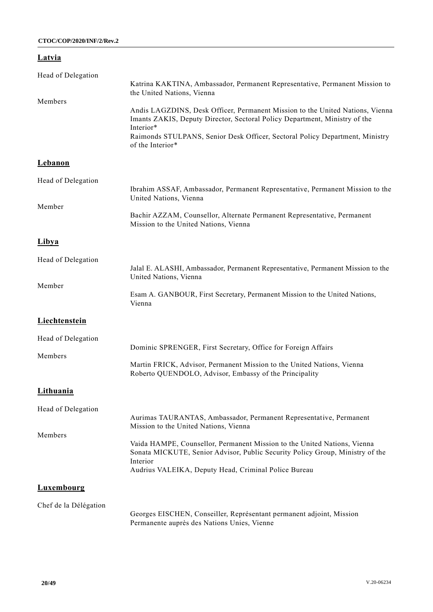# **Latvia**

| Head of Delegation    |                                                                                                                                                                                                                                                                              |
|-----------------------|------------------------------------------------------------------------------------------------------------------------------------------------------------------------------------------------------------------------------------------------------------------------------|
|                       | Katrina KAKTINA, Ambassador, Permanent Representative, Permanent Mission to<br>the United Nations, Vienna                                                                                                                                                                    |
| Members               | Andis LAGZDINS, Desk Officer, Permanent Mission to the United Nations, Vienna<br>Imants ZAKIS, Deputy Director, Sectoral Policy Department, Ministry of the<br>Interior*<br>Raimonds STULPANS, Senior Desk Officer, Sectoral Policy Department, Ministry<br>of the Interior* |
| <b>Lebanon</b>        |                                                                                                                                                                                                                                                                              |
| Head of Delegation    |                                                                                                                                                                                                                                                                              |
|                       | Ibrahim ASSAF, Ambassador, Permanent Representative, Permanent Mission to the<br>United Nations, Vienna                                                                                                                                                                      |
| Member                | Bachir AZZAM, Counsellor, Alternate Permanent Representative, Permanent<br>Mission to the United Nations, Vienna                                                                                                                                                             |
| <b>Libya</b>          |                                                                                                                                                                                                                                                                              |
| Head of Delegation    |                                                                                                                                                                                                                                                                              |
|                       | Jalal E. ALASHI, Ambassador, Permanent Representative, Permanent Mission to the<br>United Nations, Vienna                                                                                                                                                                    |
| Member                | Esam A. GANBOUR, First Secretary, Permanent Mission to the United Nations,<br>Vienna                                                                                                                                                                                         |
| Liechtenstein         |                                                                                                                                                                                                                                                                              |
| Head of Delegation    |                                                                                                                                                                                                                                                                              |
| Members               | Dominic SPRENGER, First Secretary, Office for Foreign Affairs                                                                                                                                                                                                                |
|                       | Martin FRICK, Advisor, Permanent Mission to the United Nations, Vienna<br>Roberto QUENDOLO, Advisor, Embassy of the Principality                                                                                                                                             |
| Lithuania             |                                                                                                                                                                                                                                                                              |
| Head of Delegation    |                                                                                                                                                                                                                                                                              |
|                       | Aurimas TAURANTAS, Ambassador, Permanent Representative, Permanent<br>Mission to the United Nations, Vienna                                                                                                                                                                  |
| Members               | Vaida HAMPE, Counsellor, Permanent Mission to the United Nations, Vienna<br>Sonata MICKUTE, Senior Advisor, Public Security Policy Group, Ministry of the<br>Interior<br>Audrius VALEIKA, Deputy Head, Criminal Police Bureau                                                |
| <b>Luxembourg</b>     |                                                                                                                                                                                                                                                                              |
| Chef de la Délégation | Georges EISCHEN, Conseiller, Représentant permanent adjoint, Mission<br>Permanente auprès des Nations Unies, Vienne                                                                                                                                                          |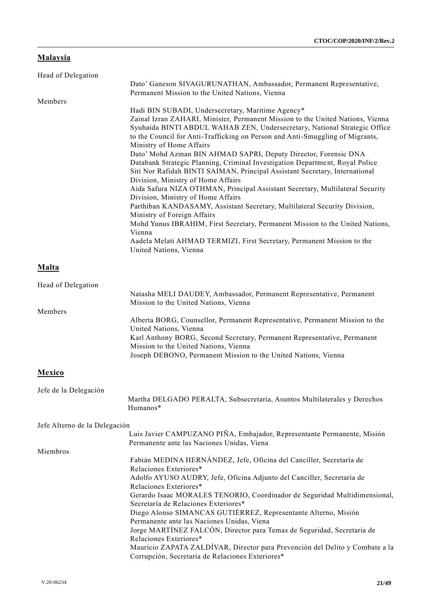# **Malaysia**

Head of Delegation Dato' Ganeson SIVAGURUNATHAN, Ambassador, Permanent Representative, Permanent Mission to the United Nations, Vienna Members Hadi BIN SUBADI, Undersecretary, Maritime Agency\* Zainal Izran ZAHARI, Minister, Permanent Mission to the United Nations, Vienna Syuhaida BINTI ABDUL WAHAB ZEN, Undersecretary, National Strategic Office to the Council for Anti-Trafficking on Person and Anti-Smuggling of Migrants, Ministry of Home Affairs Dato' Mohd Azman BIN AHMAD SAPRI, Deputy Director, Forensic DNA Databank Strategic Planning, Criminal Investigation Department, Royal Police Siti Nor Rafidah BINTI SAIMAN, Principal Assistant Secretary, International Division, Ministry of Home Affairs Aida Safura NIZA OTHMAN, Principal Assistant Secretary, Multilateral Security Division, Ministry of Home Affairs Parthiban KANDASAMY, Assistant Secretary, Multilateral Security Division, Ministry of Foreign Affairs Mohd Yunus IBRAHIM, First Secretary, Permanent Mission to the United Nations, Vienna Aadela Melati AHMAD TERMIZI, First Secretary, Permanent Mission to the United Nations, Vienna **Malta** Head of Delegation Natasha MELI DAUDEY, Ambassador, Permanent Representative, Permanent Mission to the United Nations, Vienna Members Alberta BORG, Counsellor, Permanent Representative, Permanent Mission to the United Nations, Vienna Karl Anthony BORG, Second Secretary, Permanent Representative, Permanent Mission to the United Nations, Vienna Joseph DEBONO, Permanent Mission to the United Nations, Vienna **Mexico** Jefe de la Delegación Martha DELGADO PERALTA, Subsecretaria, Asuntos Multilaterales y Derechos Humanos\* Jefe Alterno de la Delegación Luis Javier CAMPUZANO PIÑA, Embajador, Representante Permanente, Misión Permanente ante las Naciones Unidas, Viena Miembros Fabián MEDINA HERNÁNDEZ, Jefe, Oficina del Canciller, Secretaría de Relaciones Exteriores\* Adolfo AYUSO AUDRY, Jefe, Oficina Adjunto del Canciller, Secretaría de Relaciones Exteriores\* Gerardo Isaac MORALES TENORIO, Coordinador de Seguridad Multidimensional, Secretaría de Relaciones Exteriores\* Diego Alonso SIMANCAS GUTIÉRREZ, Representante Alterno, Misión Permanente ante las Naciones Unidas, Viena Jorge MARTÍNEZ FALCÓN, Director para Temas de Seguridad, Secretaria de Relaciones Exteriores\* Mauricio ZAPATA ZALDÍVAR, Director para Prevención del Delito y Combate a la Corrupción, Secretaria de Relaciones Exteriores\*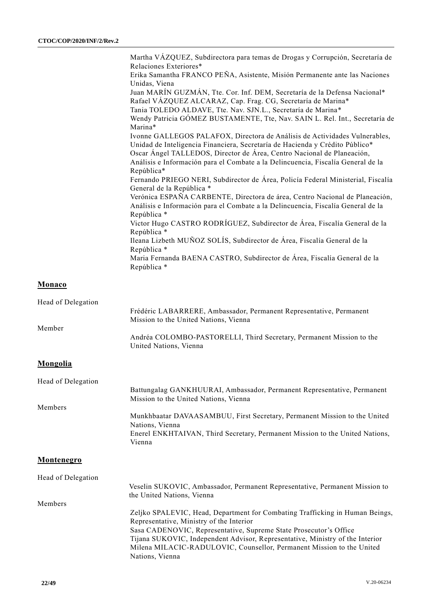|    | Martha VÁZQUEZ, Subdirectora para temas de Drogas y Corrupción, Secretaría de                                                                                                  |
|----|--------------------------------------------------------------------------------------------------------------------------------------------------------------------------------|
|    | Relaciones Exteriores*                                                                                                                                                         |
|    | Erika Samantha FRANCO PEÑA, Asistente, Misión Permanente ante las Naciones                                                                                                     |
|    | Unidas, Viena                                                                                                                                                                  |
|    | Juan MARÍN GUZMÁN, Tte. Cor. Inf. DEM, Secretaría de la Defensa Nacional*                                                                                                      |
|    | Rafael VÁZQUEZ ALCARAZ, Cap. Frag. CG, Secretaría de Marina*                                                                                                                   |
|    | Tania TOLEDO ALDAVE, Tte. Nav. SJN.L., Secretaría de Marina*                                                                                                                   |
|    | Wendy Patricia GÓMEZ BUSTAMENTE, Tte, Nav. SAIN L. Rel. Int., Secretaría de                                                                                                    |
|    | Marina*                                                                                                                                                                        |
|    | Ivonne GALLEGOS PALAFOX, Directora de Análisis de Actividades Vulnerables,<br>Unidad de Inteligencia Financiera, Secretaría de Hacienda y Crédito Público*                     |
|    | Oscar Ángel TALLEDOS, Director de Área, Centro Nacional de Planeación,                                                                                                         |
|    | Análisis e Información para el Combate a la Delincuencia, Fiscalía General de la                                                                                               |
|    | República*                                                                                                                                                                     |
|    | Fernando PRIEGO NERI, Subdirector de Área, Policía Federal Ministerial, Fiscalía<br>General de la República *                                                                  |
|    | Verónica ESPAÑA CARBENTE, Directora de área, Centro Nacional de Planeación,<br>Análisis e Información para el Combate a la Delincuencia, Fiscalía General de la<br>República * |
|    | Victor Hugo CASTRO RODRÍGUEZ, Subdirector de Área, Fiscalía General de la<br>República *                                                                                       |
|    | Ileana Lizbeth MUÑOZ SOLÍS, Subdirector de Área, Fiscalía General de la<br>República *                                                                                         |
|    | Maria Fernanda BAENA CASTRO, Subdirector de Área, Fiscalía General de la<br>República *                                                                                        |
| `n |                                                                                                                                                                                |

# **Monaco**

| Head of Delegation |                                                                                                                          |
|--------------------|--------------------------------------------------------------------------------------------------------------------------|
|                    | Frédéric LABARRERE, Ambassador, Permanent Representative, Permanent<br>Mission to the United Nations, Vienna             |
| Member             |                                                                                                                          |
|                    | Andréa COLOMBO-PASTORELLI, Third Secretary, Permanent Mission to the<br>United Nations, Vienna                           |
| <b>Mongolia</b>    |                                                                                                                          |
| Head of Delegation |                                                                                                                          |
|                    | Battungalag GANKHUURAI, Ambassador, Permanent Representative, Permanent<br>Mission to the United Nations, Vienna         |
| Members            |                                                                                                                          |
|                    | Munkhbaatar DAVAASAMBUU, First Secretary, Permanent Mission to the United<br>Nations, Vienna                             |
|                    | Enerel ENKHTAIVAN, Third Secretary, Permanent Mission to the United Nations,<br>Vienna                                   |
| Montenegro         |                                                                                                                          |
| Head of Delegation |                                                                                                                          |
|                    | Veselin SUKOVIC, Ambassador, Permanent Representative, Permanent Mission to                                              |
|                    | the United Nations, Vienna                                                                                               |
| Members            |                                                                                                                          |
|                    | Zeljko SPALEVIC, Head, Department for Combating Trafficking in Human Beings,<br>Representative, Ministry of the Interior |
|                    | Sasa CADENOVIC, Representative, Supreme State Prosecutor's Office                                                        |
|                    | Tijana SUKOVIC, Independent Advisor, Representative, Ministry of the Interior                                            |
|                    | Milena MILACIC-RADULOVIC, Counsellor, Permanent Mission to the United                                                    |
|                    | Nations, Vienna                                                                                                          |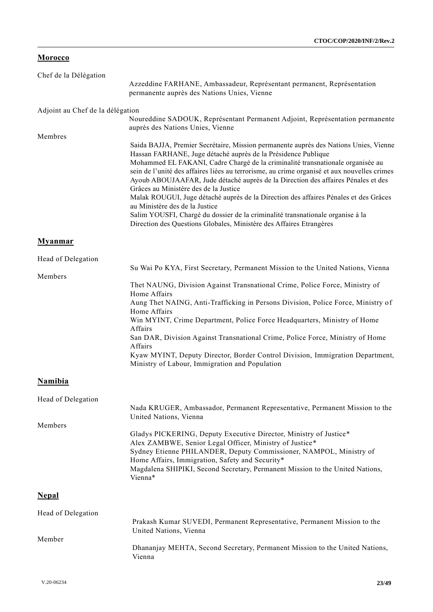| <b>Morocco</b> |  |  |  |
|----------------|--|--|--|
|                |  |  |  |

| Chef de la Délégation                       | Azzeddine FARHANE, Ambassadeur, Représentant permanent, Représentation<br>permanente auprès des Nations Unies, Vienne                                                                                                                                                                                                                                                                                                                                                                                                                                                                                                                                                                                                                                                                                                                                                       |
|---------------------------------------------|-----------------------------------------------------------------------------------------------------------------------------------------------------------------------------------------------------------------------------------------------------------------------------------------------------------------------------------------------------------------------------------------------------------------------------------------------------------------------------------------------------------------------------------------------------------------------------------------------------------------------------------------------------------------------------------------------------------------------------------------------------------------------------------------------------------------------------------------------------------------------------|
| Adjoint au Chef de la délégation<br>Membres | Noureddine SADOUK, Représentant Permanent Adjoint, Représentation permanente<br>auprès des Nations Unies, Vienne<br>Saida BAJJA, Premier Secrétaire, Mission permanente auprès des Nations Unies, Vienne<br>Hassan FARHANE, Juge détaché auprès de la Présidence Publique<br>Mohammed EL FAKANI, Cadre Chargé de la criminalité transnationale organisée au<br>sein de l'unité des affaires liées au terrorisme, au crime organisé et aux nouvelles crimes<br>Ayoub ABOUJAAFAR, Jude détaché auprès de la Direction des affaires Pénales et des<br>Grâces au Ministère des de la Justice<br>Malak ROUGUI, Juge détaché auprès de la Direction des affaires Pénales et des Grâces<br>au Ministère des de la Justice<br>Salim YOUSFI, Chargé du dossier de la criminalité transnationale organise à la<br>Direction des Questions Globales, Ministère des Affaires Etrangères |
| <b>Myanmar</b>                              |                                                                                                                                                                                                                                                                                                                                                                                                                                                                                                                                                                                                                                                                                                                                                                                                                                                                             |
| Head of Delegation<br>Members               | Su Wai Po KYA, First Secretary, Permanent Mission to the United Nations, Vienna<br>Thet NAUNG, Division Against Transnational Crime, Police Force, Ministry of<br>Home Affairs<br>Aung Thet NAING, Anti-Trafficking in Persons Division, Police Force, Ministry of<br>Home Affairs<br>Win MYINT, Crime Department, Police Force Headquarters, Ministry of Home<br>Affairs<br>San DAR, Division Against Transnational Crime, Police Force, Ministry of Home<br>Affairs<br>Kyaw MYINT, Deputy Director, Border Control Division, Immigration Department,<br>Ministry of Labour, Immigration and Population                                                                                                                                                                                                                                                                    |
| <b>Namibia</b>                              |                                                                                                                                                                                                                                                                                                                                                                                                                                                                                                                                                                                                                                                                                                                                                                                                                                                                             |
| Head of Delegation<br>Members               | Nada KRUGER, Ambassador, Permanent Representative, Permanent Mission to the<br>United Nations, Vienna<br>Gladys PICKERING, Deputy Executive Director, Ministry of Justice*<br>Alex ZAMBWE, Senior Legal Officer, Ministry of Justice*<br>Sydney Etienne PHILANDER, Deputy Commissioner, NAMPOL, Ministry of<br>Home Affairs, Immigration, Safety and Security*<br>Magdalena SHIPIKI, Second Secretary, Permanent Mission to the United Nations,<br>Vienna*                                                                                                                                                                                                                                                                                                                                                                                                                  |
| <b>Nepal</b>                                |                                                                                                                                                                                                                                                                                                                                                                                                                                                                                                                                                                                                                                                                                                                                                                                                                                                                             |
| Head of Delegation<br>Member                | Prakash Kumar SUVEDI, Permanent Representative, Permanent Mission to the<br>United Nations, Vienna<br>Dhananjay MEHTA, Second Secretary, Permanent Mission to the United Nations,<br>Vienna                                                                                                                                                                                                                                                                                                                                                                                                                                                                                                                                                                                                                                                                                 |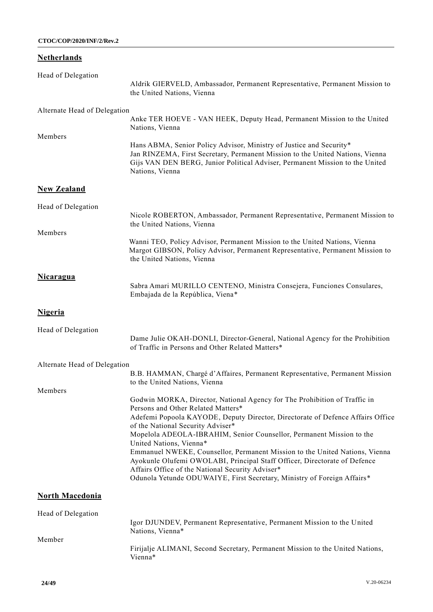# **Netherlands**

| Head of Delegation           | Aldrik GIERVELD, Ambassador, Permanent Representative, Permanent Mission to<br>the United Nations, Vienna                                                                                                                                                                                                                                                                                                                                                                                                                                                                                                                            |
|------------------------------|--------------------------------------------------------------------------------------------------------------------------------------------------------------------------------------------------------------------------------------------------------------------------------------------------------------------------------------------------------------------------------------------------------------------------------------------------------------------------------------------------------------------------------------------------------------------------------------------------------------------------------------|
| Alternate Head of Delegation |                                                                                                                                                                                                                                                                                                                                                                                                                                                                                                                                                                                                                                      |
|                              | Anke TER HOEVE - VAN HEEK, Deputy Head, Permanent Mission to the United<br>Nations, Vienna                                                                                                                                                                                                                                                                                                                                                                                                                                                                                                                                           |
| Members                      | Hans ABMA, Senior Policy Advisor, Ministry of Justice and Security*<br>Jan RINZEMA, First Secretary, Permanent Mission to the United Nations, Vienna<br>Gijs VAN DEN BERG, Junior Political Adviser, Permanent Mission to the United<br>Nations, Vienna                                                                                                                                                                                                                                                                                                                                                                              |
| <b>New Zealand</b>           |                                                                                                                                                                                                                                                                                                                                                                                                                                                                                                                                                                                                                                      |
| Head of Delegation           | Nicole ROBERTON, Ambassador, Permanent Representative, Permanent Mission to<br>the United Nations, Vienna                                                                                                                                                                                                                                                                                                                                                                                                                                                                                                                            |
| Members                      | Wanni TEO, Policy Advisor, Permanent Mission to the United Nations, Vienna<br>Margot GIBSON, Policy Advisor, Permanent Representative, Permanent Mission to<br>the United Nations, Vienna                                                                                                                                                                                                                                                                                                                                                                                                                                            |
| Nicaragua                    | Sabra Amari MURILLO CENTENO, Ministra Consejera, Funciones Consulares,<br>Embajada de la República, Viena*                                                                                                                                                                                                                                                                                                                                                                                                                                                                                                                           |
| <u>Nigeria</u>               |                                                                                                                                                                                                                                                                                                                                                                                                                                                                                                                                                                                                                                      |
| Head of Delegation           | Dame Julie OKAH-DONLI, Director-General, National Agency for the Prohibition<br>of Traffic in Persons and Other Related Matters*                                                                                                                                                                                                                                                                                                                                                                                                                                                                                                     |
| Alternate Head of Delegation |                                                                                                                                                                                                                                                                                                                                                                                                                                                                                                                                                                                                                                      |
|                              | B.B. HAMMAN, Chargé d'Affaires, Permanent Representative, Permanent Mission<br>to the United Nations, Vienna                                                                                                                                                                                                                                                                                                                                                                                                                                                                                                                         |
| Members                      | Godwin MORKA, Director, National Agency for The Prohibition of Traffic in<br>Persons and Other Related Matters*<br>Adefemi Popoola KAYODE, Deputy Director, Directorate of Defence Affairs Office<br>of the National Security Adviser*<br>Mopelola ADEOLA-IBRAHIM, Senior Counsellor, Permanent Mission to the<br>United Nations, Vienna*<br>Emmanuel NWEKE, Counsellor, Permanent Mission to the United Nations, Vienna<br>Ayokunle Olufemi OWOLABI, Principal Staff Officer, Directorate of Defence<br>Affairs Office of the National Security Adviser*<br>Odunola Yetunde ODUWAIYE, First Secretary, Ministry of Foreign Affairs* |
| <b>North Macedonia</b>       |                                                                                                                                                                                                                                                                                                                                                                                                                                                                                                                                                                                                                                      |
| Head of Delegation           | Igor DJUNDEV, Permanent Representative, Permanent Mission to the United<br>Nations, Vienna*                                                                                                                                                                                                                                                                                                                                                                                                                                                                                                                                          |
| Member                       | Firijalje ALIMANI, Second Secretary, Permanent Mission to the United Nations,<br>Vienna*                                                                                                                                                                                                                                                                                                                                                                                                                                                                                                                                             |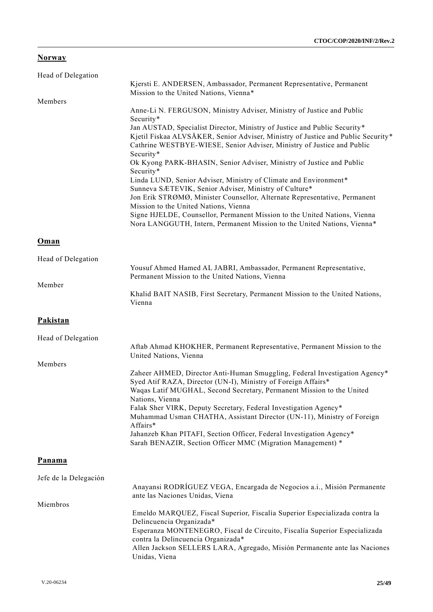# **Norway**

| Head of Delegation    |                                                                                                                                                                                                                                                                                                                                                                                                                                                                                                                                                                                     |
|-----------------------|-------------------------------------------------------------------------------------------------------------------------------------------------------------------------------------------------------------------------------------------------------------------------------------------------------------------------------------------------------------------------------------------------------------------------------------------------------------------------------------------------------------------------------------------------------------------------------------|
|                       | Kjersti E. ANDERSEN, Ambassador, Permanent Representative, Permanent<br>Mission to the United Nations, Vienna*                                                                                                                                                                                                                                                                                                                                                                                                                                                                      |
| Members               | Anne-Li N. FERGUSON, Ministry Adviser, Ministry of Justice and Public<br>Security*<br>Jan AUSTAD, Specialist Director, Ministry of Justice and Public Security*<br>Kjetil Fiskaa ALVSÅKER, Senior Adviser, Ministry of Justice and Public Security*                                                                                                                                                                                                                                                                                                                                 |
|                       | Cathrine WESTBYE-WIESE, Senior Adviser, Ministry of Justice and Public<br>Security*<br>Ok Kyong PARK-BHASIN, Senior Adviser, Ministry of Justice and Public<br>Security*<br>Linda LUND, Senior Adviser, Ministry of Climate and Environment*<br>Sunneva SÆTEVIK, Senior Adviser, Ministry of Culture*<br>Jon Erik STRØMØ, Minister Counsellor, Alternate Representative, Permanent<br>Mission to the United Nations, Vienna<br>Signe HJELDE, Counsellor, Permanent Mission to the United Nations, Vienna<br>Nora LANGGUTH, Intern, Permanent Mission to the United Nations, Vienna* |
| Oman                  |                                                                                                                                                                                                                                                                                                                                                                                                                                                                                                                                                                                     |
|                       |                                                                                                                                                                                                                                                                                                                                                                                                                                                                                                                                                                                     |
| Head of Delegation    | Yousuf Ahmed Hamed AL JABRI, Ambassador, Permanent Representative,<br>Permanent Mission to the United Nations, Vienna                                                                                                                                                                                                                                                                                                                                                                                                                                                               |
| Member                | Khalid BAIT NASIB, First Secretary, Permanent Mission to the United Nations,<br>Vienna                                                                                                                                                                                                                                                                                                                                                                                                                                                                                              |
| <b>Pakistan</b>       |                                                                                                                                                                                                                                                                                                                                                                                                                                                                                                                                                                                     |
| Head of Delegation    |                                                                                                                                                                                                                                                                                                                                                                                                                                                                                                                                                                                     |
|                       | Aftab Ahmad KHOKHER, Permanent Representative, Permanent Mission to the<br>United Nations, Vienna                                                                                                                                                                                                                                                                                                                                                                                                                                                                                   |
| Members               | Zaheer AHMED, Director Anti-Human Smuggling, Federal Investigation Agency*<br>Syed Atif RAZA, Director (UN-I), Ministry of Foreign Affairs*<br>Waqas Latif MUGHAL, Second Secretary, Permanent Mission to the United<br>Nations, Vienna<br>Falak Sher VIRK, Deputy Secretary, Federal Investigation Agency*<br>Muhammad Usman CHATHA, Assistant Director (UN-11), Ministry of Foreign<br>Affairs*<br>Jahanzeb Khan PITAFI, Section Officer, Federal Investigation Agency*<br>Sarah BENAZIR, Section Officer MMC (Migration Management) *                                            |
| Panama                |                                                                                                                                                                                                                                                                                                                                                                                                                                                                                                                                                                                     |
| Jefe de la Delegación |                                                                                                                                                                                                                                                                                                                                                                                                                                                                                                                                                                                     |
|                       | Anayansi RODRÍGUEZ VEGA, Encargada de Negocios a.i., Misión Permanente<br>ante las Naciones Unidas, Viena                                                                                                                                                                                                                                                                                                                                                                                                                                                                           |
| Miembros              | Emeldo MARQUEZ, Fiscal Superior, Fiscalía Superior Especializada contra la<br>Delincuencia Organizada*<br>Esperanza MONTENEGRO, Fiscal de Circuito, Fiscalía Superior Especializada<br>contra la Delincuencia Organizada*<br>Allen Jackson SELLERS LARA, Agregado, Misión Permanente ante las Naciones<br>Unidas, Viena                                                                                                                                                                                                                                                             |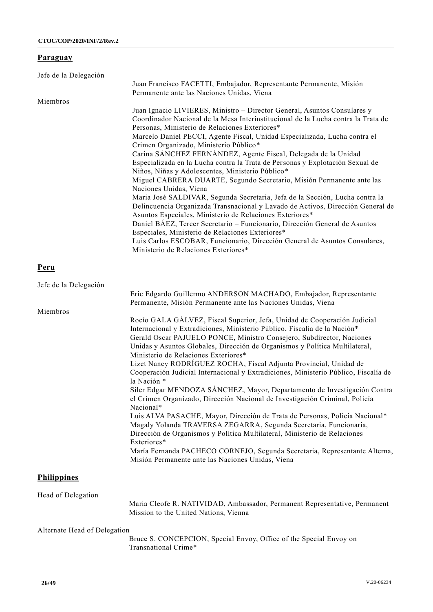## **Paraguay**

| Jefe de la Delegación        |                                                                                                                                                                                                                                                                                                                                                                                                                                                                                                                                                                                                                                                                                                                                                                                                                                                                                                                                                                                                                                                                                                                                          |
|------------------------------|------------------------------------------------------------------------------------------------------------------------------------------------------------------------------------------------------------------------------------------------------------------------------------------------------------------------------------------------------------------------------------------------------------------------------------------------------------------------------------------------------------------------------------------------------------------------------------------------------------------------------------------------------------------------------------------------------------------------------------------------------------------------------------------------------------------------------------------------------------------------------------------------------------------------------------------------------------------------------------------------------------------------------------------------------------------------------------------------------------------------------------------|
|                              | Juan Francisco FACETTI, Embajador, Representante Permanente, Misión<br>Permanente ante las Naciones Unidas, Viena                                                                                                                                                                                                                                                                                                                                                                                                                                                                                                                                                                                                                                                                                                                                                                                                                                                                                                                                                                                                                        |
| Miembros                     | Juan Ignacio LIVIERES, Ministro - Director General, Asuntos Consulares y<br>Coordinador Nacional de la Mesa Interinstitucional de la Lucha contra la Trata de<br>Personas, Ministerio de Relaciones Exteriores*<br>Marcelo Daniel PECCI, Agente Fiscal, Unidad Especializada, Lucha contra el<br>Crimen Organizado, Ministerio Público*<br>Carina SÁNCHEZ FERNÁNDEZ, Agente Fiscal, Delegada de la Unidad<br>Especializada en la Lucha contra la Trata de Personas y Explotación Sexual de<br>Niños, Niñas y Adolescentes, Ministerio Público*<br>Miguel CABRERA DUARTE, Segundo Secretario, Misión Permanente ante las<br>Naciones Unidas, Viena<br>Maria José SALDIVAR, Segunda Secretaria, Jefa de la Sección, Lucha contra la<br>Delincuencia Organizada Transnacional y Lavado de Activos, Dirección General de<br>Asuntos Especiales, Ministerio de Relaciones Exteriores*<br>Daniel BÁEZ, Tercer Secretario – Funcionario, Dirección General de Asuntos<br>Especiales, Ministerio de Relaciones Exteriores*<br>Luis Carlos ESCOBAR, Funcionario, Dirección General de Asuntos Consulares,<br>Ministerio de Relaciones Exteriores* |
| Peru                         |                                                                                                                                                                                                                                                                                                                                                                                                                                                                                                                                                                                                                                                                                                                                                                                                                                                                                                                                                                                                                                                                                                                                          |
| Jefe de la Delegación        | Eric Edgardo Guillermo ANDERSON MACHADO, Embajador, Representante<br>Permanente, Misión Permanente ante las Naciones Unidas, Viena                                                                                                                                                                                                                                                                                                                                                                                                                                                                                                                                                                                                                                                                                                                                                                                                                                                                                                                                                                                                       |
| Miembros                     | Rocío GALA GÁLVEZ, Fiscal Superior, Jefa, Unidad de Cooperación Judicial<br>Internacional y Extradiciones, Ministerio Público, Fiscalía de la Nación*<br>Gerald Oscar PAJUELO PONCE, Ministro Consejero, Subdirector, Naciones<br>Unidas y Asuntos Globales, Dirección de Organismos y Política Multilateral,<br>Ministerio de Relaciones Exteriores*<br>Lizet Nancy RODRÍGUEZ ROCHA, Fiscal Adjunta Provincial, Unidad de<br>Cooperación Judicial Internacional y Extradiciones, Ministerio Público, Fiscalía de<br>la Nación *<br>Siler Edgar MENDOZA SÁNCHEZ, Mayor, Departamento de Investigación Contra<br>el Crimen Organizado, Dirección Nacional de Investigación Criminal, Policía<br>Nacional*<br>Luis ALVA PASACHE, Mayor, Dirección de Trata de Personas, Policía Nacional*<br>Magaly Yolanda TRAVERSA ZEGARRA, Segunda Secretaria, Funcionaria,<br>Dirección de Organismos y Política Multilateral, Ministerio de Relaciones<br>Exteriores*<br>María Fernanda PACHECO CORNEJO, Segunda Secretaria, Representante Alterna,<br>Misión Permanente ante las Naciones Unidas, Viena                                              |
| <b>Philippines</b>           |                                                                                                                                                                                                                                                                                                                                                                                                                                                                                                                                                                                                                                                                                                                                                                                                                                                                                                                                                                                                                                                                                                                                          |
| Head of Delegation           | Maria Cleofe R. NATIVIDAD, Ambassador, Permanent Representative, Permanent<br>Mission to the United Nations, Vienna                                                                                                                                                                                                                                                                                                                                                                                                                                                                                                                                                                                                                                                                                                                                                                                                                                                                                                                                                                                                                      |
| Alternate Head of Delegation | Bruce S. CONCEPCION, Special Envoy, Office of the Special Envoy on<br>Transnational Crime*                                                                                                                                                                                                                                                                                                                                                                                                                                                                                                                                                                                                                                                                                                                                                                                                                                                                                                                                                                                                                                               |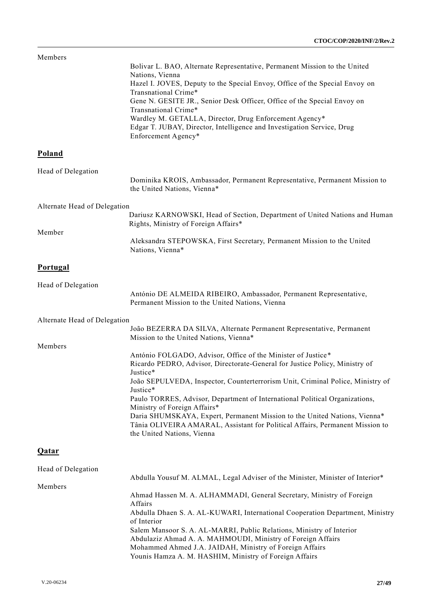| Members                      |                                                                                |
|------------------------------|--------------------------------------------------------------------------------|
|                              | Bolivar L. BAO, Alternate Representative, Permanent Mission to the United      |
|                              | Nations, Vienna                                                                |
|                              | Hazel I. JOVES, Deputy to the Special Envoy, Office of the Special Envoy on    |
|                              | Transnational Crime*                                                           |
|                              | Gene N. GESITE JR., Senior Desk Officer, Office of the Special Envoy on        |
|                              | Transnational Crime*                                                           |
|                              | Wardley M. GETALLA, Director, Drug Enforcement Agency*                         |
|                              | Edgar T. JUBAY, Director, Intelligence and Investigation Service, Drug         |
|                              | Enforcement Agency*                                                            |
|                              |                                                                                |
| Poland                       |                                                                                |
| Head of Delegation           |                                                                                |
|                              | Dominika KROIS, Ambassador, Permanent Representative, Permanent Mission to     |
|                              | the United Nations, Vienna*                                                    |
|                              |                                                                                |
| Alternate Head of Delegation |                                                                                |
|                              | Dariusz KARNOWSKI, Head of Section, Department of United Nations and Human     |
|                              | Rights, Ministry of Foreign Affairs*                                           |
| Member                       |                                                                                |
|                              | Aleksandra STEPOWSKA, First Secretary, Permanent Mission to the United         |
|                              | Nations, Vienna*                                                               |
|                              |                                                                                |
| Portugal                     |                                                                                |
|                              |                                                                                |
| Head of Delegation           |                                                                                |
|                              | António DE ALMEIDA RIBEIRO, Ambassador, Permanent Representative,              |
|                              | Permanent Mission to the United Nations, Vienna                                |
|                              |                                                                                |
| Alternate Head of Delegation |                                                                                |
|                              | João BEZERRA DA SILVA, Alternate Permanent Representative, Permanent           |
| Members                      | Mission to the United Nations, Vienna*                                         |
|                              | António FOLGADO, Advisor, Office of the Minister of Justice*                   |
|                              | Ricardo PEDRO, Advisor, Directorate-General for Justice Policy, Ministry of    |
|                              | Justice*                                                                       |
|                              | João SEPULVEDA, Inspector, Counterterrorism Unit, Criminal Police, Ministry of |
|                              | Justice*                                                                       |
|                              | Paulo TORRES, Advisor, Department of International Political Organizations,    |
|                              | Ministry of Foreign Affairs*                                                   |
|                              | Daria SHUMSKAYA, Expert, Permanent Mission to the United Nations, Vienna*      |
|                              | Tânia OLIVEIRA AMARAL, Assistant for Political Affairs, Permanent Mission to   |
|                              | the United Nations, Vienna                                                     |
|                              |                                                                                |
| Qatar                        |                                                                                |
|                              |                                                                                |
| Head of Delegation           |                                                                                |
|                              | Abdulla Yousuf M. ALMAL, Legal Adviser of the Minister, Minister of Interior*  |
| Members                      |                                                                                |
|                              | Ahmad Hassen M. A. ALHAMMADI, General Secretary, Ministry of Foreign           |
|                              | Affairs                                                                        |
|                              | Abdulla Dhaen S. A. AL-KUWARI, International Cooperation Department, Ministry  |
|                              | of Interior                                                                    |
|                              | Salem Mansoor S. A. AL-MARRI, Public Relations, Ministry of Interior           |
|                              | Abdulaziz Ahmad A. A. MAHMOUDI, Ministry of Foreign Affairs                    |
|                              | Mohammed Ahmed J.A. JAIDAH, Ministry of Foreign Affairs                        |
|                              | Younis Hamza A. M. HASHIM, Ministry of Foreign Affairs                         |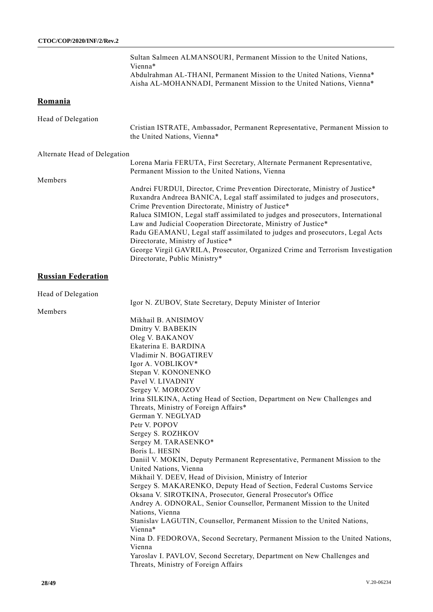Sultan Salmeen ALMANSOURI, Permanent Mission to the United Nations, Vienna\* Abdulrahman AL-THANI, Permanent Mission to the United Nations, Vienna\* Aisha AL-MOHANNADI, Permanent Mission to the United Nations, Vienna\*

# **Romania**

| Head of Delegation           |                                                                                                             |
|------------------------------|-------------------------------------------------------------------------------------------------------------|
|                              | Cristian ISTRATE, Ambassador, Permanent Representative, Permanent Mission to<br>the United Nations, Vienna* |
| Alternate Head of Delegation |                                                                                                             |
|                              | Lorena Maria FERUTA, First Secretary, Alternate Permanent Representative,                                   |
|                              | Permanent Mission to the United Nations, Vienna                                                             |
| Members                      |                                                                                                             |
|                              | Andrei FURDUI, Director, Crime Prevention Directorate, Ministry of Justice*                                 |
|                              | Ruxandra Andreea BANICA, Legal staff assimilated to judges and prosecutors,                                 |
|                              | Crime Prevention Directorate, Ministry of Justice*                                                          |
|                              | Raluca SIMION, Legal staff assimilated to judges and prosecutors, International                             |
|                              | Law and Judicial Cooperation Directorate, Ministry of Justice*                                              |
|                              | Radu GEAMANU, Legal staff assimilated to judges and prosecutors, Legal Acts                                 |
|                              | Directorate, Ministry of Justice*                                                                           |
|                              | George Virgil GAVRILA, Prosecutor, Organized Crime and Terrorism Investigation                              |
|                              | Directorate, Public Ministry*                                                                               |

# **Russian Federation**

| Head of Delegation |                                                                                                      |
|--------------------|------------------------------------------------------------------------------------------------------|
|                    | Igor N. ZUBOV, State Secretary, Deputy Minister of Interior                                          |
| Members            |                                                                                                      |
|                    | Mikhail B. ANISIMOV                                                                                  |
|                    | Dmitry V. BABEKIN                                                                                    |
|                    | Oleg V. BAKANOV                                                                                      |
|                    | Ekaterina E. BARDINA                                                                                 |
|                    | Vladimir N. BOGATIREV                                                                                |
|                    | Igor A. VOBLIKOV*                                                                                    |
|                    | Stepan V. KONONENKO                                                                                  |
|                    | Pavel V. LIVADNIY                                                                                    |
|                    | Sergey V. MOROZOV                                                                                    |
|                    | Irina SILKINA, Acting Head of Section, Department on New Challenges and                              |
|                    | Threats, Ministry of Foreign Affairs*                                                                |
|                    | German Y. NEGLYAD                                                                                    |
|                    | Petr V. POPOV                                                                                        |
|                    | Sergey S. ROZHKOV                                                                                    |
|                    | Sergey M. TARASENKO*                                                                                 |
|                    | Boris L. HESIN                                                                                       |
|                    | Daniil V. MOKIN, Deputy Permanent Representative, Permanent Mission to the<br>United Nations, Vienna |
|                    | Mikhail Y. DEEV, Head of Division, Ministry of Interior                                              |
|                    | Sergey S. MAKARENKO, Deputy Head of Section, Federal Customs Service                                 |
|                    | Oksana V. SIROTKINA, Prosecutor, General Prosecutor's Office                                         |
|                    | Andrey A. ODNORAL, Senior Counsellor, Permanent Mission to the United                                |
|                    | Nations, Vienna                                                                                      |
|                    | Stanislav LAGUTIN, Counsellor, Permanent Mission to the United Nations,                              |
|                    | Vienna*                                                                                              |
|                    | Nina D. FEDOROVA, Second Secretary, Permanent Mission to the United Nations,                         |
|                    | Vienna                                                                                               |
|                    | Yaroslav I. PAVLOV, Second Secretary, Department on New Challenges and                               |
|                    | Threats, Ministry of Foreign Affairs                                                                 |
|                    |                                                                                                      |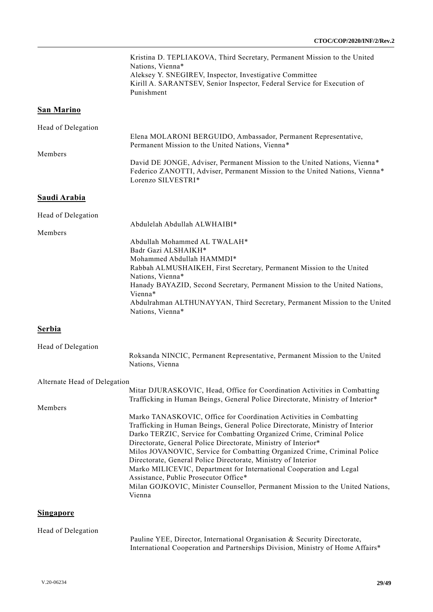Kristina D. TEPLIAKOVA, Third Secretary, Permanent Mission to the United Nations, Vienna\* Aleksey Y. SNEGIREV, Inspector, Investigative Committee Kirill A. SARANTSEV, Senior Inspector, Federal Service for Execution of Punishment

#### **San Marino**

| Head of Delegation | Elena MOLARONI BERGUIDO, Ambassador, Permanent Representative,              |
|--------------------|-----------------------------------------------------------------------------|
|                    | Permanent Mission to the United Nations, Vienna*                            |
| Members            |                                                                             |
|                    | David DE JONGE, Adviser, Permanent Mission to the United Nations, Vienna*   |
|                    | Federico ZANOTTI, Adviser, Permanent Mission to the United Nations, Vienna* |
|                    | Lorenzo SILVESTRI*                                                          |
| Saudi Arabia       |                                                                             |

### Head of Delegation Abdulelah Abdullah ALWHAIBI\* Members Abdullah Mohammed AL TWALAH\* Badr Gazi ALSHAIKH\* Mohammed Abdullah HAMMDI\* Rabbah ALMUSHAIKEH, First Secretary, Permanent Mission to the United Nations, Vienna\* Hanady BAYAZID, Second Secretary, Permanent Mission to the United Nations, Vienna\* Abdulrahman ALTHUNAYYAN, Third Secretary, Permanent Mission to the United Nations, Vienna\*

#### **Serbia**

| Head of Delegation           |                                                                                               |
|------------------------------|-----------------------------------------------------------------------------------------------|
|                              | Roksanda NINCIC, Permanent Representative, Permanent Mission to the United<br>Nations, Vienna |
| Alternate Head of Delegation |                                                                                               |
|                              | Mitar DJURASKOVIC, Head, Office for Coordination Activities in Combatting                     |
|                              | Trafficking in Human Beings, General Police Directorate, Ministry of Interior*                |
| Members                      |                                                                                               |
|                              | Marko TANASKOVIC, Office for Coordination Activities in Combatting                            |
|                              | Trafficking in Human Beings, General Police Directorate, Ministry of Interior                 |
|                              | Darko TERZIC, Service for Combatting Organized Crime, Criminal Police                         |
|                              | Directorate, General Police Directorate, Ministry of Interior*                                |
|                              | Milos JOVANOVIC, Service for Combatting Organized Crime, Criminal Police                      |
|                              | Directorate, General Police Directorate, Ministry of Interior                                 |
|                              | Marko MILICEVIC, Department for International Cooperation and Legal                           |
|                              | Assistance, Public Prosecutor Office*                                                         |
|                              | Milan GOJKOVIC, Minister Counsellor, Permanent Mission to the United Nations,                 |
|                              | Vienna                                                                                        |
|                              |                                                                                               |

# **Singapore**

Pauline YEE, Director, International Organisation & Security Directorate, International Cooperation and Partnerships Division, Ministry of Home Affairs\*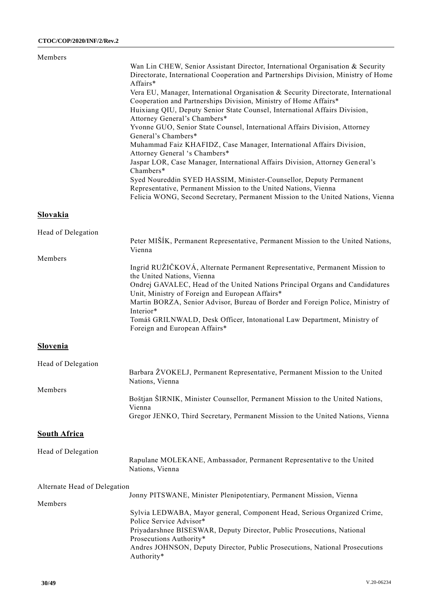| Members             |                                                                                                                                                        |
|---------------------|--------------------------------------------------------------------------------------------------------------------------------------------------------|
|                     | Wan Lin CHEW, Senior Assistant Director, International Organisation & Security                                                                         |
|                     | Directorate, International Cooperation and Partnerships Division, Ministry of Home<br>Affairs*                                                         |
|                     | Vera EU, Manager, International Organisation & Security Directorate, International<br>Cooperation and Partnerships Division, Ministry of Home Affairs* |
|                     | Huixiang QIU, Deputy Senior State Counsel, International Affairs Division,<br>Attorney General's Chambers*                                             |
|                     | Yvonne GUO, Senior State Counsel, International Affairs Division, Attorney<br>General's Chambers*                                                      |
|                     | Muhammad Faiz KHAFIDZ, Case Manager, International Affairs Division,<br>Attorney General 's Chambers*                                                  |
|                     | Jaspar LOR, Case Manager, International Affairs Division, Attorney General's<br>Chambers*                                                              |
|                     | Syed Noureddin SYED HASSIM, Minister-Counsellor, Deputy Permanent<br>Representative, Permanent Mission to the United Nations, Vienna                   |
|                     | Felicia WONG, Second Secretary, Permanent Mission to the United Nations, Vienna                                                                        |
| Slovakia            |                                                                                                                                                        |
| Head of Delegation  |                                                                                                                                                        |
|                     | Peter MIŠÍK, Permanent Representative, Permanent Mission to the United Nations,<br>Vienna                                                              |
| Members             | Ingrid RUŽIČKOVÁ, Alternate Permanent Representative, Permanent Mission to                                                                             |
|                     | the United Nations, Vienna                                                                                                                             |
|                     | Ondrej GAVALEC, Head of the United Nations Principal Organs and Candidatures<br>Unit, Ministry of Foreign and European Affairs*                        |
|                     | Martin BORZA, Senior Advisor, Bureau of Border and Foreign Police, Ministry of<br>Interior*                                                            |
|                     | Tomáš GRILNWALD, Desk Officer, Intonational Law Department, Ministry of<br>Foreign and European Affairs*                                               |
| <b>Slovenia</b>     |                                                                                                                                                        |
| Head of Delegation  |                                                                                                                                                        |
|                     | Barbara ŽVOKELJ, Permanent Representative, Permanent Mission to the United<br>Nations, Vienna                                                          |
| Members             | Boštjan ŠIRNIK, Minister Counsellor, Permanent Mission to the United Nations,                                                                          |
|                     | Vienna                                                                                                                                                 |
|                     | Gregor JENKO, Third Secretary, Permanent Mission to the United Nations, Vienna                                                                         |
| <b>South Africa</b> |                                                                                                                                                        |

| Head of Delegation           | Rapulane MOLEKANE, Ambassador, Permanent Representative to the United<br>Nations, Vienna           |
|------------------------------|----------------------------------------------------------------------------------------------------|
| Alternate Head of Delegation |                                                                                                    |
|                              | Jonny PITSWANE, Minister Plenipotentiary, Permanent Mission, Vienna                                |
| Members                      |                                                                                                    |
|                              | Sylvia LEDWABA, Mayor general, Component Head, Serious Organized Crime,<br>Police Service Advisor* |
|                              | Priyadarshnee BISESWAR, Deputy Director, Public Prosecutions, National<br>Prosecutions Authority*  |
|                              | Andres JOHNSON, Deputy Director, Public Prosecutions, National Prosecutions<br>Authority*          |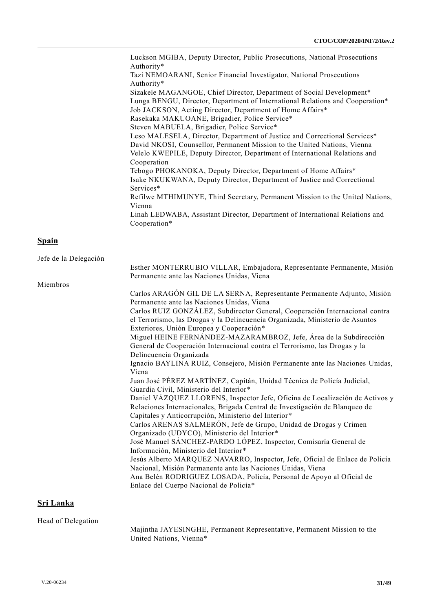|                       | Luckson MGIBA, Deputy Director, Public Prosecutions, National Prosecutions<br>Authority*<br>Tazi NEMOARANI, Senior Financial Investigator, National Prosecutions<br>Authority*<br>Sizakele MAGANGOE, Chief Director, Department of Social Development*<br>Lunga BENGU, Director, Department of International Relations and Cooperation*<br>Job JACKSON, Acting Director, Department of Home Affairs*<br>Rasekaka MAKUOANE, Brigadier, Police Service*<br>Steven MABUELA, Brigadier, Police Service*<br>Leso MALESELA, Director, Department of Justice and Correctional Services*<br>David NKOSI, Counsellor, Permanent Mission to the United Nations, Vienna<br>Velelo KWEPILE, Deputy Director, Department of International Relations and<br>Cooperation<br>Tebogo PHOKANOKA, Deputy Director, Department of Home Affairs*<br>Isake NKUKWANA, Deputy Director, Department of Justice and Correctional<br>Services*<br>Refilwe MTHIMUNYE, Third Secretary, Permanent Mission to the United Nations,<br>Vienna<br>Linah LEDWABA, Assistant Director, Department of International Relations and<br>Cooperation*                                                                                                                                                                                                                                                                                                                                          |
|-----------------------|--------------------------------------------------------------------------------------------------------------------------------------------------------------------------------------------------------------------------------------------------------------------------------------------------------------------------------------------------------------------------------------------------------------------------------------------------------------------------------------------------------------------------------------------------------------------------------------------------------------------------------------------------------------------------------------------------------------------------------------------------------------------------------------------------------------------------------------------------------------------------------------------------------------------------------------------------------------------------------------------------------------------------------------------------------------------------------------------------------------------------------------------------------------------------------------------------------------------------------------------------------------------------------------------------------------------------------------------------------------------------------------------------------------------------------------------------------|
| <b>Spain</b>          |                                                                                                                                                                                                                                                                                                                                                                                                                                                                                                                                                                                                                                                                                                                                                                                                                                                                                                                                                                                                                                                                                                                                                                                                                                                                                                                                                                                                                                                        |
| Jefe de la Delegación | Esther MONTERRUBIO VILLAR, Embajadora, Representante Permanente, Misión                                                                                                                                                                                                                                                                                                                                                                                                                                                                                                                                                                                                                                                                                                                                                                                                                                                                                                                                                                                                                                                                                                                                                                                                                                                                                                                                                                                |
|                       | Permanente ante las Naciones Unidas, Viena                                                                                                                                                                                                                                                                                                                                                                                                                                                                                                                                                                                                                                                                                                                                                                                                                                                                                                                                                                                                                                                                                                                                                                                                                                                                                                                                                                                                             |
| Miembros              | Carlos ARAGÓN GIL DE LA SERNA, Representante Permanente Adjunto, Misión<br>Permanente ante las Naciones Unidas, Viena<br>Carlos RUIZ GONZÁLEZ, Subdirector General, Cooperación Internacional contra<br>el Terrorismo, las Drogas y la Delincuencia Organizada, Ministerio de Asuntos<br>Exteriores, Unión Europea y Cooperación*<br>Miguel HEINE FERNÁNDEZ-MAZARAMBROZ, Jefe, Área de la Subdirección<br>General de Cooperación Internacional contra el Terrorismo, las Drogas y la<br>Delincuencia Organizada<br>Ignacio BAYLINA RUIZ, Consejero, Misión Permanente ante las Naciones Unidas,<br>Viena<br>Juan José PÉREZ MARTÍNEZ, Capitán, Unidad Técnica de Policía Judicial,<br>Guardia Civil, Ministerio del Interior*<br>Daniel VÁZQUEZ LLORENS, Inspector Jefe, Oficina de Localización de Activos y<br>Relaciones Internacionales, Brigada Central de Investigación de Blanqueo de<br>Capitales y Anticorrupción, Ministerio del Interior*<br>Carlos ARENAS SALMERÓN, Jefe de Grupo, Unidad de Drogas y Crimen<br>Organizado (UDYCO), Ministerio del Interior*<br>José Manuel SÁNCHEZ-PARDO LÓPEZ, Inspector, Comisaría General de<br>Información, Ministerio del Interior*<br>Jesús Alberto MARQUEZ NAVARRO, Inspector, Jefe, Oficial de Enlace de Policía<br>Nacional, Misión Permanente ante las Naciones Unidas, Viena<br>Ana Belén RODRIGUEZ LOSADA, Policía, Personal de Apoyo al Oficial de<br>Enlace del Cuerpo Nacional de Policía* |

# **Sri Lanka**

Head of Delegation

Majintha JAYESINGHE, Permanent Representative, Permanent Mission to the United Nations, Vienna\*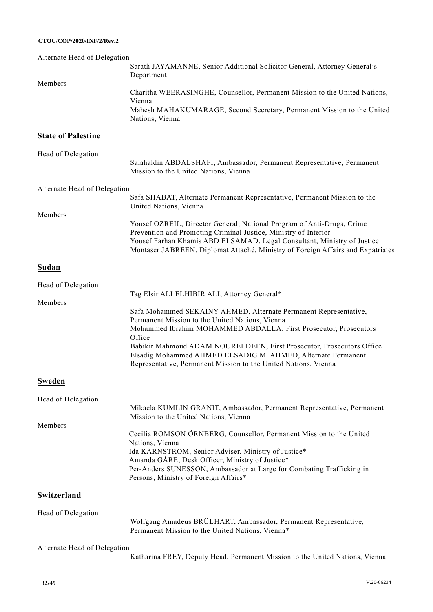| Alternate Head of Delegation |                                                                                                                                                                                                                                                                                                                                                                                                               |
|------------------------------|---------------------------------------------------------------------------------------------------------------------------------------------------------------------------------------------------------------------------------------------------------------------------------------------------------------------------------------------------------------------------------------------------------------|
|                              | Sarath JAYAMANNE, Senior Additional Solicitor General, Attorney General's<br>Department                                                                                                                                                                                                                                                                                                                       |
| Members                      | Charitha WEERASINGHE, Counsellor, Permanent Mission to the United Nations,<br>Vienna<br>Mahesh MAHAKUMARAGE, Second Secretary, Permanent Mission to the United<br>Nations, Vienna                                                                                                                                                                                                                             |
| <b>State of Palestine</b>    |                                                                                                                                                                                                                                                                                                                                                                                                               |
| Head of Delegation           | Salahaldin ABDALSHAFI, Ambassador, Permanent Representative, Permanent<br>Mission to the United Nations, Vienna                                                                                                                                                                                                                                                                                               |
| Alternate Head of Delegation | Safa SHABAT, Alternate Permanent Representative, Permanent Mission to the                                                                                                                                                                                                                                                                                                                                     |
| Members                      | United Nations, Vienna<br>Yousef OZREIL, Director General, National Program of Anti-Drugs, Crime<br>Prevention and Promoting Criminal Justice, Ministry of Interior<br>Yousef Farhan Khamis ABD ELSAMAD, Legal Consultant, Ministry of Justice<br>Montaser JABREEN, Diplomat Attaché, Ministry of Foreign Affairs and Expatriates                                                                             |
| Sudan                        |                                                                                                                                                                                                                                                                                                                                                                                                               |
| Head of Delegation           | Tag Elsir ALI ELHIBIR ALI, Attorney General*                                                                                                                                                                                                                                                                                                                                                                  |
| Members                      | Safa Mohammed SEKAINY AHMED, Alternate Permanent Representative,<br>Permanent Mission to the United Nations, Vienna<br>Mohammed Ibrahim MOHAMMED ABDALLA, First Prosecutor, Prosecutors<br>Office<br>Babikir Mahmoud ADAM NOURELDEEN, First Prosecutor, Prosecutors Office<br>Elsadig Mohammed AHMED ELSADIG M. AHMED, Alternate Permanent<br>Representative, Permanent Mission to the United Nations, Vienna |
| <b>Sweden</b>                |                                                                                                                                                                                                                                                                                                                                                                                                               |
| Head of Delegation           | Mikaela KUMLIN GRANIT, Ambassador, Permanent Representative, Permanent<br>Mission to the United Nations, Vienna                                                                                                                                                                                                                                                                                               |
| Members                      | Cecilia ROMSON ÖRNBERG, Counsellor, Permanent Mission to the United<br>Nations, Vienna<br>Ida KÄRNSTRÖM, Senior Adviser, Ministry of Justice*<br>Amanda GÅRE, Desk Officer, Ministry of Justice*<br>Per-Anders SUNESSON, Ambassador at Large for Combating Trafficking in<br>Persons, Ministry of Foreign Affairs*                                                                                            |
| <b>Switzerland</b>           |                                                                                                                                                                                                                                                                                                                                                                                                               |
| Head of Delegation           | Wolfgang Amadeus BRÜLHART, Ambassador, Permanent Representative,<br>Permanent Mission to the United Nations, Vienna*                                                                                                                                                                                                                                                                                          |
| Alternate Head of Delegation | Katharina FREY, Deputy Head, Permanent Mission to the United Nations, Vienna                                                                                                                                                                                                                                                                                                                                  |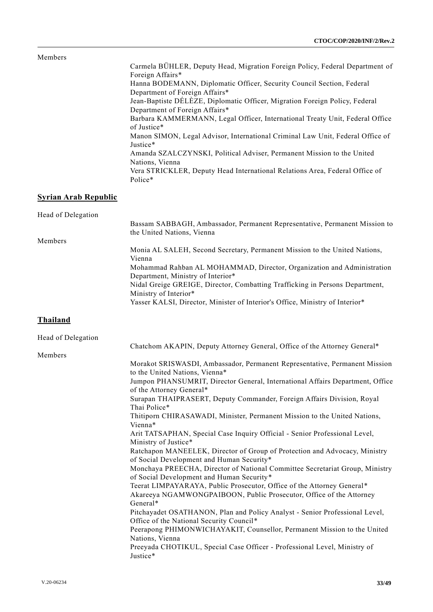## Members

| Carmela BÜHLER, Deputy Head, Migration Foreign Policy, Federal Department of                |
|---------------------------------------------------------------------------------------------|
| Foreign Affairs*                                                                            |
| Hanna BODEMANN, Diplomatic Officer, Security Council Section, Federal                       |
| Department of Foreign Affairs*                                                              |
| Jean-Baptiste DÉLÈZE, Diplomatic Officer, Migration Foreign Policy, Federal                 |
| Department of Foreign Affairs*                                                              |
| Barbara KAMMERMANN, Legal Officer, International Treaty Unit, Federal Office<br>of Justice* |
| Manon SIMON, Legal Advisor, International Criminal Law Unit, Federal Office of<br>Justice*  |
| Amanda SZALCZYNSKI, Political Adviser, Permanent Mission to the United                      |
| Nations, Vienna                                                                             |
| Vera STRICKLER, Deputy Head International Relations Area, Federal Office of                 |
| Police*                                                                                     |

# **Syrian Arab Republic**

| Head of Delegation |                                                                              |
|--------------------|------------------------------------------------------------------------------|
|                    | Bassam SABBAGH, Ambassador, Permanent Representative, Permanent Mission to   |
|                    | the United Nations, Vienna                                                   |
| <b>Members</b>     |                                                                              |
|                    | Monia AL SALEH, Second Secretary, Permanent Mission to the United Nations,   |
|                    | Vienna                                                                       |
|                    | Mohammad Rahban AL MOHAMMAD, Director, Organization and Administration       |
|                    | Department, Ministry of Interior*                                            |
|                    | Nidal Greige GREIGE, Director, Combatting Trafficking in Persons Department, |
|                    | Ministry of Interior*                                                        |
|                    | Yasser KALSI, Director, Minister of Interior's Office, Ministry of Interior* |
|                    |                                                                              |

# **Thailand**

| Head of Delegation |                                                                                                                           |
|--------------------|---------------------------------------------------------------------------------------------------------------------------|
|                    | Chatchom AKAPIN, Deputy Attorney General, Office of the Attorney General*                                                 |
| Members            |                                                                                                                           |
|                    | Morakot SRISWASDI, Ambassador, Permanent Representative, Permanent Mission<br>to the United Nations, Vienna*              |
|                    | Jumpon PHANSUMRIT, Director General, International Affairs Department, Office<br>of the Attorney General*                 |
|                    | Surapan THAIPRASERT, Deputy Commander, Foreign Affairs Division, Royal<br>Thai Police*                                    |
|                    | Thitiporn CHIRASAWADI, Minister, Permanent Mission to the United Nations,<br>Vienna*                                      |
|                    | Arit TATSAPHAN, Special Case Inquiry Official - Senior Professional Level,<br>Ministry of Justice*                        |
|                    | Ratchapon MANEELEK, Director of Group of Protection and Advocacy, Ministry<br>of Social Development and Human Security*   |
|                    | Monchaya PREECHA, Director of National Committee Secretariat Group, Ministry<br>of Social Development and Human Security* |
|                    | Teerat LIMPAYARAYA, Public Prosecutor, Office of the Attorney General*                                                    |
|                    | Akareeya NGAMWONGPAIBOON, Public Prosecutor, Office of the Attorney<br>General*                                           |
|                    | Pitchayadet OSATHANON, Plan and Policy Analyst - Senior Professional Level,<br>Office of the National Security Council*   |
|                    | Peerapong PHIMONWICHAYAKIT, Counsellor, Permanent Mission to the United<br>Nations, Vienna                                |
|                    | Preeyada CHOTIKUL, Special Case Officer - Professional Level, Ministry of<br>Justice*                                     |
|                    |                                                                                                                           |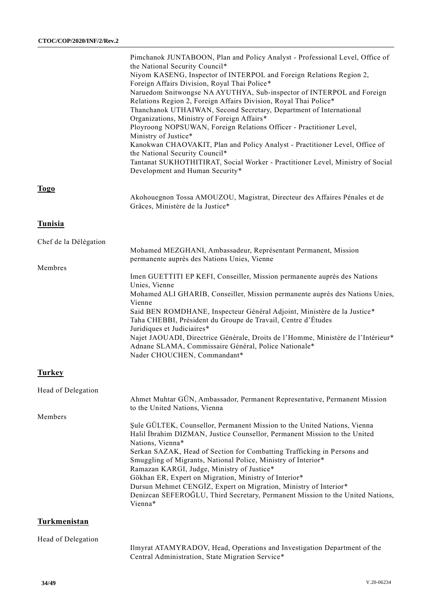|                                  | Pimchanok JUNTABOON, Plan and Policy Analyst - Professional Level, Office of<br>the National Security Council*<br>Niyom KASENG, Inspector of INTERPOL and Foreign Relations Region 2,<br>Foreign Affairs Division, Royal Thai Police*<br>Naruedom Snitwongse NA AYUTHYA, Sub-inspector of INTERPOL and Foreign<br>Relations Region 2, Foreign Affairs Division, Royal Thai Police*<br>Thanchanok UTHAIWAN, Second Secretary, Department of International<br>Organizations, Ministry of Foreign Affairs*<br>Ployroong NOPSUWAN, Foreign Relations Officer - Practitioner Level,<br>Ministry of Justice*<br>Kanokwan CHAOVAKIT, Plan and Policy Analyst - Practitioner Level, Office of<br>the National Security Council*<br>Tantanat SUKHOTHITIRAT, Social Worker - Practitioner Level, Ministry of Social<br>Development and Human Security* |
|----------------------------------|----------------------------------------------------------------------------------------------------------------------------------------------------------------------------------------------------------------------------------------------------------------------------------------------------------------------------------------------------------------------------------------------------------------------------------------------------------------------------------------------------------------------------------------------------------------------------------------------------------------------------------------------------------------------------------------------------------------------------------------------------------------------------------------------------------------------------------------------|
| <b>Togo</b>                      | Akohouegnon Tossa AMOUZOU, Magistrat, Directeur des Affaires Pénales et de<br>Grâces, Ministère de la Justice*                                                                                                                                                                                                                                                                                                                                                                                                                                                                                                                                                                                                                                                                                                                               |
| <b>Tunisia</b>                   |                                                                                                                                                                                                                                                                                                                                                                                                                                                                                                                                                                                                                                                                                                                                                                                                                                              |
| Chef de la Délégation<br>Membres | Mohamed MEZGHANI, Ambassadeur, Représentant Permanent, Mission<br>permanente auprès des Nations Unies, Vienne<br>Imen GUETTITI EP KEFI, Conseiller, Mission permanente auprès des Nations<br>Unies, Vienne<br>Mohamed ALI GHARIB, Conseiller, Mission permanente auprès des Nations Unies,<br>Vienne<br>Said BEN ROMDHANE, Inspecteur Général Adjoint, Ministère de la Justice*<br>Taha CHEBBI, Président du Groupe de Travail, Centre d'Études<br>Juridiques et Judiciaires*<br>Najet JAOUADI, Directrice Générale, Droits de l'Homme, Ministère de l'Intérieur*<br>Adnane SLAMA, Commissaire Général, Police Nationale*<br>Nader CHOUCHEN, Commandant*                                                                                                                                                                                     |
| <b>Turkey</b>                    |                                                                                                                                                                                                                                                                                                                                                                                                                                                                                                                                                                                                                                                                                                                                                                                                                                              |
| Head of Delegation<br>Members    | Ahmet Muhtar GÜN, Ambassador, Permanent Representative, Permanent Mission<br>to the United Nations, Vienna<br>Sule GÜLTEK, Counsellor, Permanent Mission to the United Nations, Vienna<br>Halil İbrahim DIZMAN, Justice Counsellor, Permanent Mission to the United<br>Nations, Vienna*<br>Serkan SAZAK, Head of Section for Combatting Trafficking in Persons and<br>Smuggling of Migrants, National Police, Ministry of Interior*<br>Ramazan KARGI, Judge, Ministry of Justice*<br>Gökhan ER, Expert on Migration, Ministry of Interior*<br>Dursun Mehmet CENGİZ, Expert on Migration, Ministry of Interior*<br>Denizcan SEFEROĞLU, Third Secretary, Permanent Mission to the United Nations,<br>Vienna*                                                                                                                                   |
| <b>Turkmenistan</b>              |                                                                                                                                                                                                                                                                                                                                                                                                                                                                                                                                                                                                                                                                                                                                                                                                                                              |
| Head of Delegation               |                                                                                                                                                                                                                                                                                                                                                                                                                                                                                                                                                                                                                                                                                                                                                                                                                                              |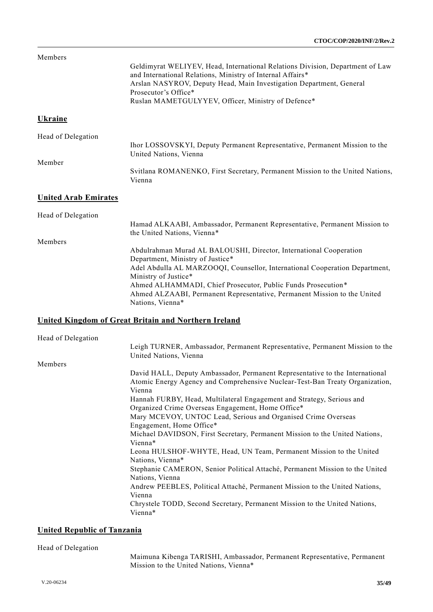#### Members

| <b>INICITIONIS</b>          | Geldimyrat WELIYEV, Head, International Relations Division, Department of Law<br>and International Relations, Ministry of Internal Affairs*<br>Arslan NASYROV, Deputy Head, Main Investigation Department, General<br>Prosecutor's Office*<br>Ruslan MAMETGULYYEV, Officer, Ministry of Defence* |
|-----------------------------|--------------------------------------------------------------------------------------------------------------------------------------------------------------------------------------------------------------------------------------------------------------------------------------------------|
| <b>Ukraine</b>              |                                                                                                                                                                                                                                                                                                  |
| Head of Delegation          |                                                                                                                                                                                                                                                                                                  |
|                             | Ihor LOSSOVSKYI, Deputy Permanent Representative, Permanent Mission to the<br>United Nations, Vienna                                                                                                                                                                                             |
| Member                      |                                                                                                                                                                                                                                                                                                  |
|                             | Svitlana ROMANENKO, First Secretary, Permanent Mission to the United Nations,<br>Vienna                                                                                                                                                                                                          |
| <b>United Arab Emirates</b> |                                                                                                                                                                                                                                                                                                  |
| Head of Delegation          |                                                                                                                                                                                                                                                                                                  |
|                             | Hamad ALKAABI, Ambassador, Permanent Representative, Permanent Mission to<br>the United Nations, Vienna*                                                                                                                                                                                         |
| Members                     |                                                                                                                                                                                                                                                                                                  |
|                             | Abdulrahman Murad AL BALOUSHI, Director, International Cooperation<br>Department, Ministry of Justice*                                                                                                                                                                                           |
|                             | Adel Abdulla AL MARZOOQI, Counsellor, International Cooperation Department,<br>Ministry of Justice*                                                                                                                                                                                              |

Ahmed ALHAMMADI, Chief Prosecutor, Public Funds Prosecution\* Ahmed ALZAABI, Permanent Representative, Permanent Mission to the United Nations, Vienna\*

# **United Kingdom of Great Britain and Northern Ireland**

## Head of Delegation Leigh TURNER, Ambassador, Permanent Representative, Permanent Mission to the United Nations, Vienna Members David HALL, Deputy Ambassador, Permanent Representative to the International Atomic Energy Agency and Comprehensive Nuclear-Test-Ban Treaty Organization, Vienna Hannah FURBY, Head, Multilateral Engagement and Strategy, Serious and Organized Crime Overseas Engagement, Home Office\* Mary MCEVOY, UNTOC Lead, Serious and Organised Crime Overseas Engagement, Home Office\* Michael DAVIDSON, First Secretary, Permanent Mission to the United Nations, Vienna\* Leona HULSHOF-WHYTE, Head, UN Team, Permanent Mission to the United Nations, Vienna\* Stephanie CAMERON, Senior Political Attaché, Permanent Mission to the United Nations, Vienna Andrew PEEBLES, Political Attaché, Permanent Mission to the United Nations, Vienna Chrystele TODD, Second Secretary, Permanent Mission to the United Nations, Vienna\*

# **United Republic of Tanzania**

#### Head of Delegation

Maimuna Kibenga TARISHI, Ambassador, Permanent Representative, Permanent Mission to the United Nations, Vienna\*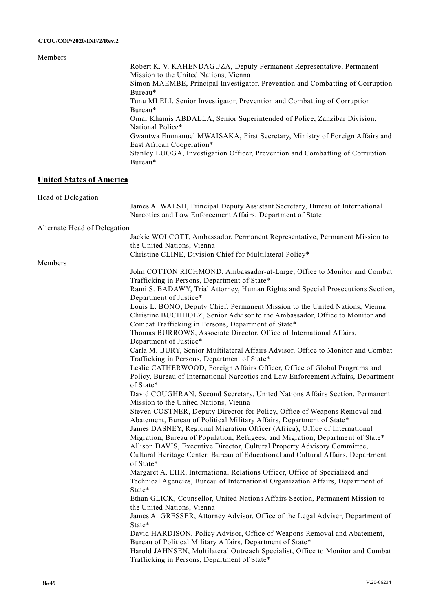| Members                         |                                                                                                                                             |
|---------------------------------|---------------------------------------------------------------------------------------------------------------------------------------------|
|                                 | Robert K. V. KAHENDAGUZA, Deputy Permanent Representative, Permanent                                                                        |
|                                 | Mission to the United Nations, Vienna                                                                                                       |
|                                 | Simon MAEMBE, Principal Investigator, Prevention and Combatting of Corruption<br>Bureau*                                                    |
|                                 | Tunu MLELI, Senior Investigator, Prevention and Combatting of Corruption<br>Bureau*                                                         |
|                                 | Omar Khamis ABDALLA, Senior Superintended of Police, Zanzibar Division,<br>National Police*                                                 |
|                                 | Gwantwa Emmanuel MWAISAKA, First Secretary, Ministry of Foreign Affairs and<br>East African Cooperation*                                    |
|                                 | Stanley LUOGA, Investigation Officer, Prevention and Combatting of Corruption<br>Bureau*                                                    |
| <b>United States of America</b> |                                                                                                                                             |
| Head of Delegation              |                                                                                                                                             |
|                                 | James A. WALSH, Principal Deputy Assistant Secretary, Bureau of International<br>Narcotics and Law Enforcement Affairs, Department of State |
| Alternate Head of Delegation    |                                                                                                                                             |
|                                 | Jackie WOLCOTT, Ambassador, Permanent Representative, Permanent Mission to<br>the United Nations, Vienna                                    |

|         | Christine CLINE, Division Chief for Multilateral Policy*                                                                                                    |
|---------|-------------------------------------------------------------------------------------------------------------------------------------------------------------|
| Members |                                                                                                                                                             |
|         | John COTTON RICHMOND, Ambassador-at-Large, Office to Monitor and Combat                                                                                     |
|         | Trafficking in Persons, Department of State*                                                                                                                |
|         | Rami S. BADAWY, Trial Attorney, Human Rights and Special Prosecutions Section,                                                                              |
|         | Department of Justice*                                                                                                                                      |
|         | Louis L. BONO, Deputy Chief, Permanent Mission to the United Nations, Vienna<br>Christine BUCHHOLZ, Senior Advisor to the Ambassador, Office to Monitor and |
|         | Combat Trafficking in Persons, Department of State*                                                                                                         |
|         | Thomas BURROWS, Associate Director, Office of International Affairs,<br>Department of Justice*                                                              |
|         | Carla M. BURY, Senior Multilateral Affairs Advisor, Office to Monitor and Combat                                                                            |
|         | Trafficking in Persons, Department of State*                                                                                                                |
|         | Leslie CATHERWOOD, Foreign Affairs Officer, Office of Global Programs and                                                                                   |
|         | Policy, Bureau of International Narcotics and Law Enforcement Affairs, Department<br>of State*                                                              |
|         | David COUGHRAN, Second Secretary, United Nations Affairs Section, Permanent                                                                                 |
|         | Mission to the United Nations, Vienna                                                                                                                       |
|         | Steven COSTNER, Deputy Director for Policy, Office of Weapons Removal and                                                                                   |
|         | Abatement, Bureau of Political Military Affairs, Department of State*                                                                                       |
|         | James DASNEY, Regional Migration Officer (Africa), Office of International                                                                                  |
|         | Migration, Bureau of Population, Refugees, and Migration, Department of State*                                                                              |
|         | Allison DAVIS, Executive Director, Cultural Property Advisory Committee,                                                                                    |
|         | Cultural Heritage Center, Bureau of Educational and Cultural Affairs, Department<br>of State*                                                               |
|         | Margaret A. EHR, International Relations Officer, Office of Specialized and                                                                                 |
|         | Technical Agencies, Bureau of International Organization Affairs, Department of<br>State*                                                                   |
|         | Ethan GLICK, Counsellor, United Nations Affairs Section, Permanent Mission to                                                                               |
|         | the United Nations, Vienna                                                                                                                                  |
|         | James A. GRESSER, Attorney Advisor, Office of the Legal Adviser, Department of<br>State*                                                                    |
|         | David HARDISON, Policy Advisor, Office of Weapons Removal and Abatement,                                                                                    |
|         | Bureau of Political Military Affairs, Department of State*                                                                                                  |
|         | Harold JAHNSEN, Multilateral Outreach Specialist, Office to Monitor and Combat<br>Trafficking in Persons, Department of State*                              |
|         |                                                                                                                                                             |
|         |                                                                                                                                                             |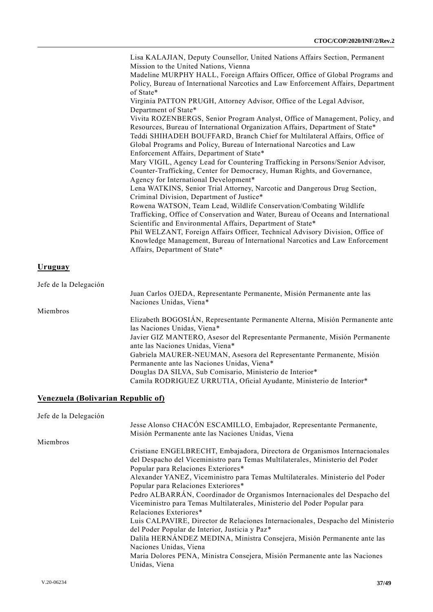|                       | Lisa KALAJIAN, Deputy Counsellor, United Nations Affairs Section, Permanent       |
|-----------------------|-----------------------------------------------------------------------------------|
|                       | Mission to the United Nations, Vienna                                             |
|                       | Madeline MURPHY HALL, Foreign Affairs Officer, Office of Global Programs and      |
|                       | Policy, Bureau of International Narcotics and Law Enforcement Affairs, Department |
|                       | of State*                                                                         |
|                       | Virginia PATTON PRUGH, Attorney Advisor, Office of the Legal Advisor,             |
|                       | Department of State*                                                              |
|                       | Vivita ROZENBERGS, Senior Program Analyst, Office of Management, Policy, and      |
|                       | Resources, Bureau of International Organization Affairs, Department of State*     |
|                       | Teddi SHIHADEH BOUFFARD, Branch Chief for Multilateral Affairs, Office of         |
|                       | Global Programs and Policy, Bureau of International Narcotics and Law             |
|                       | Enforcement Affairs, Department of State*                                         |
|                       | Mary VIGIL, Agency Lead for Countering Trafficking in Persons/Senior Advisor,     |
|                       | Counter-Trafficking, Center for Democracy, Human Rights, and Governance,          |
|                       | Agency for International Development*                                             |
|                       | Lena WATKINS, Senior Trial Attorney, Narcotic and Dangerous Drug Section,         |
|                       | Criminal Division, Department of Justice*                                         |
|                       | Rowena WATSON, Team Lead, Wildlife Conservation/Combating Wildlife                |
|                       | Trafficking, Office of Conservation and Water, Bureau of Oceans and International |
|                       | Scientific and Environmental Affairs, Department of State*                        |
|                       | Phil WELZANT, Foreign Affairs Officer, Technical Advisory Division, Office of     |
|                       | Knowledge Management, Bureau of International Narcotics and Law Enforcement       |
|                       | Affairs, Department of State*                                                     |
|                       |                                                                                   |
| <u>Uruguay</u>        |                                                                                   |
|                       |                                                                                   |
| Jefe de la Delegación |                                                                                   |
|                       | Juan Carlos OJEDA, Representante Permanente, Misión Permanente ante las           |
|                       | Naciones Unidas, Viena*                                                           |
| Miembros              |                                                                                   |
|                       | Elizabeth BOGOSIÁN, Representante Permanente Alterna, Misión Permanente ante      |
|                       | las Naciones Unidas, Viena*                                                       |
|                       | Javier GIZ MANTERO, Asesor del Representante Permanente, Misión Permanente        |
|                       | ante las Naciones Unidas, Viena*                                                  |
|                       |                                                                                   |

Gabriela MAURER-NEUMAN, Asesora del Representante Permanente, Misión Permanente ante las Naciones Unidas, Viena\*

Douglas DA SILVA, Sub Comisario, Ministerio de Interior\* Camila RODRIGUEZ URRUTIA, Oficial Ayudante, Ministerio de Interior\*

# **Venezuela (Bolivarian Republic of)**

| Jefe de la Delegación |                                                                                 |
|-----------------------|---------------------------------------------------------------------------------|
|                       | Jesse Alonso CHACÓN ESCAMILLO, Embajador, Representante Permanente,             |
|                       | Misión Permanente ante las Naciones Unidas, Viena                               |
| Miembros              |                                                                                 |
|                       | Cristiane ENGELBRECHT, Embajadora, Directora de Organismos Internacionales      |
|                       | del Despacho del Viceministro para Temas Multilaterales, Ministerio del Poder   |
|                       | Popular para Relaciones Exteriores*                                             |
|                       | Alexander YANEZ, Viceministro para Temas Multilaterales. Ministerio del Poder   |
|                       | Popular para Relaciones Exteriores*                                             |
|                       | Pedro ALBARRÁN, Coordinador de Organismos Internacionales del Despacho del      |
|                       | Viceministro para Temas Multilaterales, Ministerio del Poder Popular para       |
|                       | Relaciones Exteriores*                                                          |
|                       | Luis CALPAVIRE, Director de Relaciones Internacionales, Despacho del Ministerio |
|                       | del Poder Popular de Interior, Justicia y Paz*                                  |
|                       | Dalila HERNÁNDEZ MEDINA, Ministra Consejera, Misión Permanente ante las         |
|                       | Naciones Unidas, Viena                                                          |
|                       | Maria Dolores PENA, Ministra Consejera, Misión Permanente ante las Naciones     |
|                       | Unidas, Viena                                                                   |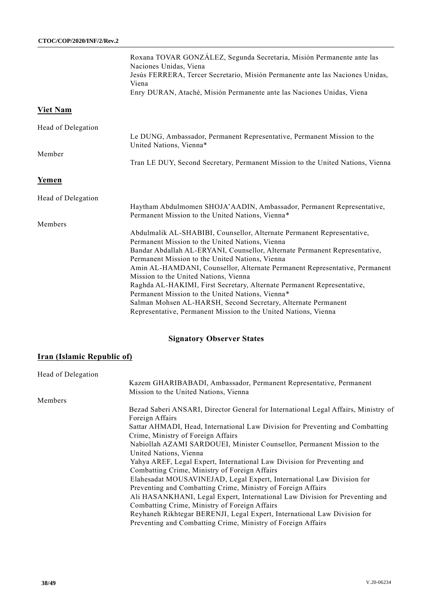| Roxana TOVAR GONZÁLEZ, Segunda Secretaria, Misión Permanente ante las         |
|-------------------------------------------------------------------------------|
| Naciones Unidas. Viena                                                        |
| Jesús FERRERA, Tercer Secretario, Misión Permanente ante las Naciones Unidas, |
| Viena                                                                         |
| Enry DURAN, Ataché, Misión Permanente ante las Naciones Unidas, Viena         |

# **Viet Nam**

| Head of Delegation |                                                                                                    |
|--------------------|----------------------------------------------------------------------------------------------------|
|                    | Le DUNG, Ambassador, Permanent Representative, Permanent Mission to the<br>United Nations, Vienna* |
| Member             |                                                                                                    |
|                    | Tran LE DUY, Second Secretary, Permanent Mission to the United Nations, Vienna                     |
| <b>Yemen</b>       |                                                                                                    |
| Head of Delegation |                                                                                                    |
|                    | Haytham Abdulmomen SHOJA'AADIN, Ambassador, Permanent Representative,                              |
|                    | Permanent Mission to the United Nations, Vienna*                                                   |
| Members            |                                                                                                    |
|                    | Abdulmalik AL-SHABIBI, Counsellor, Alternate Permanent Representative,                             |
|                    | Permanent Mission to the United Nations, Vienna                                                    |
|                    | Bandar Abdallah AL-ERYANI, Counsellor, Alternate Permanent Representative,                         |
|                    | Permanent Mission to the United Nations, Vienna                                                    |
|                    | Amin AL-HAMDANI, Counsellor, Alternate Permanent Representative, Permanent                         |
|                    | Mission to the United Nations, Vienna                                                              |
|                    | Raghda AL-HAKIMI, First Secretary, Alternate Permanent Representative,                             |
|                    | Permanent Mission to the United Nations, Vienna*                                                   |
|                    | Salman Mohsen AL-HARSH, Second Secretary, Alternate Permanent                                      |
|                    | Representative, Permanent Mission to the United Nations, Vienna                                    |

# **Signatory Observer States**

# **Iran (Islamic Republic of)**

| Head of Delegation |                                                                                                       |
|--------------------|-------------------------------------------------------------------------------------------------------|
|                    | Kazem GHARIBABADI, Ambassador, Permanent Representative, Permanent                                    |
|                    | Mission to the United Nations, Vienna                                                                 |
| Members            |                                                                                                       |
|                    | Bezad Saberi ANSARI, Director General for International Legal Affairs, Ministry of<br>Foreign Affairs |
|                    | Sattar AHMADI, Head, International Law Division for Preventing and Combatting                         |
|                    | Crime, Ministry of Foreign Affairs                                                                    |
|                    | Nabiollah AZAMI SARDOUEI, Minister Counsellor, Permanent Mission to the                               |
|                    | United Nations, Vienna                                                                                |
|                    | Yahya AREF, Legal Expert, International Law Division for Preventing and                               |
|                    | Combatting Crime, Ministry of Foreign Affairs                                                         |
|                    | Elahesadat MOUSAVINEJAD, Legal Expert, International Law Division for                                 |
|                    | Preventing and Combatting Crime, Ministry of Foreign Affairs                                          |
|                    | Ali HASANKHANI, Legal Expert, International Law Division for Preventing and                           |
|                    | Combatting Crime, Ministry of Foreign Affairs                                                         |
|                    | Reyhaneh Rikhtegar BERENJI, Legal Expert, International Law Division for                              |
|                    | Preventing and Combatting Crime, Ministry of Foreign Affairs                                          |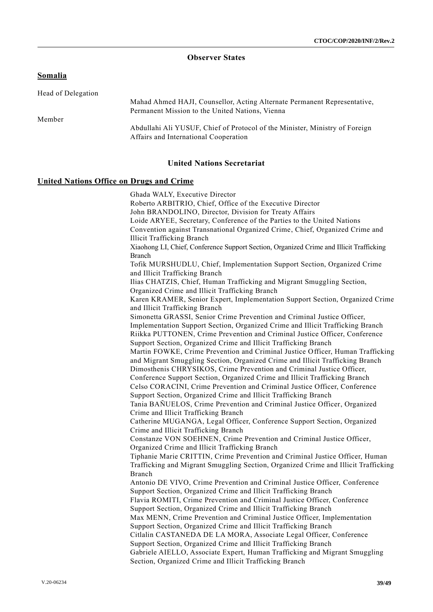# **Observer States**

# **Somalia**

| Head of Delegation |                                                                             |
|--------------------|-----------------------------------------------------------------------------|
|                    | Mahad Ahmed HAJI, Counsellor, Acting Alternate Permanent Representative,    |
|                    | Permanent Mission to the United Nations, Vienna                             |
| Member             |                                                                             |
|                    | Abdullahi Ali YUSUF, Chief of Protocol of the Minister, Ministry of Foreign |
|                    | Affairs and International Cooperation                                       |

# **United Nations Secretariat**

# **United Nations Office on Drugs and Crime**

| Ghada WALY, Executive Director                                                               |
|----------------------------------------------------------------------------------------------|
| Roberto ARBITRIO, Chief, Office of the Executive Director                                    |
| John BRANDOLINO, Director, Division for Treaty Affairs                                       |
| Loide ARYEE, Secretary, Conference of the Parties to the United Nations                      |
| Convention against Transnational Organized Crime, Chief, Organized Crime and                 |
| <b>Illicit Trafficking Branch</b>                                                            |
| Xiaohong LI, Chief, Conference Support Section, Organized Crime and Illicit Trafficking      |
| <b>Branch</b>                                                                                |
| Tofik MURSHUDLU, Chief, Implementation Support Section, Organized Crime                      |
| and Illicit Trafficking Branch                                                               |
| Ilias CHATZIS, Chief, Human Trafficking and Migrant Smuggling Section,                       |
| Organized Crime and Illicit Trafficking Branch                                               |
| Karen KRAMER, Senior Expert, Implementation Support Section, Organized Crime                 |
| and Illicit Trafficking Branch                                                               |
| Simonetta GRASSI, Senior Crime Prevention and Criminal Justice Officer,                      |
| Implementation Support Section, Organized Crime and Illicit Trafficking Branch               |
| Riikka PUTTONEN, Crime Prevention and Criminal Justice Officer, Conference                   |
| Support Section, Organized Crime and Illicit Trafficking Branch                              |
| Martin FOWKE, Crime Prevention and Criminal Justice Officer, Human Trafficking               |
| and Migrant Smuggling Section, Organized Crime and Illicit Trafficking Branch                |
| Dimosthenis CHRYSIKOS, Crime Prevention and Criminal Justice Officer,                        |
| Conference Support Section, Organized Crime and Illicit Trafficking Branch                   |
| Celso CORACINI, Crime Prevention and Criminal Justice Officer, Conference                    |
| Support Section, Organized Crime and Illicit Trafficking Branch                              |
| Tania BAÑUELOS, Crime Prevention and Criminal Justice Officer, Organized                     |
| Crime and Illicit Trafficking Branch                                                         |
| Catherine MUGANGA, Legal Officer, Conference Support Section, Organized                      |
| Crime and Illicit Trafficking Branch                                                         |
| Constanze VON SOEHNEN, Crime Prevention and Criminal Justice Officer,                        |
| Organized Crime and Illicit Trafficking Branch                                               |
| Tiphanie Marie CRITTIN, Crime Prevention and Criminal Justice Officer, Human                 |
| Trafficking and Migrant Smuggling Section, Organized Crime and Illicit Trafficking<br>Branch |
| Antonio DE VIVO, Crime Prevention and Criminal Justice Officer, Conference                   |
| Support Section, Organized Crime and Illicit Trafficking Branch                              |
| Flavia ROMITI, Crime Prevention and Criminal Justice Officer, Conference                     |
| Support Section, Organized Crime and Illicit Trafficking Branch                              |
| Max MENN, Crime Prevention and Criminal Justice Officer, Implementation                      |
| Support Section, Organized Crime and Illicit Trafficking Branch                              |
| Citlalin CASTANEDA DE LA MORA, Associate Legal Officer, Conference                           |
| Support Section, Organized Crime and Illicit Trafficking Branch                              |
| Gabriele AIELLO, Associate Expert, Human Trafficking and Migrant Smuggling                   |
| Section, Organized Crime and Illicit Trafficking Branch                                      |
|                                                                                              |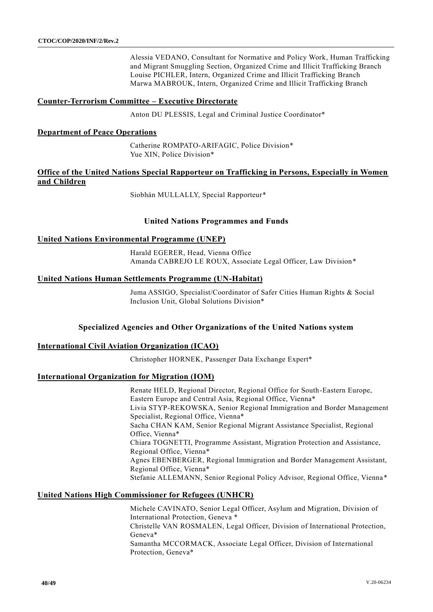Alessia VEDANO, Consultant for Normative and Policy Work, Human Trafficking and Migrant Smuggling Section, Organized Crime and Illicit Trafficking Branch Louise PICHLER, Intern, Organized Crime and Illicit Trafficking Branch Marwa MABROUK, Intern, Organized Crime and Illicit Trafficking Branch

# **Counter-Terrorism Committee – Executive Directorate**

Anton DU PLESSIS, Legal and Criminal Justice Coordinator\*

#### **Department of Peace Operations**

Catherine ROMPATO-ARIFAGIC, Police Division\* Yue XIN, Police Division\*

# **Office of the United Nations Special Rapporteur on Trafficking in Persons, Especially in Women and Children**

Siobhán MULLALLY, Special Rapporteur\*

## **United Nations Programmes and Funds**

## **United Nations Environmental Programme (UNEP)**

Harald EGERER, Head, Vienna Office Amanda CABREJO LE ROUX, Associate Legal Officer, Law Division\*

## **United Nations Human Settlements Programme (UN-Habitat)**

Juma ASSIGO, Specialist/Coordinator of Safer Cities Human Rights & Social Inclusion Unit, Global Solutions Division\*

# **Specialized Agencies and Other Organizations of the United Nations system**

#### **International Civil Aviation Organization (ICAO)**

Christopher HORNEK, Passenger Data Exchange Expert\*

#### **International Organization for Migration (IOM)**

Renate HELD, Regional Director, Regional Office for South-Eastern Europe, Eastern Europe and Central Asia, Regional Office, Vienna\* Livia STYP-REKOWSKA, Senior Regional Immigration and Border Management Specialist, Regional Office, Vienna\* Sacha CHAN KAM, Senior Regional Migrant Assistance Specialist, Regional Office, Vienna\* Chiara TOGNETTI, Programme Assistant, Migration Protection and Assistance, Regional Office, Vienna\* Agnes EBENBERGER, Regional Immigration and Border Management Assistant, Regional Office, Vienna\* Stefanie ALLEMANN, Senior Regional Policy Advisor, Regional Office, Vienna\*

# **United Nations High Commissioner for Refugees (UNHCR)**

Michele CAVINATO, Senior Legal Officer, Asylum and Migration, Division of International Protection, Geneva \* Christelle VAN ROSMALEN, Legal Officer, Division of International Protection, Geneva\* Samantha MCCORMACK, Associate Legal Officer, Division of International Protection, Geneva\*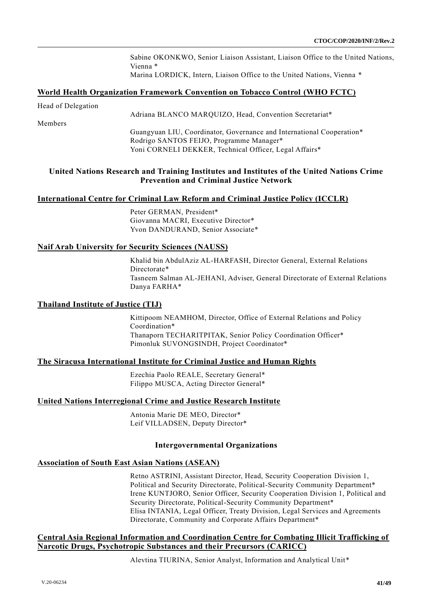Sabine OKONKWO, Senior Liaison Assistant, Liaison Office to the United Nations, Vienna \*

Marina LORDICK, Intern, Liaison Office to the United Nations, Vienna \*

#### **World Health Organization Framework Convention on Tobacco Control (WHO FCTC)**

Adriana BLANCO MARQUIZO, Head, Convention Secretariat\*

Members

Guangyuan LIU, Coordinator, Governance and International Cooperation\* Rodrigo SANTOS FEIJO, Programme Manager\* Yoni CORNELI DEKKER, Technical Officer, Legal Affairs\*

# **United Nations Research and Training Institutes and Institutes of the United Nations Crime Prevention and Criminal Justice Network**

#### **International Centre for Criminal Law Reform and Criminal Justice Policy (ICCLR)**

Peter GERMAN, President\* Giovanna MACRI, Executive Director\* Yvon DANDURAND, Senior Associate\*

## **Naif Arab University for Security Sciences (NAUSS)**

Khalid bin AbdulAziz AL-HARFASH, Director General, External Relations Directorate\* Tasneem Salman AL-JEHANI, Adviser, General Directorate of External Relations Danya FARHA\*

## **Thailand Institute of Justice (TIJ)**

Kittipoom NEAMHOM, Director, Office of External Relations and Policy Coordination\* Thanaporn TECHARITPITAK, Senior Policy Coordination Officer\* Pimonluk SUVONGSINDH, Project Coordinator\*

#### **The Siracusa International Institute for Criminal Justice and Human Rights**

Ezechia Paolo REALE, Secretary General\* Filippo MUSCA, Acting Director General\*

## **United Nations Interregional Crime and Justice Research Institute**

Antonia Marie DE MEO, Director\* Leif VILLADSEN, Deputy Director\*

#### **Intergovernmental Organizations**

#### **Association of South East Asian Nations (ASEAN)**

Retno ASTRINI, Assistant Director, Head, Security Cooperation Division 1, Political and Security Directorate, Political-Security Community Department\* Irene KUNTJORO, Senior Officer, Security Cooperation Division 1, Political and Security Directorate, Political-Security Community Department\* Elisa INTANIA, Legal Officer, Treaty Division, Legal Services and Agreements Directorate, Community and Corporate Affairs Department\*

## **Central Asia Regional Information and Coordination Centre for Combating Illicit Trafficking of Narcotic Drugs, Psychotropic Substances and their Precursors (CARICC)**

Alevtina TIURINA, Senior Analyst, Information and Analytical Unit\*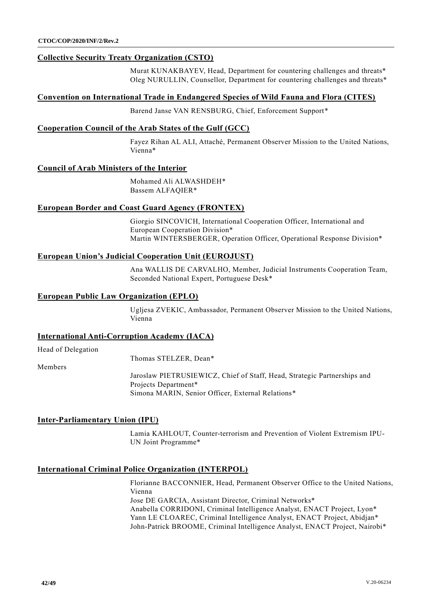### **Collective Security Treaty Organization (CSTO)**

Murat KUNAKBAYEV, Head, Department for countering challenges and threats\* Oleg NURULLIN, Counsellor, Department for countering challenges and threats\*

#### **Convention on International Trade in Endangered Species of Wild Fauna and Flora (CITES)**

Barend Janse VAN RENSBURG, Chief, Enforcement Support\*

#### **Cooperation Council of the Arab States of the Gulf (GCC)**

Fayez Rihan AL ALI, Attaché, Permanent Observer Mission to the United Nations, Vienna\*

#### **Council of Arab Ministers of the Interior**

Mohamed Ali ALWASHDEH\* Bassem ALFAQIER\*

#### **European Border and Coast Guard Agency (FRONTEX)**

Giorgio SINCOVICH, International Cooperation Officer, International and European Cooperation Division\* Martin WINTERSBERGER, Operation Officer, Operational Response Division\*

# **European Union's Judicial Cooperation Unit (EUROJUST)**

Ana WALLIS DE CARVALHO, Member, Judicial Instruments Cooperation Team, Seconded National Expert, Portuguese Desk\*

#### **European Public Law Organization (EPLO)**

Ugljesa ZVEKIC, Ambassador, Permanent Observer Mission to the United Nations, Vienna

#### **International Anti-Corruption Academy (IACA)**

Head of Delegation

Thomas STELZER, Dean\*

Members

Jaroslaw PIETRUSIEWICZ, Chief of Staff, Head, Strategic Partnerships and Projects Department\* Simona MARIN, Senior Officer, External Relations\*

#### **Inter-Parliamentary Union (IPU)**

Lamia KAHLOUT, Counter-terrorism and Prevention of Violent Extremism IPU-UN Joint Programme\*

#### **International Criminal Police Organization (INTERPOL)**

Florianne BACCONNIER, Head, Permanent Observer Office to the United Nations, Vienna Jose DE GARCIA, Assistant Director, Criminal Networks\* Anabella CORRIDONI, Criminal Intelligence Analyst, ENACT Project, Lyon\* Yann LE CLOAREC, Criminal Intelligence Analyst, ENACT Project, Abidjan\* John-Patrick BROOME, Criminal Intelligence Analyst, ENACT Project, Nairobi\*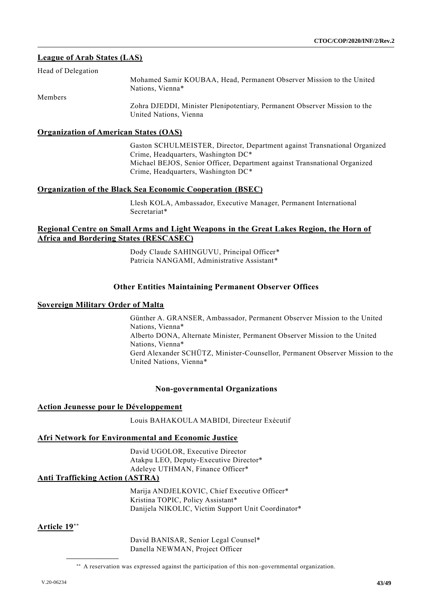# **League of Arab States (LAS)**

| Head of Delegation |                                                                           |
|--------------------|---------------------------------------------------------------------------|
|                    | Mohamed Samir KOUBAA, Head, Permanent Observer Mission to the United      |
|                    | Nations, Vienna*                                                          |
| Members            |                                                                           |
|                    | Zohra DJEDDI, Minister Plenipotentiary, Permanent Observer Mission to the |
|                    | United Nations, Vienna                                                    |

# **Organization of American States (OAS)**

Gaston SCHULMEISTER, Director, Department against Transnational Organized Crime, Headquarters, Washington DC\* Michael BEJOS, Senior Officer, Department against Transnational Organized Crime, Headquarters, Washington DC\*

# **Organization of the Black Sea Economic Cooperation (BSEC)**

Llesh KOLA, Ambassador, Executive Manager, Permanent International Secretariat\*

## **Regional Centre on Small Arms and Light Weapons in the Great Lakes Region, the Horn of Africa and Bordering States (RESCASEC)**

Dody Claude SAHINGUVU, Principal Officer\* Patricia NANGAMI, Administrative Assistant\*

## **Other Entities Maintaining Permanent Observer Offices**

## **Sovereign Military Order of Malta**

Günther A. GRANSER, Ambassador, Permanent Observer Mission to the United Nations, Vienna\* Alberto DONA, Alternate Minister, Permanent Observer Mission to the United Nations, Vienna\* Gerd Alexander SCHÜTZ, Minister-Counsellor, Permanent Observer Mission to the United Nations, Vienna\*

#### **Non-governmental Organizations**

#### **Action Jeunesse pour le Développement**

Louis BAHAKOULA MABIDI, Directeur Exécutif

# **Afri Network for Environmental and Economic Justice**

David UGOLOR, Executive Director Atakpu LEO, Deputy-Executive Director\* Adeleye UTHMAN, Finance Officer\*

# **Anti Trafficking Action (ASTRA)**

**\_\_\_\_\_\_\_\_\_\_\_\_\_\_\_\_\_\_**

Marija ANDJELKOVIC, Chief Executive Officer\* Kristina TOPIC, Policy Assistant\* Danijela NIKOLIC, Victim Support Unit Coordinator\*

# **Article 19**

David BANISAR, Senior Legal Counsel\* Danella NEWMAN, Project Officer

<sup>\*\*</sup> A reservation was expressed against the participation of this non-governmental organization.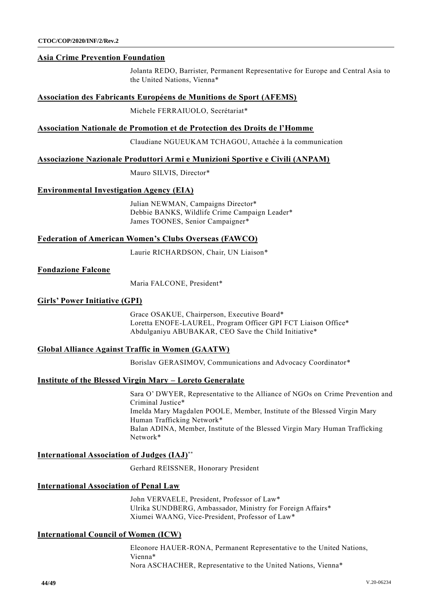#### **Asia Crime Prevention Foundation**

Jolanta REDO, Barrister, Permanent Representative for Europe and Central Asia to the United Nations, Vienna\*

#### **Association des Fabricants Européens de Munitions de Sport (AFEMS)**

Michele FERRAIUOLO, Secrétariat\*

#### **Association Nationale de Promotion et de Protection des Droits de l'Homme**

Claudiane NGUEUKAM TCHAGOU, Attachée à la communication

#### **Associazione Nazionale Produttori Armi e Munizioni Sportive e Civili (ANPAM)**

Mauro SILVIS, Director\*

# **Environmental Investigation Agency (EIA)**

Julian NEWMAN, Campaigns Director\* Debbie BANKS, Wildlife Crime Campaign Leader\* James TOONES, Senior Campaigner\*

#### **Federation of American Women's Clubs Overseas (FAWCO)**

Laurie RICHARDSON, Chair, UN Liaison\*

#### **Fondazione Falcone**

Maria FALCONE, President\*

#### **Girls' Power Initiative (GPI)**

Grace OSAKUE, Chairperson, Executive Board\* Loretta ENOFE-LAUREL, Program Officer GPI FCT Liaison Office\* Abdulganiyu ABUBAKAR, CEO Save the Child Initiative\*

#### **Global Alliance Against Traffic in Women (GAATW)**

Borislav GERASIMOV, Communications and Advocacy Coordinator\*

#### **Institute of the Blessed Virgin Mary – Loreto Generalate**

Sara O' DWYER, Representative to the Alliance of NGOs on Crime Prevention and Criminal Justice\* Imelda Mary Magdalen POOLE, Member, Institute of the Blessed Virgin Mary Human Trafficking Network\* Balan ADINA, Member, Institute of the Blessed Virgin Mary Human Trafficking Network\*

#### **International Association of Judges (IAJ)**\*\*

Gerhard REISSNER, Honorary President

## **International Association of Penal Law**

John VERVAELE, President, Professor of Law\* Ulrika SUNDBERG, Ambassador, Ministry for Foreign Affairs\* Xiumei WAANG, Vice-President, Professor of Law\*

#### **International Council of Women (ICW)**

Eleonore HAUER-RONA, Permanent Representative to the United Nations, Vienna\* Nora ASCHACHER, Representative to the United Nations, Vienna\*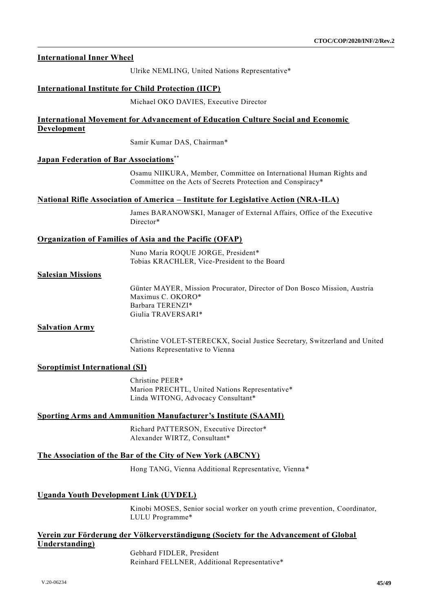## **International Inner Wheel**

Ulrike NEMLING, United Nations Representative\*

## **International Institute for Child Protection (IICP)**

Michael OKO DAVIES, Executive Director

# **International Movement for Advancement of Education Culture Social and Economic Development**

Samir Kumar DAS, Chairman\*

## **Japan Federation of Bar Associations**\*\*

Osamu NIIKURA, Member, Committee on International Human Rights and Committee on the Acts of Secrets Protection and Conspiracy\*

#### **National Rifle Association of America – Institute for Legislative Action (NRA-ILA)**

James BARANOWSKI, Manager of External Affairs, Office of the Executive Director\*

#### **Organization of Families of Asia and the Pacific (OFAP)**

Nuno Maria ROQUE JORGE, President\* Tobias KRACHLER, Vice-President to the Board

#### **Salesian Missions**

Günter MAYER, Mission Procurator, Director of Don Bosco Mission, Austria Maximus C. OKORO\* Barbara TERENZI\* Giulia TRAVERSARI\*

#### **Salvation Army**

Christine VOLET-STERECKX, Social Justice Secretary, Switzerland and United Nations Representative to Vienna

#### **Soroptimist International (SI)**

Christine PEER\* Marion PRECHTL, United Nations Representative\* Linda WITONG, Advocacy Consultant\*

#### **Sporting Arms and Ammunition Manufacturer's Institute (SAAMI)**

Richard PATTERSON, Executive Director\* Alexander WIRTZ, Consultant\*

#### **The Association of the Bar of the City of New York (ABCNY)**

Hong TANG, Vienna Additional Representative, Vienna\*

# **Uganda Youth Development Link (UYDEL)**

Kinobi MOSES, Senior social worker on youth crime prevention, Coordinator, LULU Programme\*

# **Verein zur Förderung der Völkerverständigung (Society for the Advancement of Global Understanding)**

Gebhard FIDLER, President Reinhard FELLNER, Additional Representative\*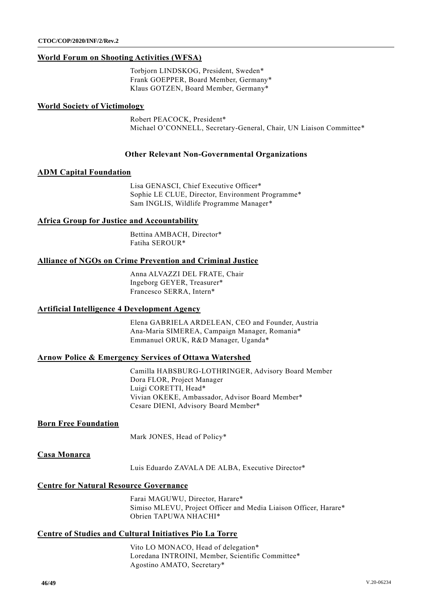#### **World Forum on Shooting Activities (WFSA)**

Torbjorn LINDSKOG, President, Sweden\* Frank GOEPPER, Board Member, Germany\* Klaus GOTZEN, Board Member, Germany\*

#### **World Society of Victimology**

Robert PEACOCK, President\* Michael O'CONNELL, Secretary-General, Chair, UN Liaison Committee\*

#### **Other Relevant Non-Governmental Organizations**

#### **ADM Capital Foundation**

Lisa GENASCI, Chief Executive Officer\* Sophie LE CLUE, Director, Environment Programme\* Sam INGLIS, Wildlife Programme Manager\*

#### **Africa Group for Justice and Accountability**

Bettina AMBACH, Director\* Fatiha SEROUR\*

#### **Alliance of NGOs on Crime Prevention and Criminal Justice**

Anna ALVAZZI DEL FRATE, Chair Ingeborg GEYER, Treasurer\* Francesco SERRA, Intern\*

#### **Artificial Intelligence 4 Development Agency**

Elena GABRIELA ARDELEAN, CEO and Founder, Austria Ana-Maria SIMEREA, Campaign Manager, Romania\* Emmanuel ORUK, R&D Manager, Uganda\*

#### **Arnow Police & Emergency Services of Ottawa Watershed**

Camilla HABSBURG-LOTHRINGER, Advisory Board Member Dora FLOR, Project Manager Luigi CORETTI, Head\* Vivian OKEKE, Ambassador, Advisor Board Member\* Cesare DIENI, Advisory Board Member\*

#### **Born Free Foundation**

Mark JONES, Head of Policy\*

#### **Casa Monarca**

Luis Eduardo ZAVALA DE ALBA, Executive Director\*

#### **Centre for Natural Resource Governance**

Farai MAGUWU, Director, Harare\* Simiso MLEVU, Project Officer and Media Liaison Officer, Harare\* Obrien TAPUWA NHACHI\*

#### **Centre of Studies and Cultural Initiatives Pio La Torre**

Vito LO MONACO, Head of delegation\* Loredana INTROINI, Member, Scientific Committee\* Agostino AMATO, Secretary\*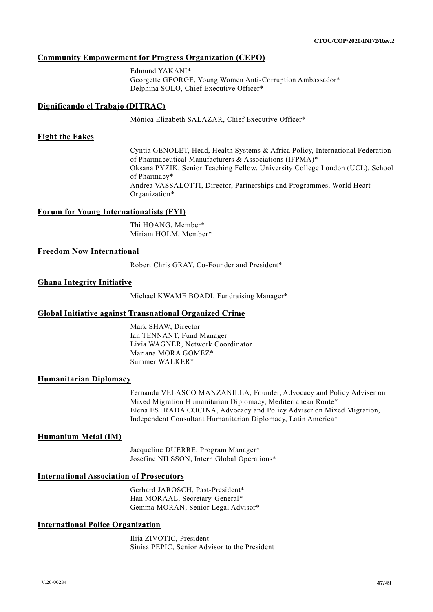# **Community Empowerment for Progress Organization (CEPO)**

Edmund YAKANI\* Georgette GEORGE, Young Women Anti-Corruption Ambassador\* Delphina SOLO, Chief Executive Officer\*

# **Dignificando el Trabajo (DITRAC)**

Mónica Elizabeth SALAZAR, Chief Executive Officer\*

# **Fight the Fakes**

Cyntia GENOLET, Head, Health Systems & Africa Policy, International Federation of Pharmaceutical Manufacturers & Associations (IFPMA)\* Oksana PYZIK, Senior Teaching Fellow, University College London (UCL), School of Pharmacy\* Andrea VASSALOTTI, Director, Partnerships and Programmes, World Heart Organization\*

# **Forum for Young Internationalists (FYI)**

Thi HOANG, Member\* Miriam HOLM, Member\*

# **Freedom Now International**

Robert Chris GRAY, Co-Founder and President\*

## **Ghana Integrity Initiative**

Michael KWAME BOADI, Fundraising Manager\*

# **Global Initiative against Transnational Organized Crime**

Mark SHAW, Director Ian TENNANT, Fund Manager Livia WAGNER, Network Coordinator Mariana MORA GOMEZ\* Summer WALKER\*

# **Humanitarian Diplomacy**

Fernanda VELASCO MANZANILLA, Founder, Advocacy and Policy Adviser on Mixed Migration Humanitarian Diplomacy, Mediterranean Route\* Elena ESTRADA COCINA, Advocacy and Policy Adviser on Mixed Migration, Independent Consultant Humanitarian Diplomacy, Latin America\*

# **Humanium Metal (IM)**

Jacqueline DUERRE, Program Manager\* Josefine NILSSON, Intern Global Operations\*

# **International Association of Prosecutors**

Gerhard JAROSCH, Past-President\* Han MORAAL, Secretary-General\* Gemma MORAN, Senior Legal Advisor\*

# **International Police Organization**

Ilija ZIVOTIC, President Sinisa PEPIC, Senior Advisor to the President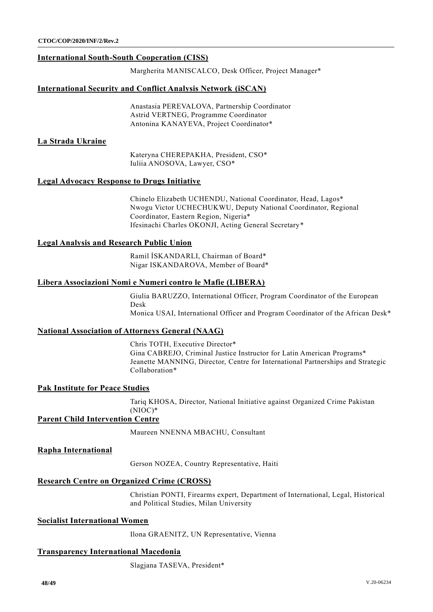# **International South-South Cooperation (CISS)**

Margherita MANISCALCO, Desk Officer, Project Manager\*

# **International Security and Conflict Analysis Network (iSCAN)**

Anastasia PEREVALOVA, Partnership Coordinator Astrid VERTNEG, Programme Coordinator Antonina KANAYEVA, Project Coordinator\*

# **La Strada Ukraine**

Kateryna CHEREPAKHA, President, CSO\* Iuliia ANOSOVA, Lawyer, CSO\*

# **Legal Advocacy Response to Drugs Initiative**

Chinelo Elizabeth UCHENDU, National Coordinator, Head, Lagos\* Nwogu Victor UCHECHUKWU, Deputy National Coordinator, Regional Coordinator, Eastern Region, Nigeria\* Ifesinachi Charles OKONJI, Acting General Secretary\*

# **Legal Analysis and Research Public Union**

Ramil İSKANDARLI, Chairman of Board\* Nigar ISKANDAROVA, Member of Board\*

# **Libera Associazioni Nomi e Numeri contro le Mafie (LIBERA)**

Giulia BARUZZO, International Officer, Program Coordinator of the European Desk Monica USAI, International Officer and Program Coordinator of the African Desk\*

# **National Association of Attorneys General (NAAG)**

Chris TOTH, Executive Director\* Gina CABREJO, Criminal Justice Instructor for Latin American Programs\* Jeanette MANNING, Director, Centre for International Partnerships and Strategic Collaboration\*

# **Pak Institute for Peace Studies**

Tariq KHOSA, Director, National Initiative against Organized Crime Pakistan  $(NIOC)*$ 

# **Parent Child Intervention Centre**

Maureen NNENNA MBACHU, Consultant

# **Rapha International**

Gerson NOZEA, Country Representative, Haiti

# **Research Centre on Organized Crime (CROSS)**

Christian PONTI, Firearms expert, Department of International, Legal, Historical and Political Studies, Milan University

#### **Socialist International Women**

Ilona GRAENITZ, UN Representative, Vienna

# **Transparency International Macedonia**

Slagjana TASEVA, President\*